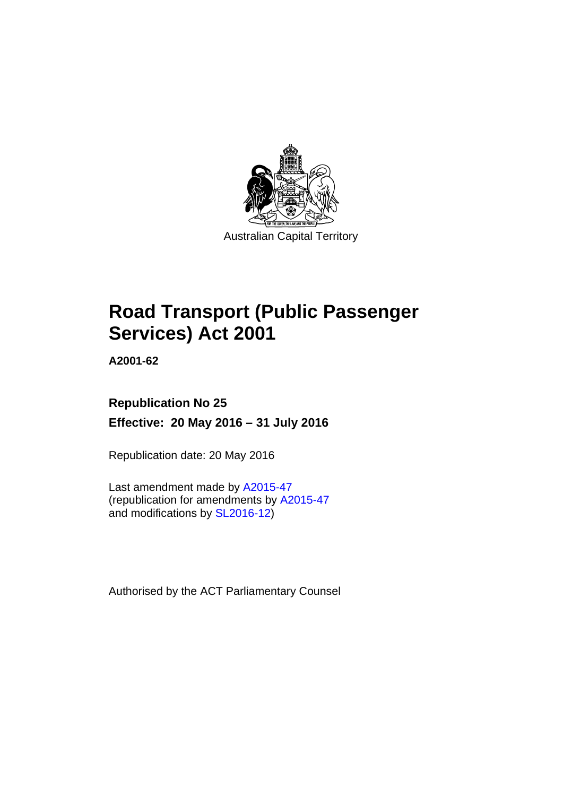

# **Road Transport (Public Passenger Services) Act 2001**

**A2001-62** 

# **Republication No 25 Effective: 20 May 2016 – 31 July 2016**

Republication date: 20 May 2016

Last amendment made by [A2015-47](http://www.legislation.act.gov.au/a/2015-47) (republication for amendments by [A2015-47](http://www.legislation.act.gov.au/a/2015-47) and modifications by [SL2016-12](http://www.legislation.act.gov.au/sl/2016-12/default.asp))

Authorised by the ACT Parliamentary Counsel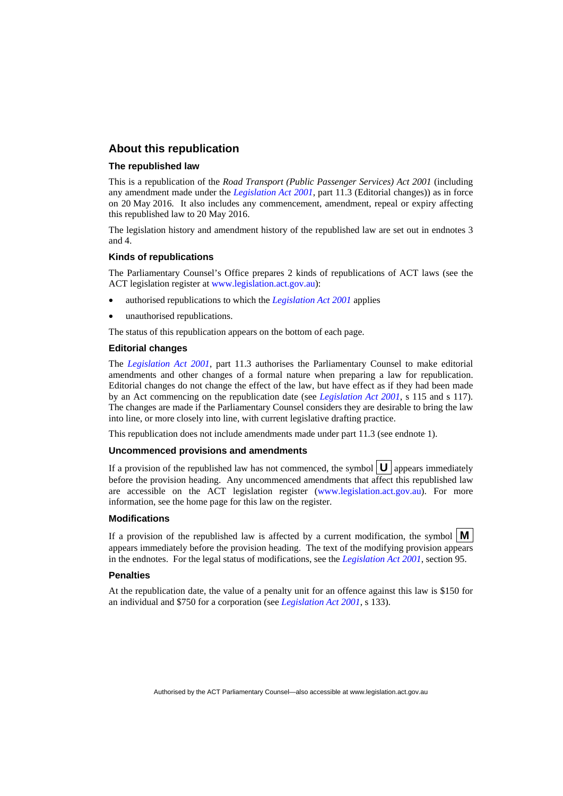#### **About this republication**

#### **The republished law**

This is a republication of the *Road Transport (Public Passenger Services) Act 2001* (including any amendment made under the *[Legislation Act 2001](http://www.legislation.act.gov.au/a/2001-14)*, part 11.3 (Editorial changes)) as in force on 20 May 2016*.* It also includes any commencement, amendment, repeal or expiry affecting this republished law to 20 May 2016.

The legislation history and amendment history of the republished law are set out in endnotes 3 and 4.

#### **Kinds of republications**

The Parliamentary Counsel's Office prepares 2 kinds of republications of ACT laws (see the ACT legislation register at [www.legislation.act.gov.au](http://www.legislation.act.gov.au/)):

- authorised republications to which the *[Legislation Act 2001](http://www.legislation.act.gov.au/a/2001-14)* applies
- unauthorised republications.

The status of this republication appears on the bottom of each page.

#### **Editorial changes**

The *[Legislation Act 2001](http://www.legislation.act.gov.au/a/2001-14)*, part 11.3 authorises the Parliamentary Counsel to make editorial amendments and other changes of a formal nature when preparing a law for republication. Editorial changes do not change the effect of the law, but have effect as if they had been made by an Act commencing on the republication date (see *[Legislation Act 2001](http://www.legislation.act.gov.au/a/2001-14)*, s 115 and s 117). The changes are made if the Parliamentary Counsel considers they are desirable to bring the law into line, or more closely into line, with current legislative drafting practice.

This republication does not include amendments made under part 11.3 (see endnote 1).

#### **Uncommenced provisions and amendments**

If a provision of the republished law has not commenced, the symbol  $\mathbf{U}$  appears immediately before the provision heading. Any uncommenced amendments that affect this republished law are accessible on the ACT legislation register [\(www.legislation.act.gov.au\)](http://www.legislation.act.gov.au/). For more information, see the home page for this law on the register.

#### **Modifications**

If a provision of the republished law is affected by a current modification, the symbol  $\mathbf{M}$ appears immediately before the provision heading. The text of the modifying provision appears in the endnotes. For the legal status of modifications, see the *[Legislation Act 2001](http://www.legislation.act.gov.au/a/2001-14)*, section 95.

#### **Penalties**

At the republication date, the value of a penalty unit for an offence against this law is \$150 for an individual and \$750 for a corporation (see *[Legislation Act 2001](http://www.legislation.act.gov.au/a/2001-14)*, s 133).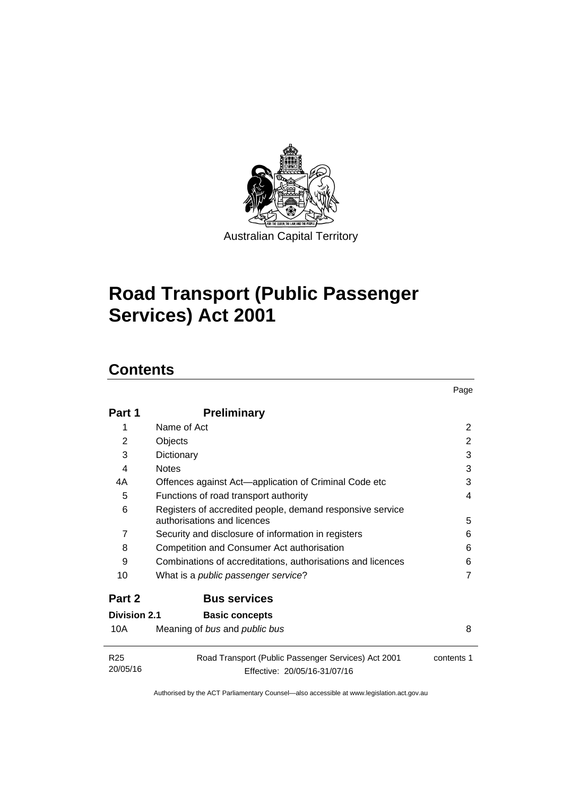

# **Road Transport (Public Passenger Services) Act 2001**

# **Contents**

| Part 1                      | <b>Preliminary</b>                                                                       |            |
|-----------------------------|------------------------------------------------------------------------------------------|------------|
| 1                           | Name of Act                                                                              | 2          |
| 2                           | Objects                                                                                  | 2          |
| 3                           | Dictionary                                                                               | 3          |
| 4                           | <b>Notes</b>                                                                             | 3          |
| 4A                          | Offences against Act—application of Criminal Code etc                                    | 3          |
| 5                           | Functions of road transport authority                                                    | 4          |
| 6                           | Registers of accredited people, demand responsive service<br>authorisations and licences | 5          |
| 7                           | Security and disclosure of information in registers                                      | 6          |
| 8                           | Competition and Consumer Act authorisation                                               | 6          |
| 9                           | Combinations of accreditations, authorisations and licences                              | 6          |
| 10                          | What is a <i>public passenger service</i> ?                                              | 7          |
| Part 2                      | <b>Bus services</b>                                                                      |            |
| Division 2.1                | <b>Basic concepts</b>                                                                    |            |
| 10A                         | Meaning of bus and public bus                                                            | 8          |
| R <sub>25</sub><br>20/05/16 | Road Transport (Public Passenger Services) Act 2001<br>Effective: 20/05/16-31/07/16      | contents 1 |

Page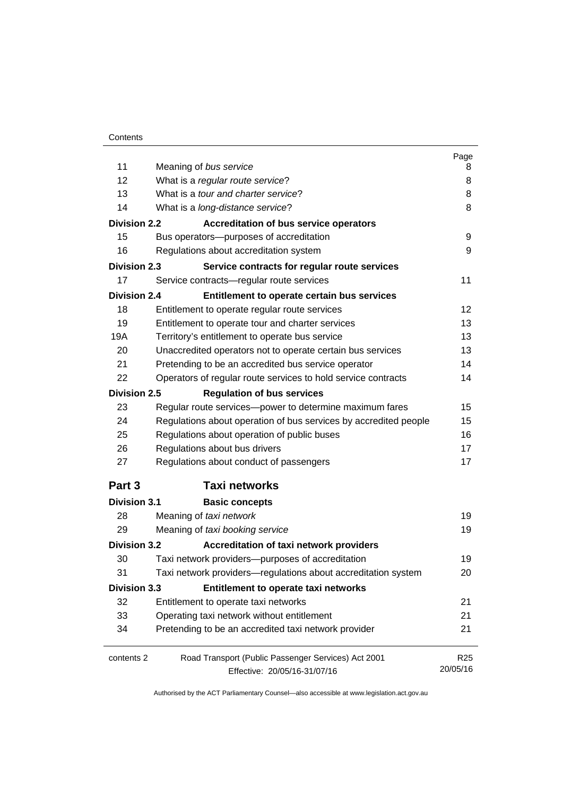|                     |                                                                  | Page            |
|---------------------|------------------------------------------------------------------|-----------------|
| 11                  | Meaning of bus service                                           | 8               |
| 12                  | What is a regular route service?                                 | 8               |
| 13                  | What is a tour and charter service?                              | 8               |
| 14                  | What is a long-distance service?                                 | 8               |
| <b>Division 2.2</b> | <b>Accreditation of bus service operators</b>                    |                 |
| 15                  | Bus operators-purposes of accreditation                          | 9               |
| 16                  | Regulations about accreditation system                           | 9               |
| <b>Division 2.3</b> | Service contracts for regular route services                     |                 |
| 17                  | Service contracts-regular route services                         | 11              |
| <b>Division 2.4</b> | Entitlement to operate certain bus services                      |                 |
| 18                  | Entitlement to operate regular route services                    | 12              |
| 19                  | Entitlement to operate tour and charter services                 | 13              |
| 19A                 | Territory's entitlement to operate bus service                   | 13              |
| 20                  | Unaccredited operators not to operate certain bus services       | 13              |
| 21                  | Pretending to be an accredited bus service operator              | 14              |
| 22                  | Operators of regular route services to hold service contracts    | 14              |
| <b>Division 2.5</b> | <b>Regulation of bus services</b>                                |                 |
| 23                  | Regular route services-power to determine maximum fares          | 15              |
| 24                  | Regulations about operation of bus services by accredited people | 15              |
| 25                  | Regulations about operation of public buses                      | 16              |
| 26                  | Regulations about bus drivers                                    | 17              |
| 27                  | Regulations about conduct of passengers                          | 17              |
| Part 3              | <b>Taxi networks</b>                                             |                 |
| <b>Division 3.1</b> | <b>Basic concepts</b>                                            |                 |
| 28                  | Meaning of taxi network                                          | 19              |
| 29                  | Meaning of taxi booking service                                  | 19              |
| <b>Division 3.2</b> | <b>Accreditation of taxi network providers</b>                   |                 |
| 30                  | Taxi network providers-purposes of accreditation                 | 19              |
| 31                  | Taxi network providers-regulations about accreditation system    | 20              |
| Division 3.3        | <b>Entitlement to operate taxi networks</b>                      |                 |
| 32                  | Entitlement to operate taxi networks                             | 21              |
| 33                  | Operating taxi network without entitlement                       | 21              |
| 34                  | Pretending to be an accredited taxi network provider             | 21              |
| contents 2          | Road Transport (Public Passenger Services) Act 2001              | R <sub>25</sub> |
|                     | Effective: 20/05/16-31/07/16                                     | 20/05/16        |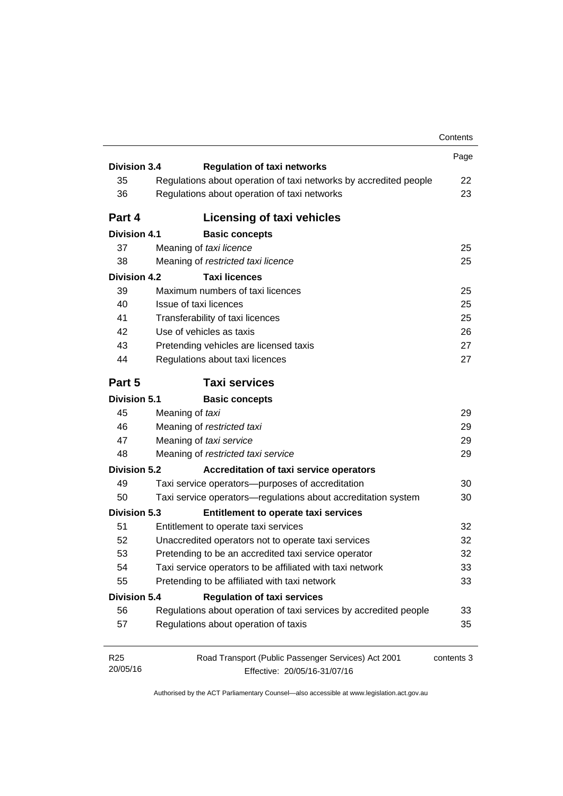|                     |                                                                   | Contents   |
|---------------------|-------------------------------------------------------------------|------------|
|                     |                                                                   | Page       |
| <b>Division 3.4</b> | <b>Regulation of taxi networks</b>                                |            |
| 35                  | Regulations about operation of taxi networks by accredited people | 22         |
| 36                  | Regulations about operation of taxi networks                      | 23         |
| Part 4              | <b>Licensing of taxi vehicles</b>                                 |            |
| <b>Division 4.1</b> | <b>Basic concepts</b>                                             |            |
| 37                  | Meaning of taxi licence                                           | 25         |
| 38                  | Meaning of restricted taxi licence                                | 25         |
| <b>Division 4.2</b> | <b>Taxi licences</b>                                              |            |
| 39                  | Maximum numbers of taxi licences                                  | 25         |
| 40                  | Issue of taxi licences                                            | 25         |
| 41                  | Transferability of taxi licences                                  | 25         |
| 42                  | Use of vehicles as taxis                                          | 26         |
| 43                  | Pretending vehicles are licensed taxis                            | 27         |
| 44                  | Regulations about taxi licences                                   | 27         |
| Part 5              | <b>Taxi services</b>                                              |            |
| <b>Division 5.1</b> | <b>Basic concepts</b>                                             |            |
| 45                  | Meaning of taxi                                                   | 29         |
| 46                  | Meaning of restricted taxi                                        | 29         |
| 47                  | Meaning of taxi service                                           | 29         |
| 48                  | Meaning of restricted taxi service                                | 29         |
| <b>Division 5.2</b> | <b>Accreditation of taxi service operators</b>                    |            |
| 49                  | Taxi service operators--purposes of accreditation                 | 30         |
| 50                  | Taxi service operators-regulations about accreditation system     | 30         |
| <b>Division 5.3</b> | Entitlement to operate taxi services                              |            |
| 51                  | Entitlement to operate taxi services                              | 32         |
| 52                  | Unaccredited operators not to operate taxi services               | 32         |
| 53                  | Pretending to be an accredited taxi service operator              | 32         |
| 54                  | Taxi service operators to be affiliated with taxi network         | 33         |
| 55                  | Pretending to be affiliated with taxi network                     | 33         |
| <b>Division 5.4</b> | <b>Regulation of taxi services</b>                                |            |
| 56                  | Regulations about operation of taxi services by accredited people | 33         |
| 57                  | Regulations about operation of taxis                              | 35         |
| R25                 | Road Transport (Public Passenger Services) Act 2001               | contents 3 |
| 20/05/16            | Effective: 20/05/16-31/07/16                                      |            |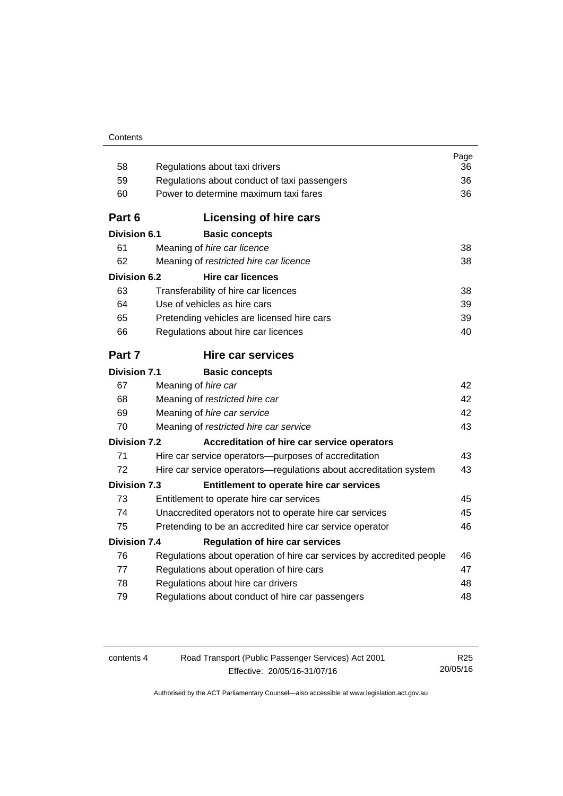| 58                  | Regulations about taxi drivers                                        | Page<br>36 |
|---------------------|-----------------------------------------------------------------------|------------|
| 59                  | Regulations about conduct of taxi passengers                          | 36         |
| 60                  | Power to determine maximum taxi fares                                 | 36         |
|                     |                                                                       |            |
| Part 6              | <b>Licensing of hire cars</b>                                         |            |
| <b>Division 6.1</b> | <b>Basic concepts</b>                                                 |            |
| 61                  | Meaning of hire car licence                                           | 38         |
| 62                  | Meaning of restricted hire car licence                                | 38         |
| <b>Division 6.2</b> | <b>Hire car licences</b>                                              |            |
| 63                  | Transferability of hire car licences                                  | 38         |
| 64                  | Use of vehicles as hire cars                                          | 39         |
| 65                  | Pretending vehicles are licensed hire cars                            | 39         |
| 66                  | Regulations about hire car licences                                   | 40         |
| Part 7              | Hire car services                                                     |            |
| <b>Division 7.1</b> | <b>Basic concepts</b>                                                 |            |
| 67                  | Meaning of hire car                                                   | 42         |
| 68                  | Meaning of restricted hire car                                        | 42         |
| 69                  | Meaning of hire car service                                           | 42         |
| 70                  | Meaning of restricted hire car service                                | 43         |
| Division 7.2        | Accreditation of hire car service operators                           |            |
| 71                  | Hire car service operators—purposes of accreditation                  | 43         |
| 72                  | Hire car service operators—regulations about accreditation system     | 43         |
| <b>Division 7.3</b> | Entitlement to operate hire car services                              |            |
| 73                  | Entitlement to operate hire car services                              | 45         |
| 74                  | Unaccredited operators not to operate hire car services               | 45         |
| 75                  | Pretending to be an accredited hire car service operator              | 46         |
| Division 7.4        | <b>Regulation of hire car services</b>                                |            |
| 76                  | Regulations about operation of hire car services by accredited people | 46         |
| 77                  | Regulations about operation of hire cars                              | 47         |
| 78                  | Regulations about hire car drivers<br>48                              |            |
| 79                  | Regulations about conduct of hire car passengers                      | 48         |
|                     |                                                                       |            |

| contents 4 |  |  |  |
|------------|--|--|--|
|------------|--|--|--|

Road Transport (Public Passenger Services) Act 2001 Effective: 20/05/16-31/07/16

R25 20/05/16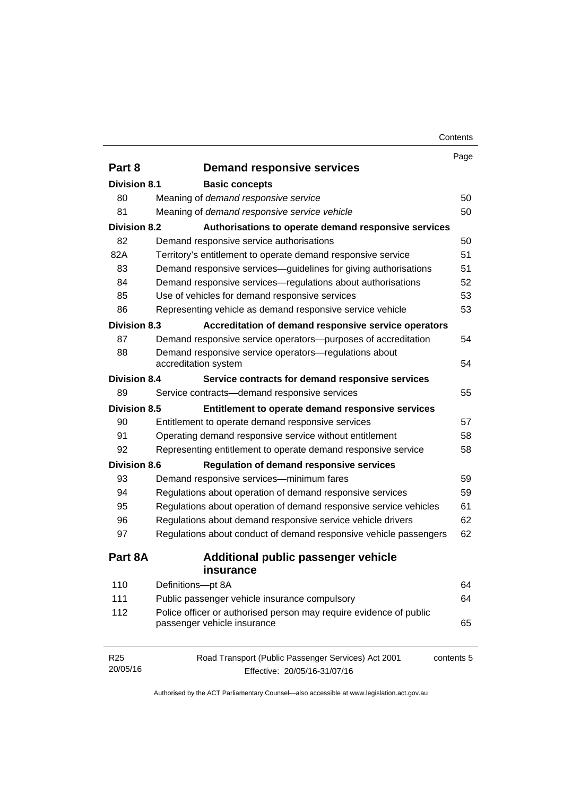|                     |                                                                    | Page       |
|---------------------|--------------------------------------------------------------------|------------|
| Part 8              | <b>Demand responsive services</b>                                  |            |
| <b>Division 8.1</b> | <b>Basic concepts</b>                                              |            |
| 80                  | Meaning of demand responsive service                               | 50         |
| 81                  | Meaning of demand responsive service vehicle                       | 50         |
| <b>Division 8.2</b> | Authorisations to operate demand responsive services               |            |
| 82                  | Demand responsive service authorisations                           | 50         |
| 82A                 | Territory's entitlement to operate demand responsive service       | 51         |
| 83                  | Demand responsive services-guidelines for giving authorisations    | 51         |
| 84                  | Demand responsive services—regulations about authorisations        | 52         |
| 85                  | Use of vehicles for demand responsive services                     | 53         |
| 86                  | Representing vehicle as demand responsive service vehicle          | 53         |
| <b>Division 8.3</b> | Accreditation of demand responsive service operators               |            |
| 87                  | Demand responsive service operators-purposes of accreditation      | 54         |
| 88                  | Demand responsive service operators-regulations about              |            |
|                     | accreditation system                                               | 54         |
| <b>Division 8.4</b> | Service contracts for demand responsive services                   |            |
| 89                  | Service contracts-demand responsive services                       | 55         |
| <b>Division 8.5</b> | Entitlement to operate demand responsive services                  |            |
| 90                  | Entitlement to operate demand responsive services                  | 57         |
| 91                  | Operating demand responsive service without entitlement            | 58         |
| 92                  | Representing entitlement to operate demand responsive service      | 58         |
| <b>Division 8.6</b> | <b>Regulation of demand responsive services</b>                    |            |
| 93                  | Demand responsive services-minimum fares                           | 59         |
| 94                  | Regulations about operation of demand responsive services          | 59         |
| 95                  | Regulations about operation of demand responsive service vehicles  | 61         |
| 96                  | Regulations about demand responsive service vehicle drivers        | 62         |
| 97                  | Regulations about conduct of demand responsive vehicle passengers  | 62         |
| Part 8A             | Additional public passenger vehicle                                |            |
|                     | insurance                                                          |            |
| 110                 | Definitions-pt 8A                                                  | 64         |
| 111                 | Public passenger vehicle insurance compulsory                      | 64         |
| 112                 | Police officer or authorised person may require evidence of public |            |
|                     | passenger vehicle insurance                                        | 65         |
| R <sub>25</sub>     | Road Transport (Public Passenger Services) Act 2001                | contents 5 |
|                     |                                                                    |            |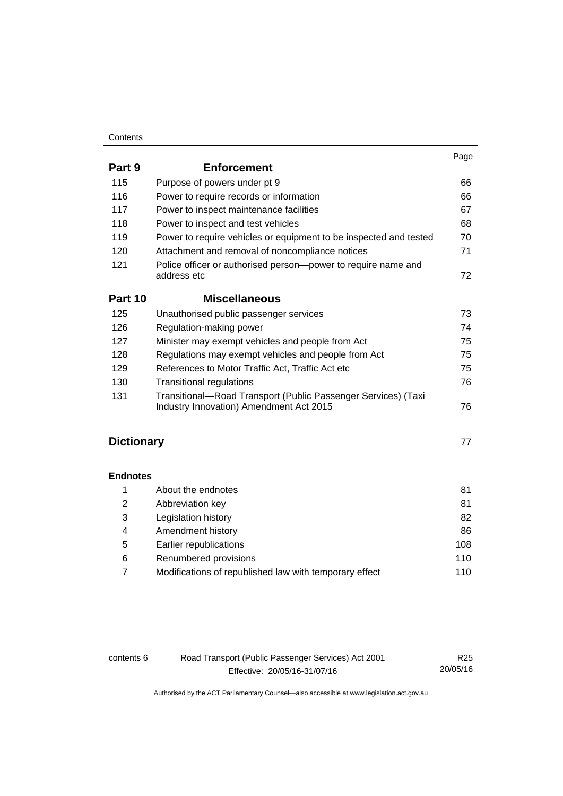#### **Contents**

|                   |                                                                                                          | Page |
|-------------------|----------------------------------------------------------------------------------------------------------|------|
| Part 9            | <b>Enforcement</b>                                                                                       |      |
| 115               | Purpose of powers under pt 9                                                                             | 66   |
| 116               | Power to require records or information                                                                  | 66   |
| 117               | Power to inspect maintenance facilities                                                                  | 67   |
| 118               | Power to inspect and test vehicles                                                                       | 68   |
| 119               | Power to require vehicles or equipment to be inspected and tested                                        | 70   |
| 120               | Attachment and removal of noncompliance notices                                                          | 71   |
| 121               | Police officer or authorised person-power to require name and<br>address etc                             | 72   |
| Part 10           | <b>Miscellaneous</b>                                                                                     |      |
| 125               | Unauthorised public passenger services                                                                   | 73   |
| 126               | Regulation-making power                                                                                  | 74   |
| 127               | Minister may exempt vehicles and people from Act                                                         | 75   |
| 128               | Regulations may exempt vehicles and people from Act                                                      | 75   |
| 129               | References to Motor Traffic Act, Traffic Act etc                                                         | 75   |
| 130               | <b>Transitional regulations</b>                                                                          | 76   |
| 131               | Transitional-Road Transport (Public Passenger Services) (Taxi<br>Industry Innovation) Amendment Act 2015 | 76   |
| <b>Dictionary</b> |                                                                                                          | 77   |
| <b>Endnotes</b>   |                                                                                                          |      |
| 1                 | About the endnotes                                                                                       | 81   |
| $\overline{2}$    | Abbreviation key                                                                                         | 81   |
| 3                 | Legislation history                                                                                      | 82   |
| $\overline{4}$    | Amendment history                                                                                        | 86   |
| 5                 | Earlier republications                                                                                   | 108  |
| 6                 | Renumbered provisions                                                                                    | 110  |

| Modifications of republished law with temporary effect | 110 |
|--------------------------------------------------------|-----|

contents 6 Road Transport (Public Passenger Services) Act 2001 Effective: 20/05/16-31/07/16

R25 20/05/16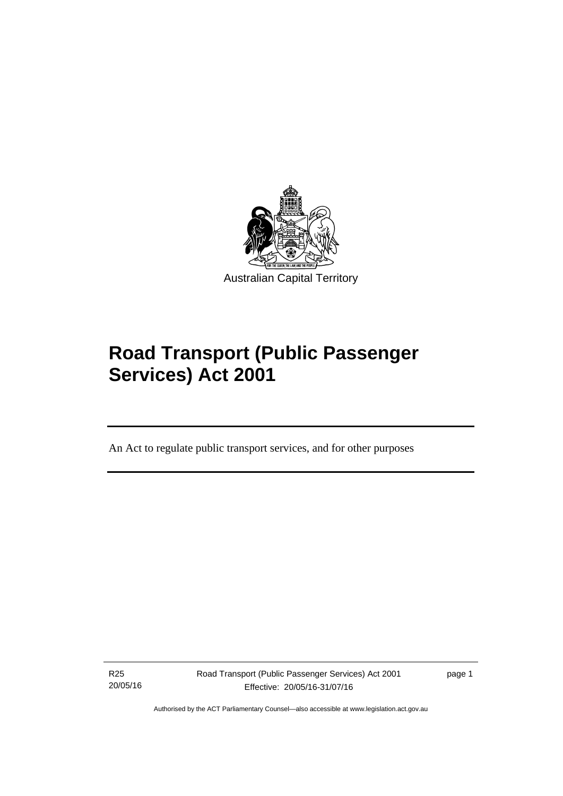

# **Road Transport (Public Passenger Services) Act 2001**

An Act to regulate public transport services, and for other purposes

R25 20/05/16

l

Road Transport (Public Passenger Services) Act 2001 Effective: 20/05/16-31/07/16

page 1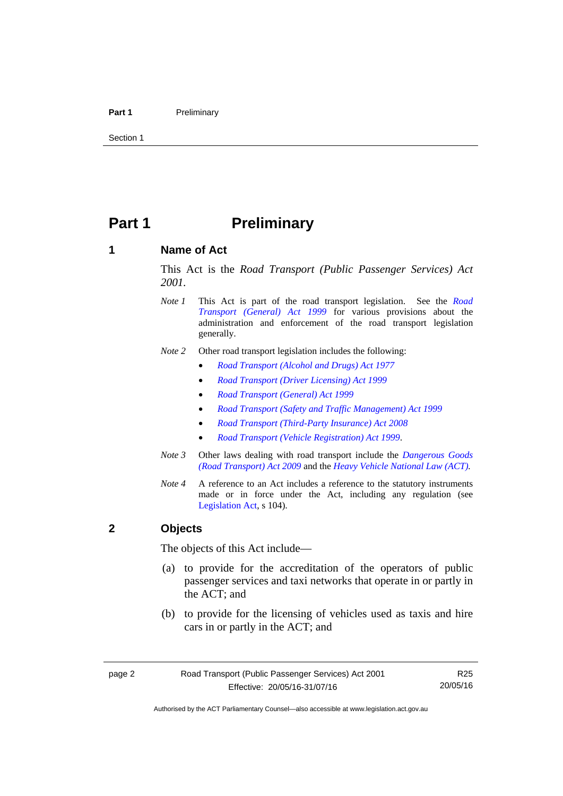#### Part 1 **Preliminary**

Section 1

# <span id="page-9-0"></span>**Part 1** Preliminary

#### <span id="page-9-1"></span>**1 Name of Act**

This Act is the *Road Transport (Public Passenger Services) Act 2001.* 

- *Note 1* This Act is part of the road transport legislation. See the *[Road](http://www.legislation.act.gov.au/a/1999-77)  [Transport \(General\) Act 1999](http://www.legislation.act.gov.au/a/1999-77)* for various provisions about the administration and enforcement of the road transport legislation generally.
- *Note 2* Other road transport legislation includes the following:
	- *[Road Transport \(Alcohol and Drugs\) Act 1977](http://www.legislation.act.gov.au/a/1977-17)*
	- *[Road Transport \(Driver Licensing\) Act 1999](http://www.legislation.act.gov.au/a/1999-78)*
	- *[Road Transport \(General\) Act 1999](http://www.legislation.act.gov.au/a/1999-77)*
	- *[Road Transport \(Safety and Traffic Management\) Act 1999](http://www.legislation.act.gov.au/a/1999-80)*
	- *[Road Transport \(Third-Party Insurance\) Act 2008](http://www.legislation.act.gov.au/a/2008-1)*
	- *[Road Transport \(Vehicle Registration\) Act 1999](http://www.legislation.act.gov.au/a/1999-81)*.
- *Note 3* Other laws dealing with road transport include the *[Dangerous Goods](http://www.legislation.act.gov.au/a/2009-34)  [\(Road Transport\) Act 2009](http://www.legislation.act.gov.au/a/2009-34)* and the *[Heavy Vehicle National Law \(ACT\).](http://www.legislation.act.gov.au/a/db_49155/default.asp)*
- *Note 4* A reference to an Act includes a reference to the statutory instruments made or in force under the Act, including any regulation (see [Legislation Act,](http://www.legislation.act.gov.au/a/2001-14) s 104).

#### <span id="page-9-2"></span>**2 Objects**

The objects of this Act include—

- (a) to provide for the accreditation of the operators of public passenger services and taxi networks that operate in or partly in the ACT; and
- (b) to provide for the licensing of vehicles used as taxis and hire cars in or partly in the ACT; and

R25 20/05/16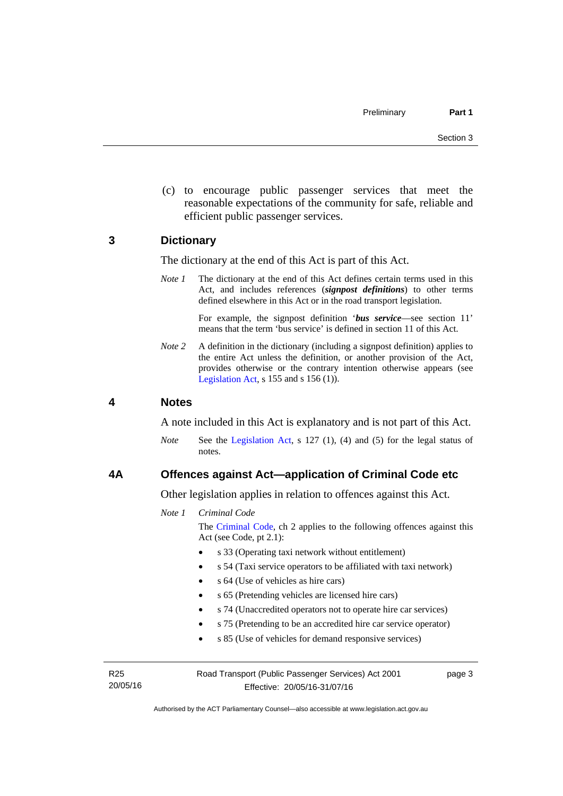(c) to encourage public passenger services that meet the reasonable expectations of the community for safe, reliable and efficient public passenger services.

#### <span id="page-10-0"></span>**3 Dictionary**

The dictionary at the end of this Act is part of this Act.

*Note 1* The dictionary at the end of this Act defines certain terms used in this Act, and includes references (*signpost definitions*) to other terms defined elsewhere in this Act or in the road transport legislation.

> For example, the signpost definition '*bus service*—see section 11' means that the term 'bus service' is defined in section 11 of this Act.

*Note* 2 A definition in the dictionary (including a signpost definition) applies to the entire Act unless the definition, or another provision of the Act, provides otherwise or the contrary intention otherwise appears (see [Legislation Act,](http://www.legislation.act.gov.au/a/2001-14) s  $155$  and s  $156$  (1)).

#### <span id="page-10-1"></span>**4 Notes**

A note included in this Act is explanatory and is not part of this Act.

*Note* See the [Legislation Act](http://www.legislation.act.gov.au/a/2001-14), s 127 (1), (4) and (5) for the legal status of notes.

#### <span id="page-10-2"></span>**4A Offences against Act—application of Criminal Code etc**

Other legislation applies in relation to offences against this Act.

*Note 1 Criminal Code*

The [Criminal Code](http://www.legislation.act.gov.au/a/2002-51), ch 2 applies to the following offences against this Act (see Code, pt 2.1):

- s 33 (Operating taxi network without entitlement)
- s 54 (Taxi service operators to be affiliated with taxi network)
- s 64 (Use of vehicles as hire cars)
- s 65 (Pretending vehicles are licensed hire cars)
- s 74 (Unaccredited operators not to operate hire car services)
- s 75 (Pretending to be an accredited hire car service operator)
- s 85 (Use of vehicles for demand responsive services)

R25 20/05/16 Road Transport (Public Passenger Services) Act 2001 Effective: 20/05/16-31/07/16

page 3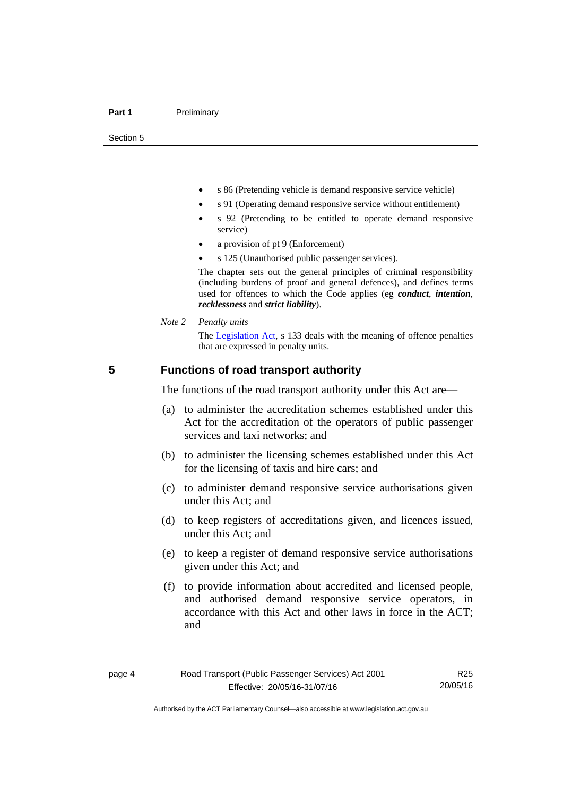Section 5

- s 86 (Pretending vehicle is demand responsive service vehicle)
- s 91 (Operating demand responsive service without entitlement)
- s 92 (Pretending to be entitled to operate demand responsive service)
- a provision of pt 9 (Enforcement)
- s 125 (Unauthorised public passenger services).

The chapter sets out the general principles of criminal responsibility (including burdens of proof and general defences), and defines terms used for offences to which the Code applies (eg *conduct*, *intention*, *recklessness* and *strict liability*).

*Note 2 Penalty units* 

The [Legislation Act](http://www.legislation.act.gov.au/a/2001-14), s 133 deals with the meaning of offence penalties that are expressed in penalty units.

#### <span id="page-11-0"></span>**5 Functions of road transport authority**

The functions of the road transport authority under this Act are—

- (a) to administer the accreditation schemes established under this Act for the accreditation of the operators of public passenger services and taxi networks; and
- (b) to administer the licensing schemes established under this Act for the licensing of taxis and hire cars; and
- (c) to administer demand responsive service authorisations given under this Act; and
- (d) to keep registers of accreditations given, and licences issued, under this Act; and
- (e) to keep a register of demand responsive service authorisations given under this Act; and
- (f) to provide information about accredited and licensed people, and authorised demand responsive service operators, in accordance with this Act and other laws in force in the ACT; and

R25 20/05/16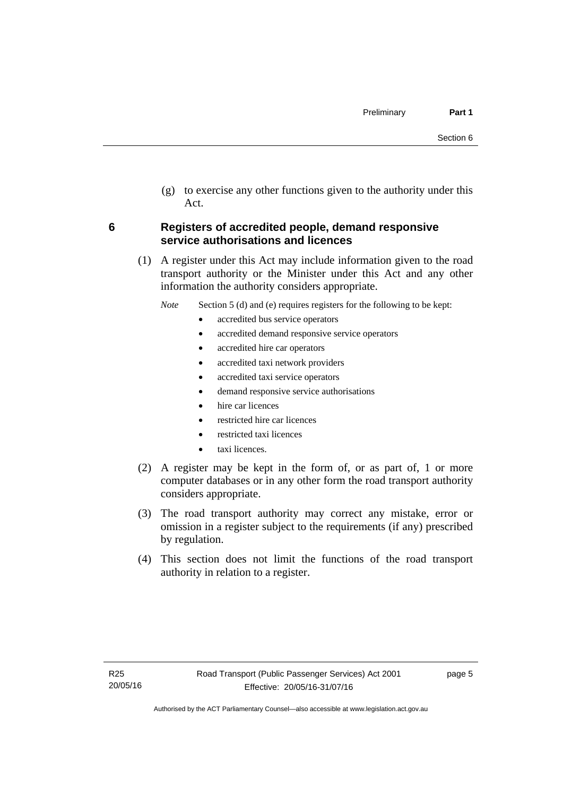(g) to exercise any other functions given to the authority under this Act.

#### <span id="page-12-0"></span>**6 Registers of accredited people, demand responsive service authorisations and licences**

(1) A register under this Act may include information given to the road transport authority or the Minister under this Act and any other information the authority considers appropriate.

*Note* Section 5 (d) and (e) requires registers for the following to be kept:

- accredited bus service operators
- accredited demand responsive service operators
- accredited hire car operators
- accredited taxi network providers
- accredited taxi service operators
- demand responsive service authorisations
- hire car licences
- restricted hire car licences
- restricted taxi licences
- taxi licences.
- (2) A register may be kept in the form of, or as part of, 1 or more computer databases or in any other form the road transport authority considers appropriate.
- (3) The road transport authority may correct any mistake, error or omission in a register subject to the requirements (if any) prescribed by regulation.
- (4) This section does not limit the functions of the road transport authority in relation to a register.

page 5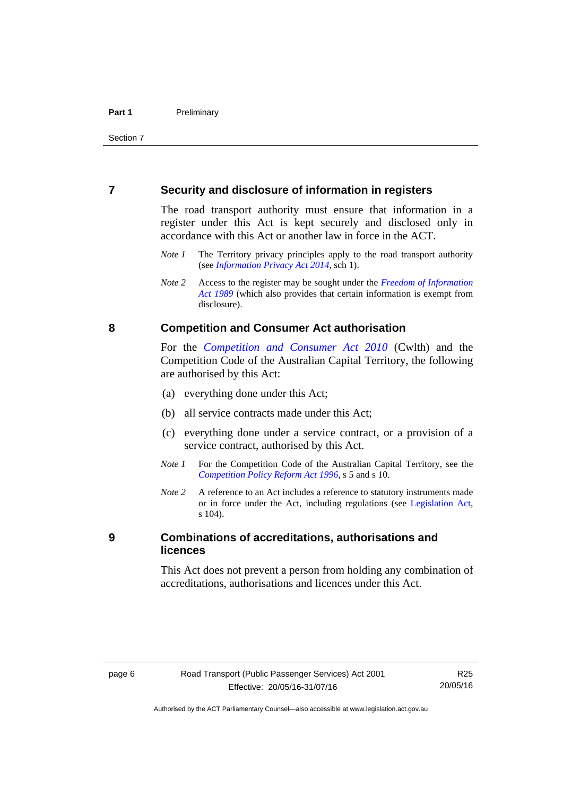#### <span id="page-13-0"></span>**7 Security and disclosure of information in registers**

The road transport authority must ensure that information in a register under this Act is kept securely and disclosed only in accordance with this Act or another law in force in the ACT.

- *Note 1* The Territory privacy principles apply to the road transport authority (see *[Information Privacy Act 2014](http://www.legislation.act.gov.au/a/2014-24/default.asp)*, sch 1).
- *Note 2* Access to the register may be sought under the *[Freedom of Information](http://www.legislation.act.gov.au/a/alt_a1989-46co)  [Act 1989](http://www.legislation.act.gov.au/a/alt_a1989-46co)* (which also provides that certain information is exempt from disclosure).

#### <span id="page-13-1"></span>**8 Competition and Consumer Act authorisation**

For the *[Competition and Consumer Act 2010](http://www.comlaw.gov.au/Details/C2013C00004)* (Cwlth) and the Competition Code of the Australian Capital Territory, the following are authorised by this Act:

- (a) everything done under this Act;
- (b) all service contracts made under this Act;
- (c) everything done under a service contract, or a provision of a service contract, authorised by this Act.
- *Note 1* For the Competition Code of the Australian Capital Territory, see the *[Competition Policy Reform Act 1996](http://www.legislation.act.gov.au/a/1996-21)*, s 5 and s 10.
- *Note 2* A reference to an Act includes a reference to statutory instruments made or in force under the Act, including regulations (see [Legislation Act,](http://www.legislation.act.gov.au/a/2001-14) s 104).

#### <span id="page-13-2"></span>**9 Combinations of accreditations, authorisations and licences**

This Act does not prevent a person from holding any combination of accreditations, authorisations and licences under this Act.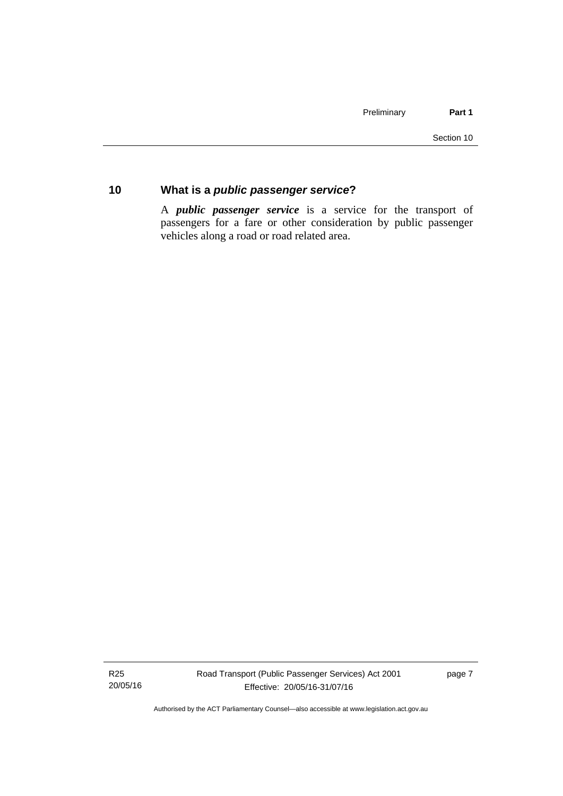#### <span id="page-14-0"></span>**10 What is a** *public passenger service***?**

A *public passenger service* is a service for the transport of passengers for a fare or other consideration by public passenger vehicles along a road or road related area.

R25 20/05/16 page 7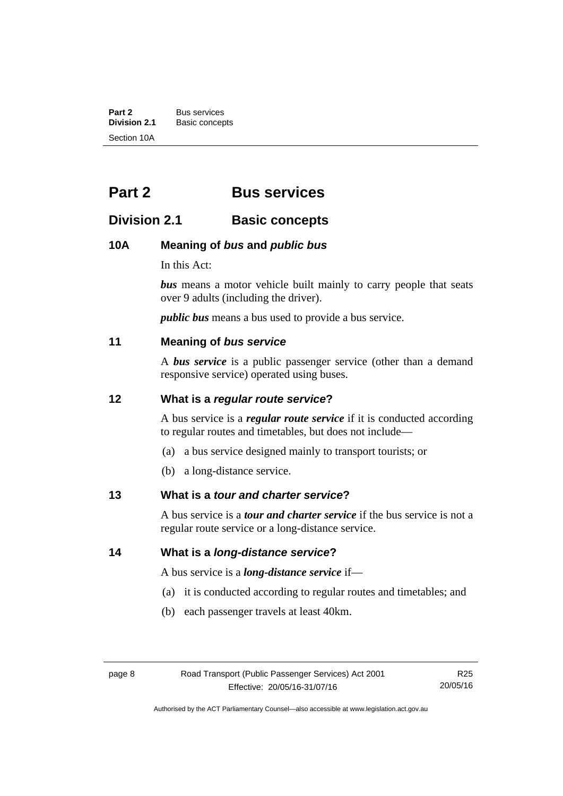**Part 2** Bus services<br> **Division 2.1** Basic concer **Division 2.1** Basic concepts Section 10A

# <span id="page-15-0"></span>**Part 2 Bus services**

### <span id="page-15-1"></span>**Division 2.1 Basic concepts**

#### <span id="page-15-2"></span>**10A Meaning of** *bus* **and** *public bus*

In this Act:

*bus* means a motor vehicle built mainly to carry people that seats over 9 adults (including the driver).

*public bus* means a bus used to provide a bus service.

#### <span id="page-15-3"></span>**11 Meaning of** *bus service*

A *bus service* is a public passenger service (other than a demand responsive service) operated using buses.

#### <span id="page-15-4"></span>**12 What is a** *regular route service***?**

A bus service is a *regular route service* if it is conducted according to regular routes and timetables, but does not include—

- (a) a bus service designed mainly to transport tourists; or
- (b) a long-distance service.

#### <span id="page-15-5"></span>**13 What is a** *tour and charter service***?**

A bus service is a *tour and charter service* if the bus service is not a regular route service or a long-distance service.

<span id="page-15-6"></span>**14 What is a** *long-distance service***?**

A bus service is a *long-distance service* if—

- (a) it is conducted according to regular routes and timetables; and
- (b) each passenger travels at least 40km.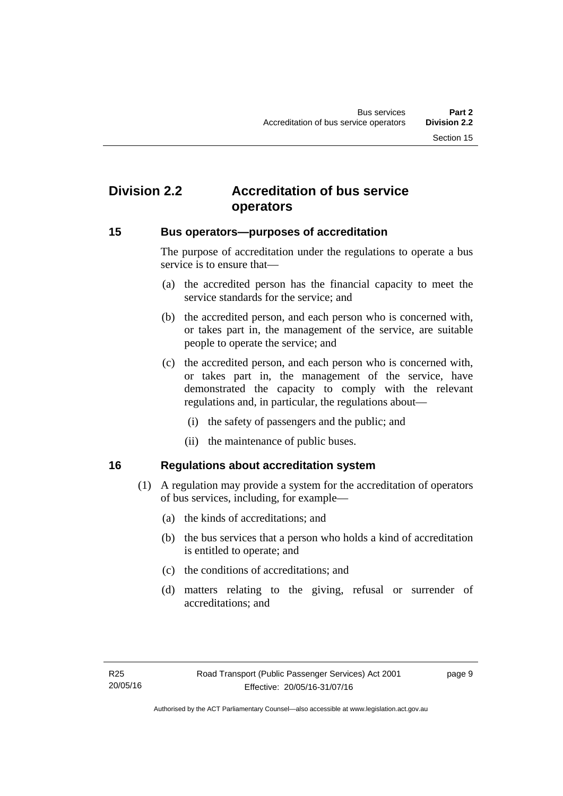# <span id="page-16-0"></span>**Division 2.2 Accreditation of bus service operators**

#### <span id="page-16-1"></span>**15 Bus operators—purposes of accreditation**

The purpose of accreditation under the regulations to operate a bus service is to ensure that—

- (a) the accredited person has the financial capacity to meet the service standards for the service; and
- (b) the accredited person, and each person who is concerned with, or takes part in, the management of the service, are suitable people to operate the service; and
- (c) the accredited person, and each person who is concerned with, or takes part in, the management of the service, have demonstrated the capacity to comply with the relevant regulations and, in particular, the regulations about—
	- (i) the safety of passengers and the public; and
	- (ii) the maintenance of public buses.

#### <span id="page-16-2"></span>**16 Regulations about accreditation system**

- (1) A regulation may provide a system for the accreditation of operators of bus services, including, for example—
	- (a) the kinds of accreditations; and
	- (b) the bus services that a person who holds a kind of accreditation is entitled to operate; and
	- (c) the conditions of accreditations; and
	- (d) matters relating to the giving, refusal or surrender of accreditations; and

page 9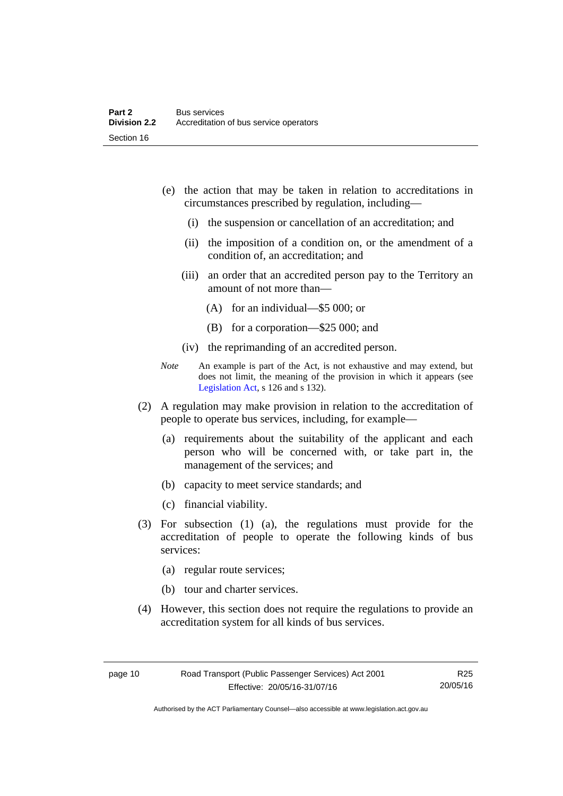- (e) the action that may be taken in relation to accreditations in circumstances prescribed by regulation, including—
	- (i) the suspension or cancellation of an accreditation; and
	- (ii) the imposition of a condition on, or the amendment of a condition of, an accreditation; and
	- (iii) an order that an accredited person pay to the Territory an amount of not more than—
		- (A) for an individual—\$5 000; or
		- (B) for a corporation—\$25 000; and
	- (iv) the reprimanding of an accredited person.
- *Note* An example is part of the Act, is not exhaustive and may extend, but does not limit, the meaning of the provision in which it appears (see [Legislation Act,](http://www.legislation.act.gov.au/a/2001-14) s 126 and s 132).
- (2) A regulation may make provision in relation to the accreditation of people to operate bus services, including, for example—
	- (a) requirements about the suitability of the applicant and each person who will be concerned with, or take part in, the management of the services; and
	- (b) capacity to meet service standards; and
	- (c) financial viability.
- (3) For subsection (1) (a), the regulations must provide for the accreditation of people to operate the following kinds of bus services:
	- (a) regular route services;
	- (b) tour and charter services.
- (4) However, this section does not require the regulations to provide an accreditation system for all kinds of bus services.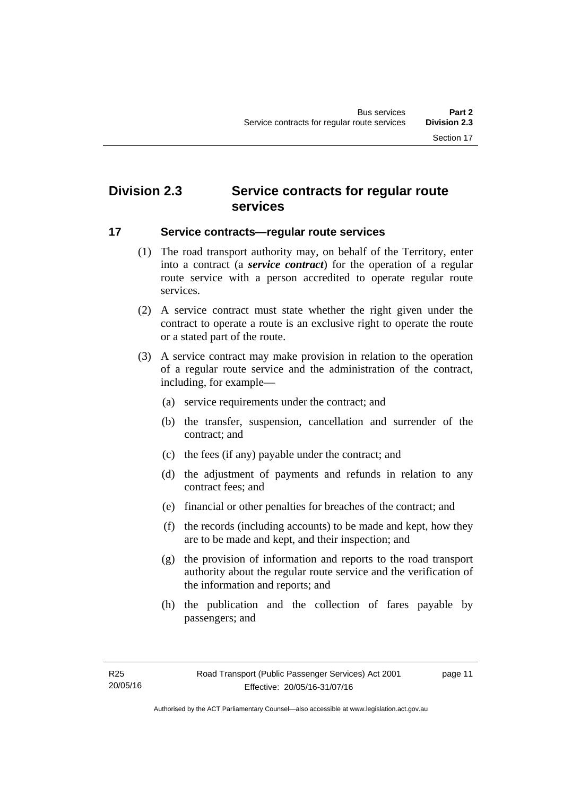# <span id="page-18-0"></span>**Division 2.3 Service contracts for regular route services**

#### <span id="page-18-1"></span>**17 Service contracts—regular route services**

- (1) The road transport authority may, on behalf of the Territory, enter into a contract (a *service contract*) for the operation of a regular route service with a person accredited to operate regular route services.
- (2) A service contract must state whether the right given under the contract to operate a route is an exclusive right to operate the route or a stated part of the route.
- (3) A service contract may make provision in relation to the operation of a regular route service and the administration of the contract, including, for example—
	- (a) service requirements under the contract; and
	- (b) the transfer, suspension, cancellation and surrender of the contract; and
	- (c) the fees (if any) payable under the contract; and
	- (d) the adjustment of payments and refunds in relation to any contract fees; and
	- (e) financial or other penalties for breaches of the contract; and
	- (f) the records (including accounts) to be made and kept, how they are to be made and kept, and their inspection; and
	- (g) the provision of information and reports to the road transport authority about the regular route service and the verification of the information and reports; and
	- (h) the publication and the collection of fares payable by passengers; and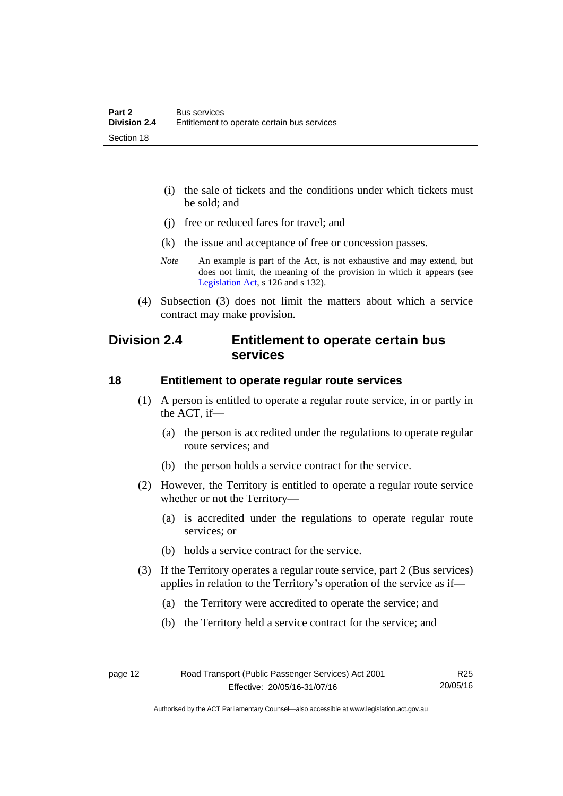- (i) the sale of tickets and the conditions under which tickets must be sold; and
- (j) free or reduced fares for travel; and
- (k) the issue and acceptance of free or concession passes.
- *Note* An example is part of the Act, is not exhaustive and may extend, but does not limit, the meaning of the provision in which it appears (see [Legislation Act,](http://www.legislation.act.gov.au/a/2001-14) s 126 and s 132).
- (4) Subsection (3) does not limit the matters about which a service contract may make provision.

## <span id="page-19-0"></span>**Division 2.4 Entitlement to operate certain bus services**

#### <span id="page-19-1"></span>**18 Entitlement to operate regular route services**

- (1) A person is entitled to operate a regular route service, in or partly in the ACT, if—
	- (a) the person is accredited under the regulations to operate regular route services; and
	- (b) the person holds a service contract for the service.
- (2) However, the Territory is entitled to operate a regular route service whether or not the Territory—
	- (a) is accredited under the regulations to operate regular route services; or
	- (b) holds a service contract for the service.
- (3) If the Territory operates a regular route service, part 2 (Bus services) applies in relation to the Territory's operation of the service as if—
	- (a) the Territory were accredited to operate the service; and
	- (b) the Territory held a service contract for the service; and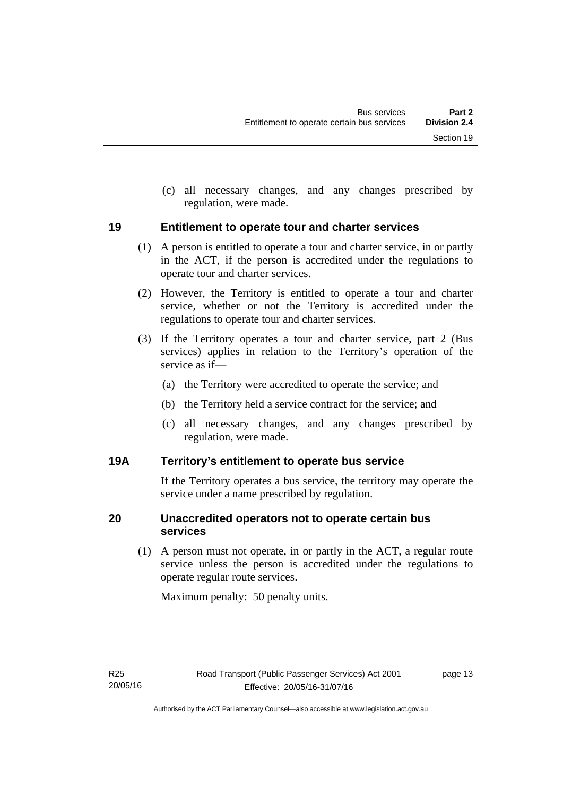(c) all necessary changes, and any changes prescribed by regulation, were made.

#### <span id="page-20-0"></span>**19 Entitlement to operate tour and charter services**

- (1) A person is entitled to operate a tour and charter service, in or partly in the ACT, if the person is accredited under the regulations to operate tour and charter services.
- (2) However, the Territory is entitled to operate a tour and charter service, whether or not the Territory is accredited under the regulations to operate tour and charter services.
- (3) If the Territory operates a tour and charter service, part 2 (Bus services) applies in relation to the Territory's operation of the service as if—
	- (a) the Territory were accredited to operate the service; and
	- (b) the Territory held a service contract for the service; and
	- (c) all necessary changes, and any changes prescribed by regulation, were made.

#### <span id="page-20-1"></span>**19A Territory's entitlement to operate bus service**

If the Territory operates a bus service, the territory may operate the service under a name prescribed by regulation.

#### <span id="page-20-2"></span>**20 Unaccredited operators not to operate certain bus services**

(1) A person must not operate, in or partly in the ACT, a regular route service unless the person is accredited under the regulations to operate regular route services.

Maximum penalty: 50 penalty units.

page 13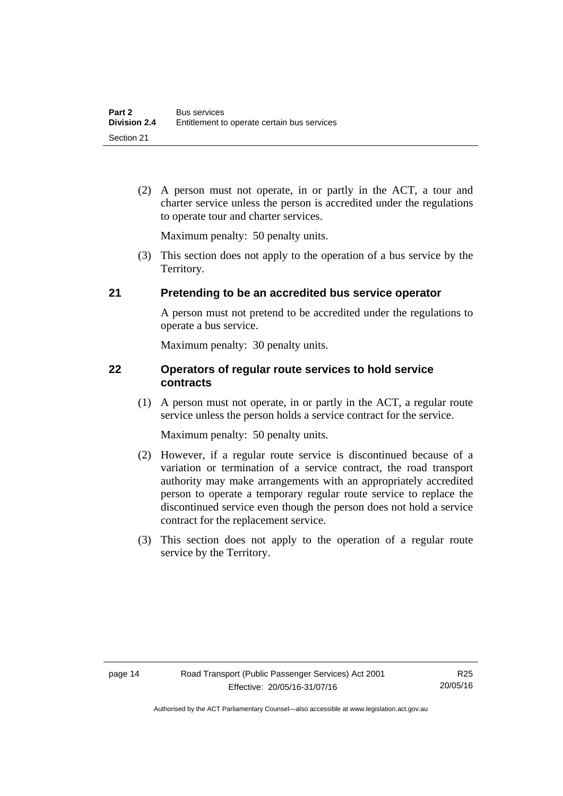(2) A person must not operate, in or partly in the ACT, a tour and charter service unless the person is accredited under the regulations to operate tour and charter services.

Maximum penalty: 50 penalty units.

 (3) This section does not apply to the operation of a bus service by the Territory.

#### <span id="page-21-0"></span>**21 Pretending to be an accredited bus service operator**

A person must not pretend to be accredited under the regulations to operate a bus service.

Maximum penalty: 30 penalty units.

#### <span id="page-21-1"></span>**22 Operators of regular route services to hold service contracts**

(1) A person must not operate, in or partly in the ACT, a regular route service unless the person holds a service contract for the service.

Maximum penalty: 50 penalty units.

- (2) However, if a regular route service is discontinued because of a variation or termination of a service contract, the road transport authority may make arrangements with an appropriately accredited person to operate a temporary regular route service to replace the discontinued service even though the person does not hold a service contract for the replacement service.
- (3) This section does not apply to the operation of a regular route service by the Territory.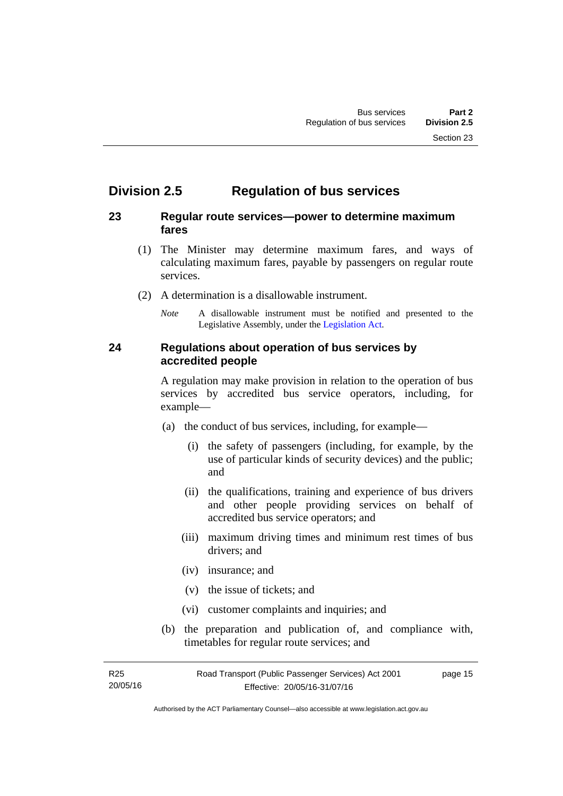# <span id="page-22-0"></span>**Division 2.5 Regulation of bus services**

#### <span id="page-22-1"></span>**23 Regular route services—power to determine maximum fares**

- (1) The Minister may determine maximum fares, and ways of calculating maximum fares, payable by passengers on regular route services.
- (2) A determination is a disallowable instrument.
	- *Note* A disallowable instrument must be notified and presented to the Legislative Assembly, under the [Legislation Act.](http://www.legislation.act.gov.au/a/2001-14)

#### <span id="page-22-2"></span>**24 Regulations about operation of bus services by accredited people**

A regulation may make provision in relation to the operation of bus services by accredited bus service operators, including, for example—

- (a) the conduct of bus services, including, for example—
	- (i) the safety of passengers (including, for example, by the use of particular kinds of security devices) and the public; and
	- (ii) the qualifications, training and experience of bus drivers and other people providing services on behalf of accredited bus service operators; and
	- (iii) maximum driving times and minimum rest times of bus drivers; and
	- (iv) insurance; and
	- (v) the issue of tickets; and
	- (vi) customer complaints and inquiries; and
- (b) the preparation and publication of, and compliance with, timetables for regular route services; and

R25 20/05/16 Road Transport (Public Passenger Services) Act 2001 Effective: 20/05/16-31/07/16 page 15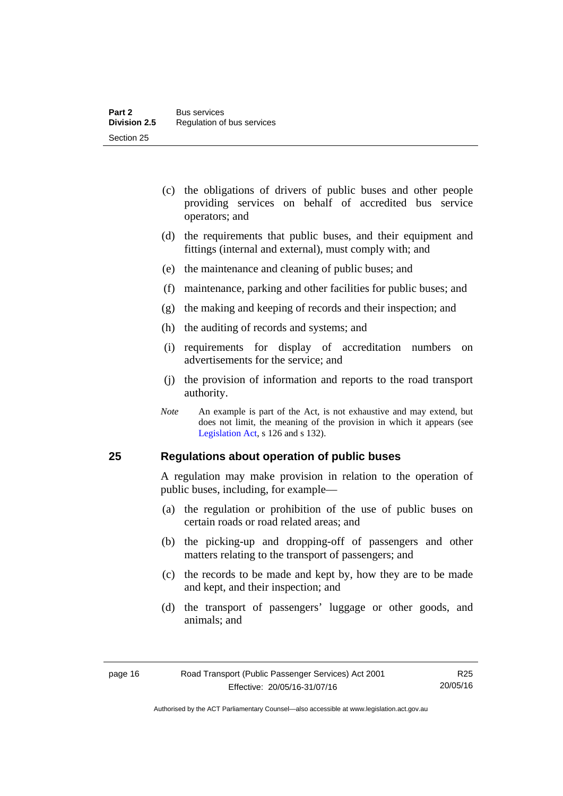- (c) the obligations of drivers of public buses and other people providing services on behalf of accredited bus service operators; and
- (d) the requirements that public buses, and their equipment and fittings (internal and external), must comply with; and
- (e) the maintenance and cleaning of public buses; and
- (f) maintenance, parking and other facilities for public buses; and
- (g) the making and keeping of records and their inspection; and
- (h) the auditing of records and systems; and
- (i) requirements for display of accreditation numbers on advertisements for the service; and
- (j) the provision of information and reports to the road transport authority.
- *Note* An example is part of the Act, is not exhaustive and may extend, but does not limit, the meaning of the provision in which it appears (see [Legislation Act,](http://www.legislation.act.gov.au/a/2001-14) s 126 and s 132).

#### <span id="page-23-0"></span>**25 Regulations about operation of public buses**

A regulation may make provision in relation to the operation of public buses, including, for example—

- (a) the regulation or prohibition of the use of public buses on certain roads or road related areas; and
- (b) the picking-up and dropping-off of passengers and other matters relating to the transport of passengers; and
- (c) the records to be made and kept by, how they are to be made and kept, and their inspection; and
- (d) the transport of passengers' luggage or other goods, and animals; and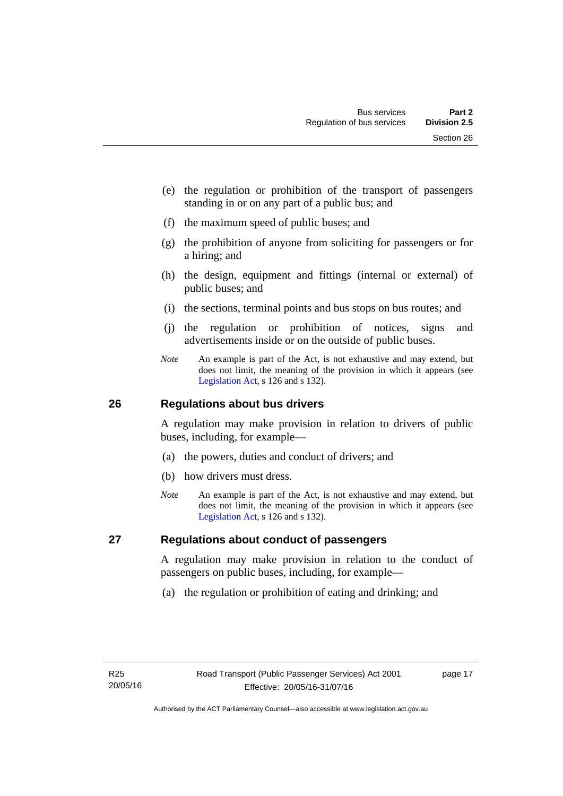- (e) the regulation or prohibition of the transport of passengers standing in or on any part of a public bus; and
- (f) the maximum speed of public buses; and
- (g) the prohibition of anyone from soliciting for passengers or for a hiring; and
- (h) the design, equipment and fittings (internal or external) of public buses; and
- (i) the sections, terminal points and bus stops on bus routes; and
- (j) the regulation or prohibition of notices, signs and advertisements inside or on the outside of public buses.
- *Note* An example is part of the Act, is not exhaustive and may extend, but does not limit, the meaning of the provision in which it appears (see [Legislation Act,](http://www.legislation.act.gov.au/a/2001-14) s 126 and s 132).

#### <span id="page-24-0"></span>**26 Regulations about bus drivers**

A regulation may make provision in relation to drivers of public buses, including, for example—

- (a) the powers, duties and conduct of drivers; and
- (b) how drivers must dress.
- *Note* An example is part of the Act, is not exhaustive and may extend, but does not limit, the meaning of the provision in which it appears (see [Legislation Act,](http://www.legislation.act.gov.au/a/2001-14) s 126 and s 132).

#### <span id="page-24-1"></span>**27 Regulations about conduct of passengers**

A regulation may make provision in relation to the conduct of passengers on public buses, including, for example—

(a) the regulation or prohibition of eating and drinking; and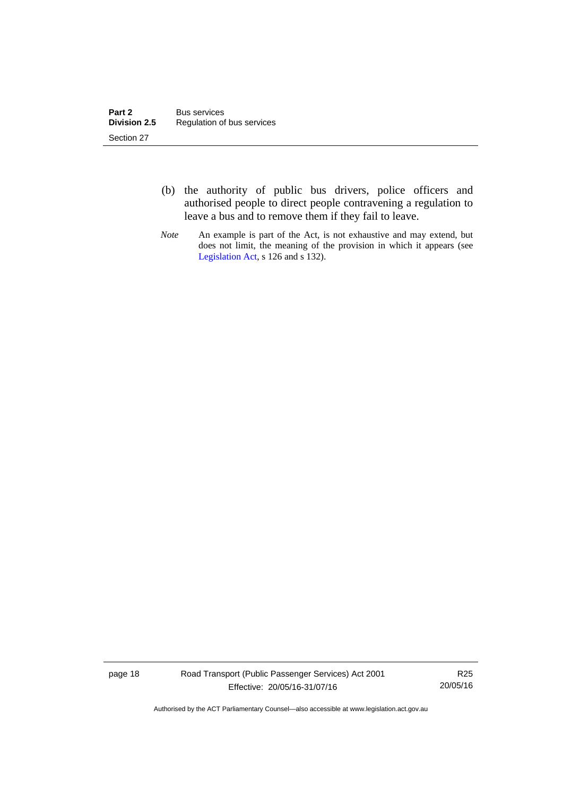- (b) the authority of public bus drivers, police officers and authorised people to direct people contravening a regulation to leave a bus and to remove them if they fail to leave.
- *Note* An example is part of the Act, is not exhaustive and may extend, but does not limit, the meaning of the provision in which it appears (see [Legislation Act,](http://www.legislation.act.gov.au/a/2001-14) s 126 and s 132).

page 18 Road Transport (Public Passenger Services) Act 2001 Effective: 20/05/16-31/07/16

R25 20/05/16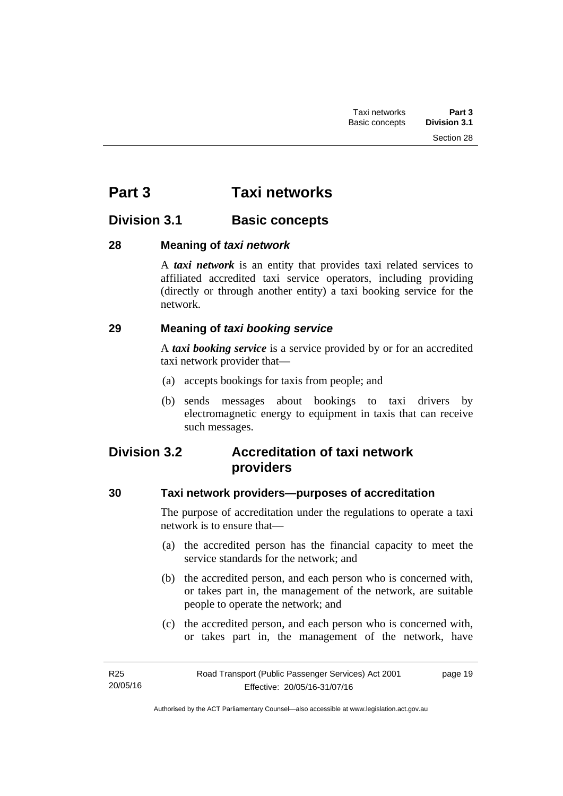# <span id="page-26-0"></span>**Part 3 Taxi networks**

# <span id="page-26-1"></span>**Division 3.1 Basic concepts**

#### <span id="page-26-2"></span>**28 Meaning of** *taxi network*

A *taxi network* is an entity that provides taxi related services to affiliated accredited taxi service operators, including providing (directly or through another entity) a taxi booking service for the network.

#### <span id="page-26-3"></span>**29 Meaning of** *taxi booking service*

A *taxi booking service* is a service provided by or for an accredited taxi network provider that—

- (a) accepts bookings for taxis from people; and
- (b) sends messages about bookings to taxi drivers by electromagnetic energy to equipment in taxis that can receive such messages.

# <span id="page-26-4"></span>**Division 3.2 Accreditation of taxi network providers**

### <span id="page-26-5"></span>**30 Taxi network providers—purposes of accreditation**

The purpose of accreditation under the regulations to operate a taxi network is to ensure that—

- (a) the accredited person has the financial capacity to meet the service standards for the network; and
- (b) the accredited person, and each person who is concerned with, or takes part in, the management of the network, are suitable people to operate the network; and
- (c) the accredited person, and each person who is concerned with, or takes part in, the management of the network, have

page 19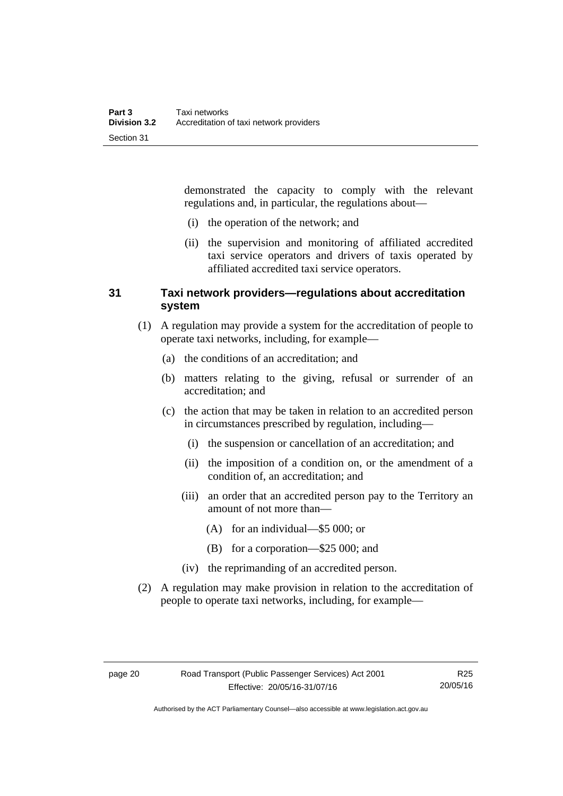demonstrated the capacity to comply with the relevant regulations and, in particular, the regulations about—

- (i) the operation of the network; and
- (ii) the supervision and monitoring of affiliated accredited taxi service operators and drivers of taxis operated by affiliated accredited taxi service operators.

#### <span id="page-27-0"></span>**31 Taxi network providers—regulations about accreditation system**

- (1) A regulation may provide a system for the accreditation of people to operate taxi networks, including, for example—
	- (a) the conditions of an accreditation; and
	- (b) matters relating to the giving, refusal or surrender of an accreditation; and
	- (c) the action that may be taken in relation to an accredited person in circumstances prescribed by regulation, including—
		- (i) the suspension or cancellation of an accreditation; and
		- (ii) the imposition of a condition on, or the amendment of a condition of, an accreditation; and
		- (iii) an order that an accredited person pay to the Territory an amount of not more than—
			- (A) for an individual—\$5 000; or
			- (B) for a corporation—\$25 000; and
		- (iv) the reprimanding of an accredited person.
- (2) A regulation may make provision in relation to the accreditation of people to operate taxi networks, including, for example—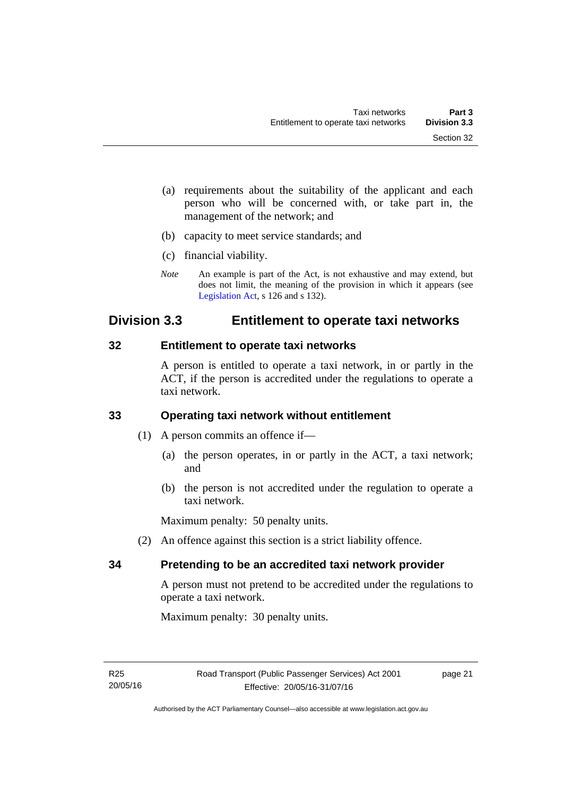- (a) requirements about the suitability of the applicant and each person who will be concerned with, or take part in, the management of the network; and
- (b) capacity to meet service standards; and
- (c) financial viability.
- *Note* An example is part of the Act, is not exhaustive and may extend, but does not limit, the meaning of the provision in which it appears (see [Legislation Act,](http://www.legislation.act.gov.au/a/2001-14) s 126 and s 132).

## <span id="page-28-0"></span>**Division 3.3 Entitlement to operate taxi networks**

#### <span id="page-28-1"></span>**32 Entitlement to operate taxi networks**

A person is entitled to operate a taxi network, in or partly in the ACT, if the person is accredited under the regulations to operate a taxi network.

#### <span id="page-28-2"></span>**33 Operating taxi network without entitlement**

- (1) A person commits an offence if—
	- (a) the person operates, in or partly in the ACT, a taxi network; and
	- (b) the person is not accredited under the regulation to operate a taxi network.

Maximum penalty: 50 penalty units.

(2) An offence against this section is a strict liability offence.

#### <span id="page-28-3"></span>**34 Pretending to be an accredited taxi network provider**

A person must not pretend to be accredited under the regulations to operate a taxi network.

Maximum penalty: 30 penalty units.

page 21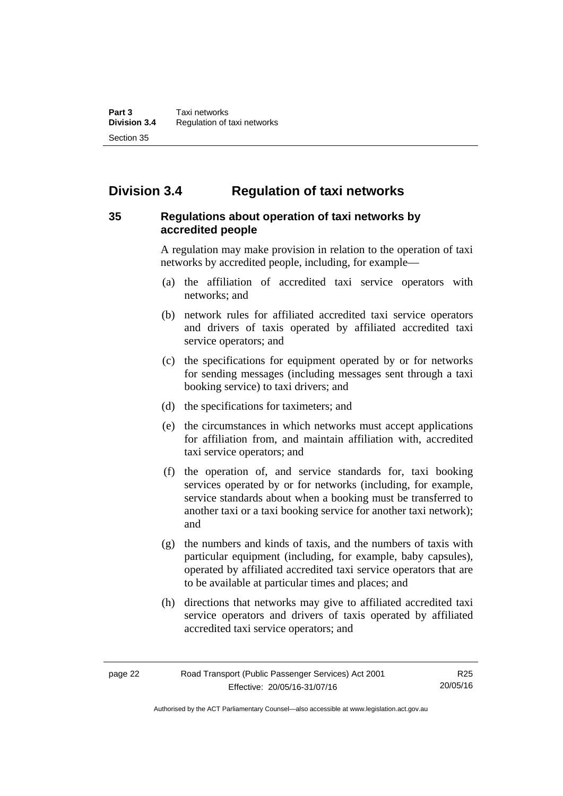# <span id="page-29-0"></span>**Division 3.4 Regulation of taxi networks**

#### <span id="page-29-1"></span>**35 Regulations about operation of taxi networks by accredited people**

A regulation may make provision in relation to the operation of taxi networks by accredited people, including, for example—

- (a) the affiliation of accredited taxi service operators with networks; and
- (b) network rules for affiliated accredited taxi service operators and drivers of taxis operated by affiliated accredited taxi service operators; and
- (c) the specifications for equipment operated by or for networks for sending messages (including messages sent through a taxi booking service) to taxi drivers; and
- (d) the specifications for taximeters; and
- (e) the circumstances in which networks must accept applications for affiliation from, and maintain affiliation with, accredited taxi service operators; and
- (f) the operation of, and service standards for, taxi booking services operated by or for networks (including, for example, service standards about when a booking must be transferred to another taxi or a taxi booking service for another taxi network); and
- (g) the numbers and kinds of taxis, and the numbers of taxis with particular equipment (including, for example, baby capsules), operated by affiliated accredited taxi service operators that are to be available at particular times and places; and
- (h) directions that networks may give to affiliated accredited taxi service operators and drivers of taxis operated by affiliated accredited taxi service operators; and

Authorised by the ACT Parliamentary Counsel—also accessible at www.legislation.act.gov.au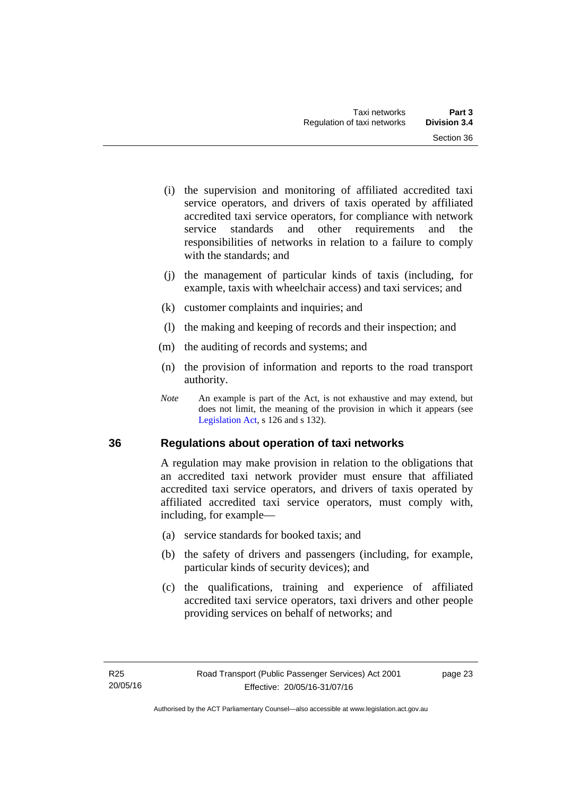- (i) the supervision and monitoring of affiliated accredited taxi service operators, and drivers of taxis operated by affiliated accredited taxi service operators, for compliance with network service standards and other requirements and the responsibilities of networks in relation to a failure to comply with the standards; and
- (j) the management of particular kinds of taxis (including, for example, taxis with wheelchair access) and taxi services; and
- (k) customer complaints and inquiries; and
- (l) the making and keeping of records and their inspection; and
- (m) the auditing of records and systems; and
- (n) the provision of information and reports to the road transport authority.
- *Note* An example is part of the Act, is not exhaustive and may extend, but does not limit, the meaning of the provision in which it appears (see [Legislation Act,](http://www.legislation.act.gov.au/a/2001-14) s 126 and s 132).

#### <span id="page-30-0"></span>**36 Regulations about operation of taxi networks**

A regulation may make provision in relation to the obligations that an accredited taxi network provider must ensure that affiliated accredited taxi service operators, and drivers of taxis operated by affiliated accredited taxi service operators, must comply with, including, for example—

- (a) service standards for booked taxis; and
- (b) the safety of drivers and passengers (including, for example, particular kinds of security devices); and
- (c) the qualifications, training and experience of affiliated accredited taxi service operators, taxi drivers and other people providing services on behalf of networks; and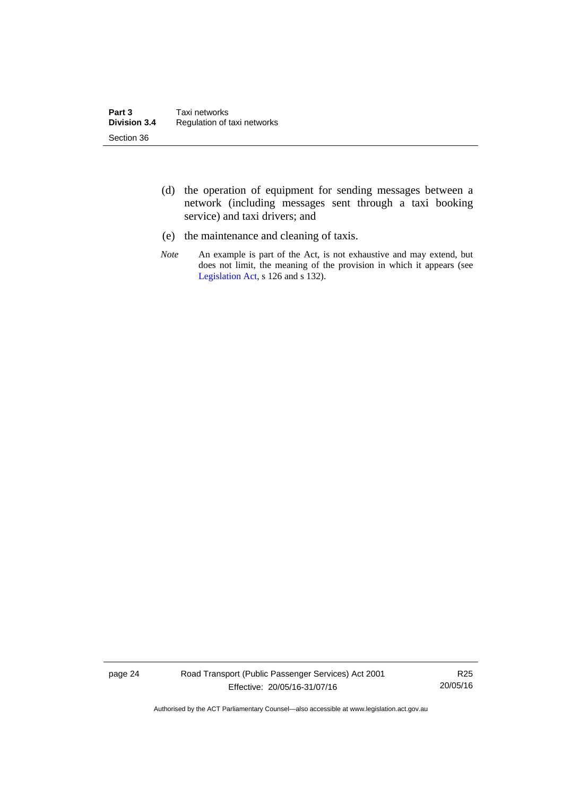- (d) the operation of equipment for sending messages between a network (including messages sent through a taxi booking service) and taxi drivers; and
- (e) the maintenance and cleaning of taxis.
- *Note* An example is part of the Act, is not exhaustive and may extend, but does not limit, the meaning of the provision in which it appears (see [Legislation Act,](http://www.legislation.act.gov.au/a/2001-14) s 126 and s 132).

page 24 Road Transport (Public Passenger Services) Act 2001 Effective: 20/05/16-31/07/16

R25 20/05/16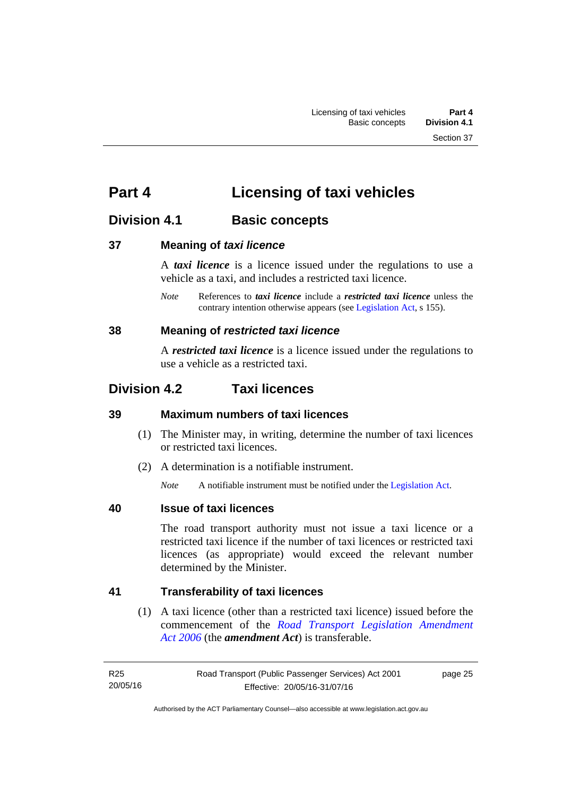# <span id="page-32-0"></span>**Part 4 Licensing of taxi vehicles**

# <span id="page-32-1"></span>**Division 4.1 Basic concepts**

#### <span id="page-32-2"></span>**37 Meaning of** *taxi licence*

A *taxi licence* is a licence issued under the regulations to use a vehicle as a taxi, and includes a restricted taxi licence.

*Note* References to *taxi licence* include a *restricted taxi licence* unless the contrary intention otherwise appears (see [Legislation Act,](http://www.legislation.act.gov.au/a/2001-14) s 155).

#### <span id="page-32-3"></span>**38 Meaning of** *restricted taxi licence*

A *restricted taxi licence* is a licence issued under the regulations to use a vehicle as a restricted taxi.

# <span id="page-32-4"></span>**Division 4.2 Taxi licences**

#### <span id="page-32-5"></span>**39 Maximum numbers of taxi licences**

- (1) The Minister may, in writing, determine the number of taxi licences or restricted taxi licences.
- (2) A determination is a notifiable instrument.

*Note* A notifiable instrument must be notified under the [Legislation Act](http://www.legislation.act.gov.au/a/2001-14).

#### <span id="page-32-6"></span>**40 Issue of taxi licences**

The road transport authority must not issue a taxi licence or a restricted taxi licence if the number of taxi licences or restricted taxi licences (as appropriate) would exceed the relevant number determined by the Minister.

#### <span id="page-32-7"></span>**41 Transferability of taxi licences**

(1) A taxi licence (other than a restricted taxi licence) issued before the commencement of the *[Road Transport Legislation Amendment](http://www.legislation.act.gov.au/a/2006-26)  [Act 2006](http://www.legislation.act.gov.au/a/2006-26)* (the *amendment Act*) is transferable.

page 25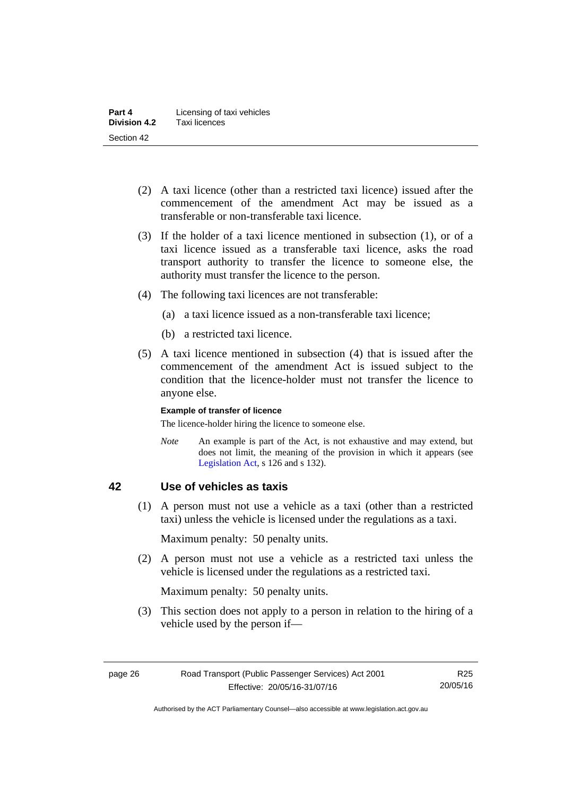- (2) A taxi licence (other than a restricted taxi licence) issued after the commencement of the amendment Act may be issued as a transferable or non-transferable taxi licence.
- (3) If the holder of a taxi licence mentioned in subsection (1), or of a taxi licence issued as a transferable taxi licence, asks the road transport authority to transfer the licence to someone else, the authority must transfer the licence to the person.
- (4) The following taxi licences are not transferable:
	- (a) a taxi licence issued as a non-transferable taxi licence;
	- (b) a restricted taxi licence.
- (5) A taxi licence mentioned in subsection (4) that is issued after the commencement of the amendment Act is issued subject to the condition that the licence-holder must not transfer the licence to anyone else.

#### **Example of transfer of licence**

The licence-holder hiring the licence to someone else.

*Note* An example is part of the Act, is not exhaustive and may extend, but does not limit, the meaning of the provision in which it appears (see [Legislation Act,](http://www.legislation.act.gov.au/a/2001-14) s 126 and s 132).

#### <span id="page-33-0"></span>**42 Use of vehicles as taxis**

 (1) A person must not use a vehicle as a taxi (other than a restricted taxi) unless the vehicle is licensed under the regulations as a taxi.

Maximum penalty: 50 penalty units.

 (2) A person must not use a vehicle as a restricted taxi unless the vehicle is licensed under the regulations as a restricted taxi.

Maximum penalty: 50 penalty units.

 (3) This section does not apply to a person in relation to the hiring of a vehicle used by the person if—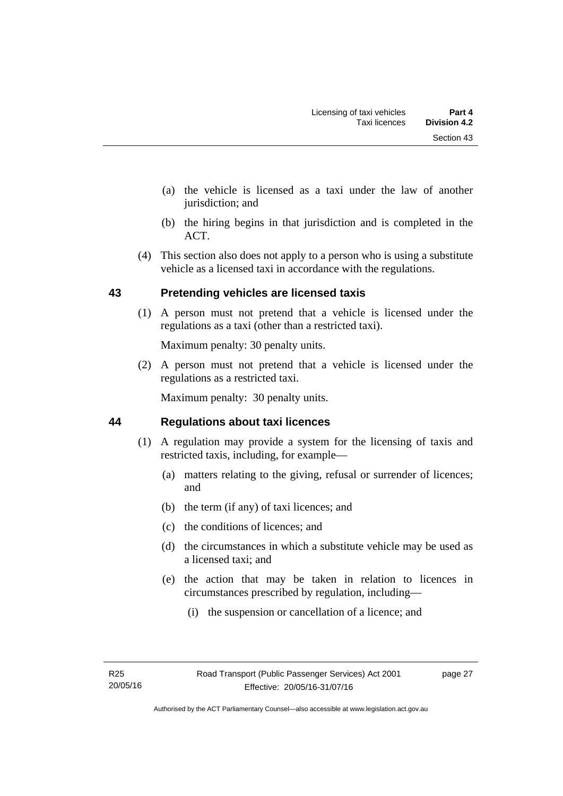- (a) the vehicle is licensed as a taxi under the law of another jurisdiction; and
- (b) the hiring begins in that jurisdiction and is completed in the ACT.
- (4) This section also does not apply to a person who is using a substitute vehicle as a licensed taxi in accordance with the regulations.

#### <span id="page-34-0"></span>**43 Pretending vehicles are licensed taxis**

(1) A person must not pretend that a vehicle is licensed under the regulations as a taxi (other than a restricted taxi).

Maximum penalty: 30 penalty units.

 (2) A person must not pretend that a vehicle is licensed under the regulations as a restricted taxi.

Maximum penalty: 30 penalty units.

#### <span id="page-34-1"></span>**44 Regulations about taxi licences**

- (1) A regulation may provide a system for the licensing of taxis and restricted taxis, including, for example—
	- (a) matters relating to the giving, refusal or surrender of licences; and
	- (b) the term (if any) of taxi licences; and
	- (c) the conditions of licences; and
	- (d) the circumstances in which a substitute vehicle may be used as a licensed taxi; and
	- (e) the action that may be taken in relation to licences in circumstances prescribed by regulation, including—
		- (i) the suspension or cancellation of a licence; and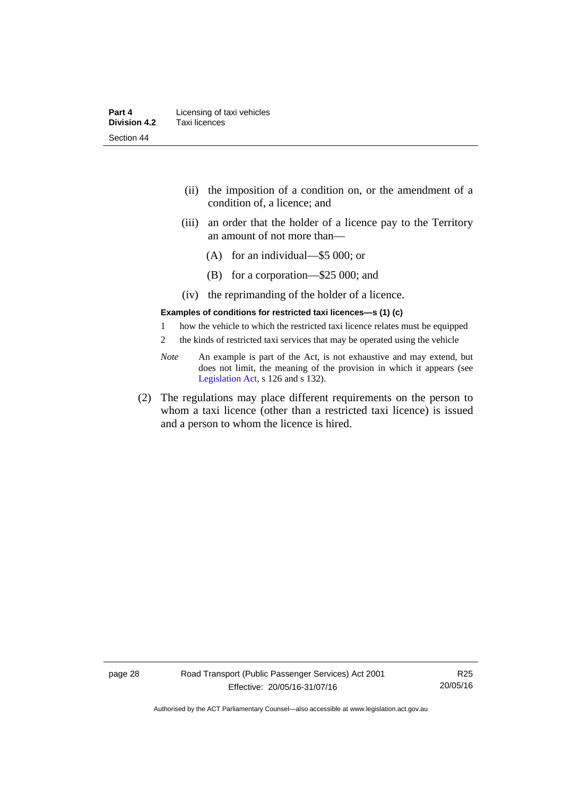| Part 4              | Licensing of taxi vehicles |
|---------------------|----------------------------|
| <b>Division 4.2</b> | Taxi licences              |
| Section 44          |                            |

- (ii) the imposition of a condition on, or the amendment of a condition of, a licence; and
- (iii) an order that the holder of a licence pay to the Territory an amount of not more than—
	- (A) for an individual—\$5 000; or
	- (B) for a corporation—\$25 000; and
- (iv) the reprimanding of the holder of a licence.

#### **Examples of conditions for restricted taxi licences—s (1) (c)**

- 1 how the vehicle to which the restricted taxi licence relates must be equipped
- 2 the kinds of restricted taxi services that may be operated using the vehicle
- *Note* An example is part of the Act, is not exhaustive and may extend, but does not limit, the meaning of the provision in which it appears (see [Legislation Act,](http://www.legislation.act.gov.au/a/2001-14) s 126 and s 132).
- (2) The regulations may place different requirements on the person to whom a taxi licence (other than a restricted taxi licence) is issued and a person to whom the licence is hired.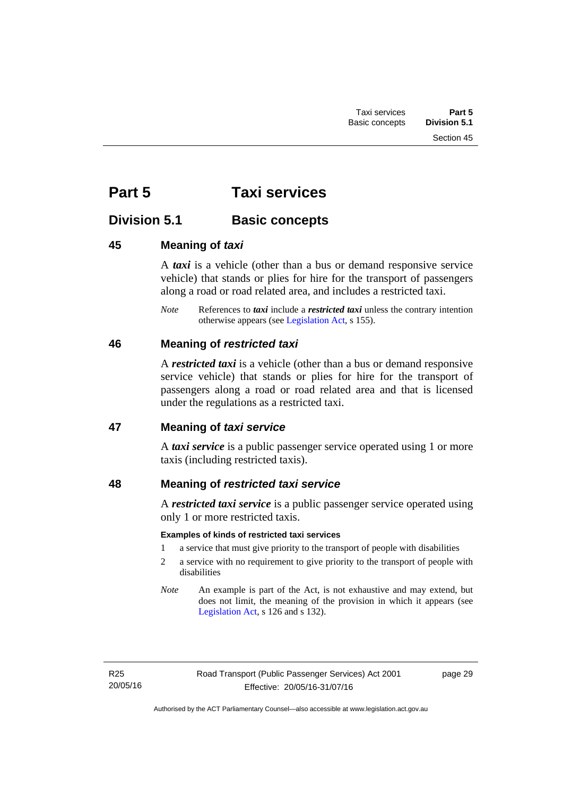# **Part 5 Taxi services**

## **Division 5.1 Basic concepts**

## **45 Meaning of** *taxi*

A *taxi* is a vehicle (other than a bus or demand responsive service vehicle) that stands or plies for hire for the transport of passengers along a road or road related area, and includes a restricted taxi.

*Note* References to *taxi* include a *restricted taxi* unless the contrary intention otherwise appears (see [Legislation Act,](http://www.legislation.act.gov.au/a/2001-14) s 155).

## **46 Meaning of** *restricted taxi*

A *restricted taxi* is a vehicle (other than a bus or demand responsive service vehicle) that stands or plies for hire for the transport of passengers along a road or road related area and that is licensed under the regulations as a restricted taxi.

## **47 Meaning of** *taxi service*

A *taxi service* is a public passenger service operated using 1 or more taxis (including restricted taxis).

## **48 Meaning of** *restricted taxi service*

A *restricted taxi service* is a public passenger service operated using only 1 or more restricted taxis.

## **Examples of kinds of restricted taxi services**

- 1 a service that must give priority to the transport of people with disabilities
- 2 a service with no requirement to give priority to the transport of people with disabilities
- *Note* An example is part of the Act, is not exhaustive and may extend, but does not limit, the meaning of the provision in which it appears (see [Legislation Act,](http://www.legislation.act.gov.au/a/2001-14) s 126 and s 132).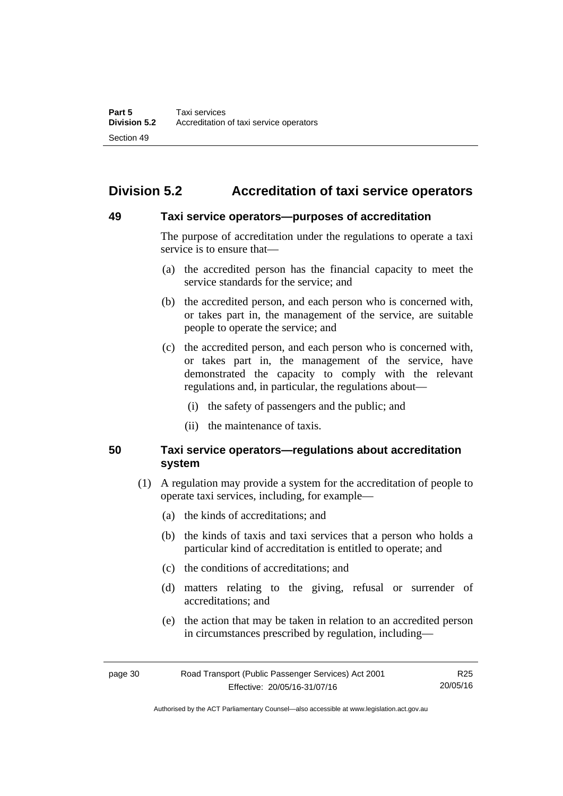# **Division 5.2 Accreditation of taxi service operators**

## **49 Taxi service operators—purposes of accreditation**

The purpose of accreditation under the regulations to operate a taxi service is to ensure that—

- (a) the accredited person has the financial capacity to meet the service standards for the service; and
- (b) the accredited person, and each person who is concerned with, or takes part in, the management of the service, are suitable people to operate the service; and
- (c) the accredited person, and each person who is concerned with, or takes part in, the management of the service, have demonstrated the capacity to comply with the relevant regulations and, in particular, the regulations about—
	- (i) the safety of passengers and the public; and
	- (ii) the maintenance of taxis.

## **50 Taxi service operators—regulations about accreditation system**

- (1) A regulation may provide a system for the accreditation of people to operate taxi services, including, for example—
	- (a) the kinds of accreditations; and
	- (b) the kinds of taxis and taxi services that a person who holds a particular kind of accreditation is entitled to operate; and
	- (c) the conditions of accreditations; and
	- (d) matters relating to the giving, refusal or surrender of accreditations; and
	- (e) the action that may be taken in relation to an accredited person in circumstances prescribed by regulation, including—

page 30 Road Transport (Public Passenger Services) Act 2001 Effective: 20/05/16-31/07/16 R25 20/05/16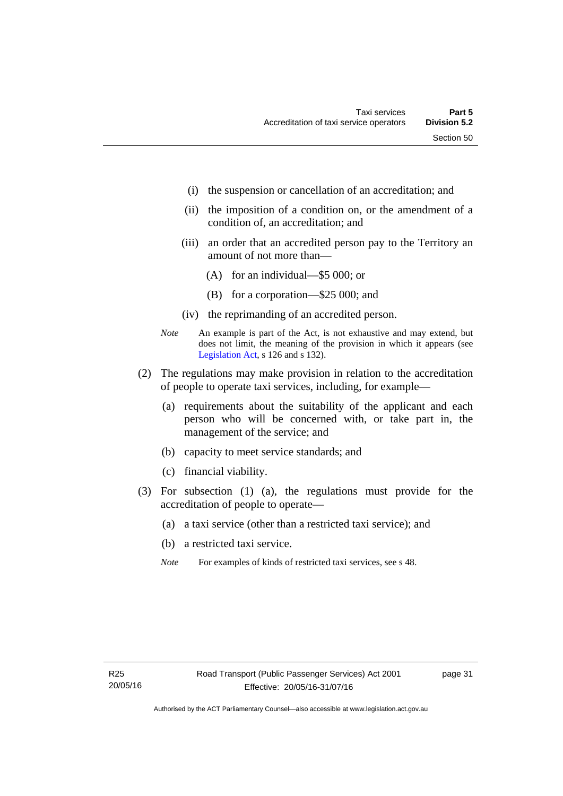- (i) the suspension or cancellation of an accreditation; and
- (ii) the imposition of a condition on, or the amendment of a condition of, an accreditation; and
- (iii) an order that an accredited person pay to the Territory an amount of not more than—
	- (A) for an individual—\$5 000; or
	- (B) for a corporation—\$25 000; and
- (iv) the reprimanding of an accredited person.
- *Note* An example is part of the Act, is not exhaustive and may extend, but does not limit, the meaning of the provision in which it appears (see [Legislation Act,](http://www.legislation.act.gov.au/a/2001-14) s 126 and s 132).
- (2) The regulations may make provision in relation to the accreditation of people to operate taxi services, including, for example—
	- (a) requirements about the suitability of the applicant and each person who will be concerned with, or take part in, the management of the service; and
	- (b) capacity to meet service standards; and
	- (c) financial viability.
- (3) For subsection (1) (a), the regulations must provide for the accreditation of people to operate—
	- (a) a taxi service (other than a restricted taxi service); and
	- (b) a restricted taxi service.
	- *Note* For examples of kinds of restricted taxi services, see s 48.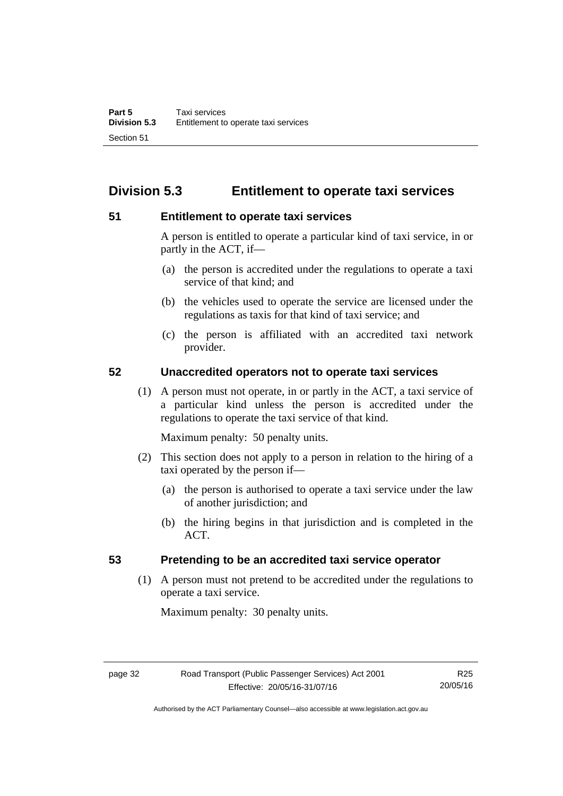# **Division 5.3 Entitlement to operate taxi services**

## **51 Entitlement to operate taxi services**

A person is entitled to operate a particular kind of taxi service, in or partly in the ACT, if—

- (a) the person is accredited under the regulations to operate a taxi service of that kind; and
- (b) the vehicles used to operate the service are licensed under the regulations as taxis for that kind of taxi service; and
- (c) the person is affiliated with an accredited taxi network provider.

## **52 Unaccredited operators not to operate taxi services**

(1) A person must not operate, in or partly in the ACT, a taxi service of a particular kind unless the person is accredited under the regulations to operate the taxi service of that kind.

Maximum penalty: 50 penalty units.

- (2) This section does not apply to a person in relation to the hiring of a taxi operated by the person if—
	- (a) the person is authorised to operate a taxi service under the law of another jurisdiction; and
	- (b) the hiring begins in that jurisdiction and is completed in the ACT.

## **53 Pretending to be an accredited taxi service operator**

(1) A person must not pretend to be accredited under the regulations to operate a taxi service.

Maximum penalty: 30 penalty units.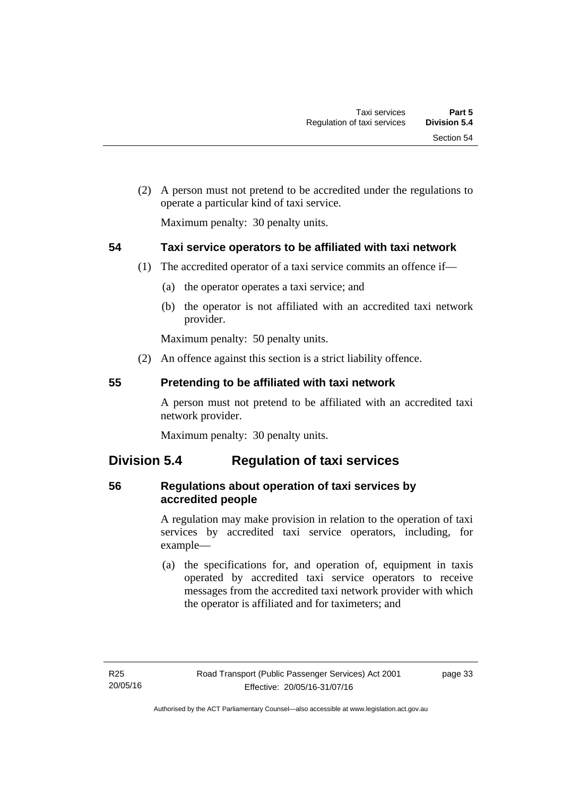(2) A person must not pretend to be accredited under the regulations to operate a particular kind of taxi service.

Maximum penalty: 30 penalty units.

## **54 Taxi service operators to be affiliated with taxi network**

- (1) The accredited operator of a taxi service commits an offence if—
	- (a) the operator operates a taxi service; and
	- (b) the operator is not affiliated with an accredited taxi network provider.

Maximum penalty: 50 penalty units.

(2) An offence against this section is a strict liability offence.

## **55 Pretending to be affiliated with taxi network**

A person must not pretend to be affiliated with an accredited taxi network provider.

Maximum penalty: 30 penalty units.

## **Division 5.4 Regulation of taxi services**

## **56 Regulations about operation of taxi services by accredited people**

A regulation may make provision in relation to the operation of taxi services by accredited taxi service operators, including, for example—

 (a) the specifications for, and operation of, equipment in taxis operated by accredited taxi service operators to receive messages from the accredited taxi network provider with which the operator is affiliated and for taximeters; and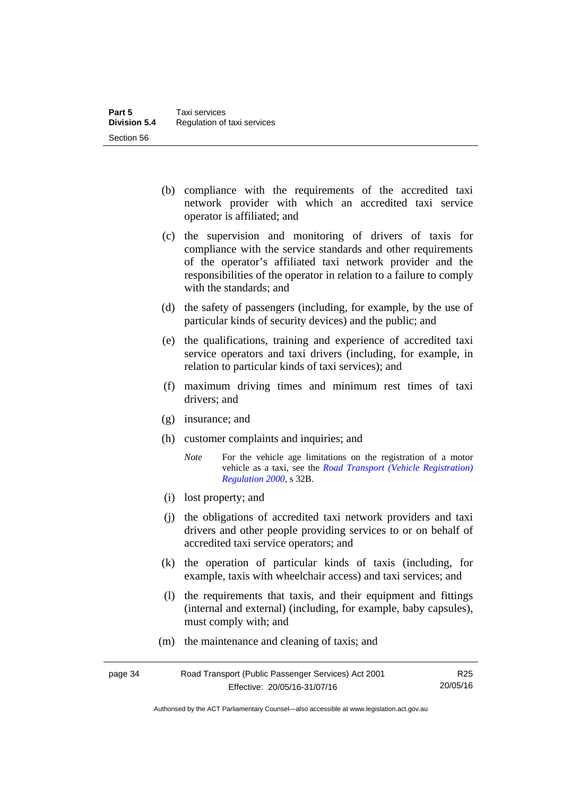- (b) compliance with the requirements of the accredited taxi network provider with which an accredited taxi service operator is affiliated; and
- (c) the supervision and monitoring of drivers of taxis for compliance with the service standards and other requirements of the operator's affiliated taxi network provider and the responsibilities of the operator in relation to a failure to comply with the standards; and
- (d) the safety of passengers (including, for example, by the use of particular kinds of security devices) and the public; and
- (e) the qualifications, training and experience of accredited taxi service operators and taxi drivers (including, for example, in relation to particular kinds of taxi services); and
- (f) maximum driving times and minimum rest times of taxi drivers; and
- (g) insurance; and
- (h) customer complaints and inquiries; and
	- *Note* For the vehicle age limitations on the registration of a motor vehicle as a taxi, see the *[Road Transport \(Vehicle Registration\)](http://www.legislation.act.gov.au/sl/2000-12)  [Regulation 2000](http://www.legislation.act.gov.au/sl/2000-12)*, s 32B.
- (i) lost property; and
- (j) the obligations of accredited taxi network providers and taxi drivers and other people providing services to or on behalf of accredited taxi service operators; and
- (k) the operation of particular kinds of taxis (including, for example, taxis with wheelchair access) and taxi services; and
- (l) the requirements that taxis, and their equipment and fittings (internal and external) (including, for example, baby capsules), must comply with; and
- (m) the maintenance and cleaning of taxis; and

| page 34 | Road Transport (Public Passenger Services) Act 2001 | R <sub>25</sub> |
|---------|-----------------------------------------------------|-----------------|
|         | Effective: 20/05/16-31/07/16                        | 20/05/16        |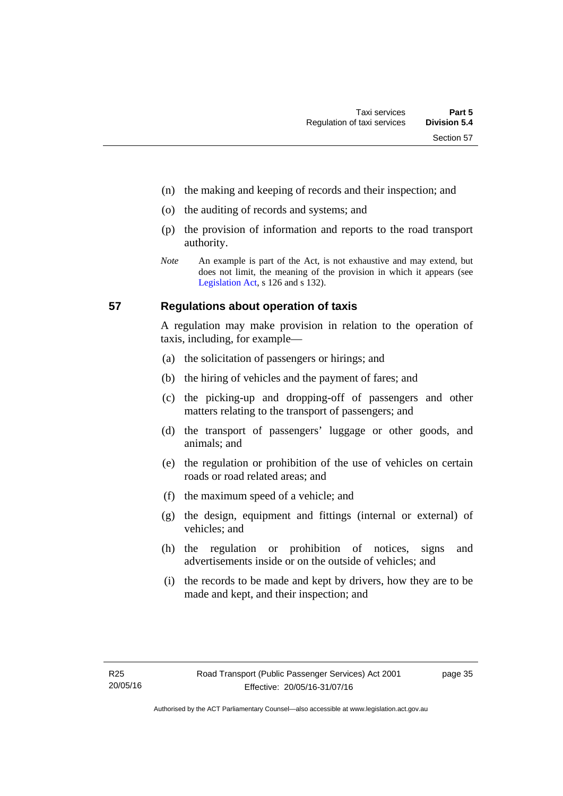- (n) the making and keeping of records and their inspection; and
- (o) the auditing of records and systems; and
- (p) the provision of information and reports to the road transport authority.
- *Note* An example is part of the Act, is not exhaustive and may extend, but does not limit, the meaning of the provision in which it appears (see [Legislation Act,](http://www.legislation.act.gov.au/a/2001-14) s 126 and s 132).

## **57 Regulations about operation of taxis**

A regulation may make provision in relation to the operation of taxis, including, for example—

- (a) the solicitation of passengers or hirings; and
- (b) the hiring of vehicles and the payment of fares; and
- (c) the picking-up and dropping-off of passengers and other matters relating to the transport of passengers; and
- (d) the transport of passengers' luggage or other goods, and animals; and
- (e) the regulation or prohibition of the use of vehicles on certain roads or road related areas; and
- (f) the maximum speed of a vehicle; and
- (g) the design, equipment and fittings (internal or external) of vehicles; and
- (h) the regulation or prohibition of notices, signs and advertisements inside or on the outside of vehicles; and
- (i) the records to be made and kept by drivers, how they are to be made and kept, and their inspection; and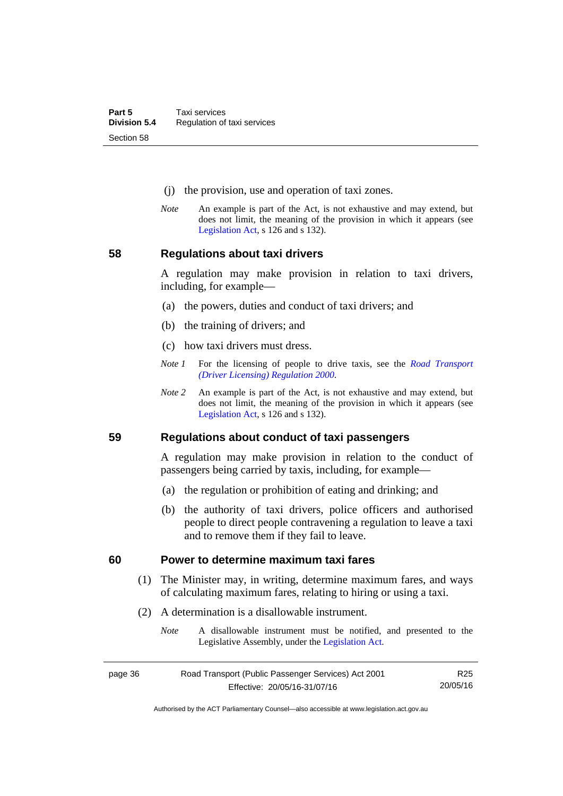- (j) the provision, use and operation of taxi zones.
- *Note* An example is part of the Act, is not exhaustive and may extend, but does not limit, the meaning of the provision in which it appears (see [Legislation Act,](http://www.legislation.act.gov.au/a/2001-14) s 126 and s 132).

## **58 Regulations about taxi drivers**

A regulation may make provision in relation to taxi drivers, including, for example—

- (a) the powers, duties and conduct of taxi drivers; and
- (b) the training of drivers; and
- (c) how taxi drivers must dress.
- *Note 1* For the licensing of people to drive taxis, see the *[Road Transport](http://www.legislation.act.gov.au/sl/2000-14)  [\(Driver Licensing\) Regulation 2000](http://www.legislation.act.gov.au/sl/2000-14)*.
- *Note 2* An example is part of the Act, is not exhaustive and may extend, but does not limit, the meaning of the provision in which it appears (see [Legislation Act,](http://www.legislation.act.gov.au/a/2001-14) s 126 and s 132).

#### **59 Regulations about conduct of taxi passengers**

A regulation may make provision in relation to the conduct of passengers being carried by taxis, including, for example—

- (a) the regulation or prohibition of eating and drinking; and
- (b) the authority of taxi drivers, police officers and authorised people to direct people contravening a regulation to leave a taxi and to remove them if they fail to leave.

#### **60 Power to determine maximum taxi fares**

- (1) The Minister may, in writing, determine maximum fares, and ways of calculating maximum fares, relating to hiring or using a taxi.
- (2) A determination is a disallowable instrument.
	- *Note* A disallowable instrument must be notified, and presented to the Legislative Assembly, under the [Legislation Act.](http://www.legislation.act.gov.au/a/2001-14)

| page 36 | Road Transport (Public Passenger Services) Act 2001 | R <sub>25</sub> |
|---------|-----------------------------------------------------|-----------------|
|         | Effective: 20/05/16-31/07/16                        | 20/05/16        |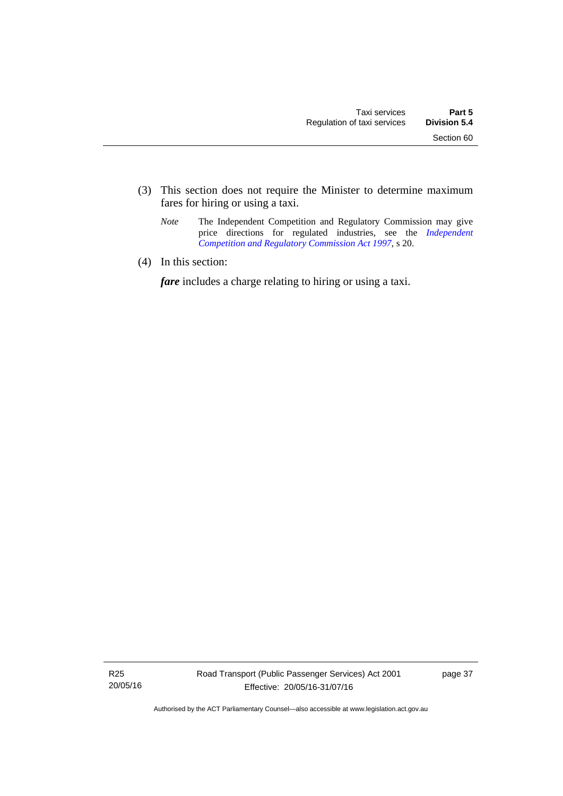- (3) This section does not require the Minister to determine maximum fares for hiring or using a taxi.
	- *Note* The Independent Competition and Regulatory Commission may give price directions for regulated industries, see the *Independent [Competition and Regulatory Commission Act 1997](http://www.legislation.act.gov.au/a/1997-77)*, s 20.
- (4) In this section:

*fare* includes a charge relating to hiring or using a taxi.

R25 20/05/16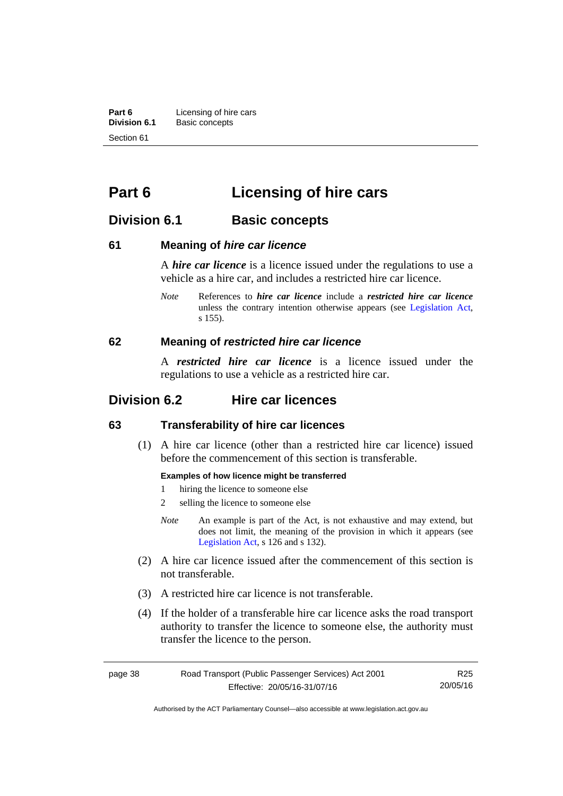**Part 6 Licensing of hire cars**<br>**Division 6.1 Basic concepts Division 6.1** Basic concepts Section 61

# **Part 6 Licensing of hire cars**

## **Division 6.1 Basic concepts**

## **61 Meaning of** *hire car licence*

A *hire car licence* is a licence issued under the regulations to use a vehicle as a hire car, and includes a restricted hire car licence.

*Note* References to *hire car licence* include a *restricted hire car licence* unless the contrary intention otherwise appears (see [Legislation Act,](http://www.legislation.act.gov.au/a/2001-14) s 155).

## **62 Meaning of** *restricted hire car licence*

A *restricted hire car licence* is a licence issued under the regulations to use a vehicle as a restricted hire car.

## **Division 6.2 Hire car licences**

## **63 Transferability of hire car licences**

 (1) A hire car licence (other than a restricted hire car licence) issued before the commencement of this section is transferable.

#### **Examples of how licence might be transferred**

- 1 hiring the licence to someone else
- 2 selling the licence to someone else
- *Note* An example is part of the Act, is not exhaustive and may extend, but does not limit, the meaning of the provision in which it appears (see [Legislation Act,](http://www.legislation.act.gov.au/a/2001-14) s 126 and s 132).
- (2) A hire car licence issued after the commencement of this section is not transferable.
- (3) A restricted hire car licence is not transferable.
- (4) If the holder of a transferable hire car licence asks the road transport authority to transfer the licence to someone else, the authority must transfer the licence to the person.

| page 38 | Road Transport (Public Passenger Services) Act 2001 | R25      |
|---------|-----------------------------------------------------|----------|
|         | Effective: 20/05/16-31/07/16                        | 20/05/16 |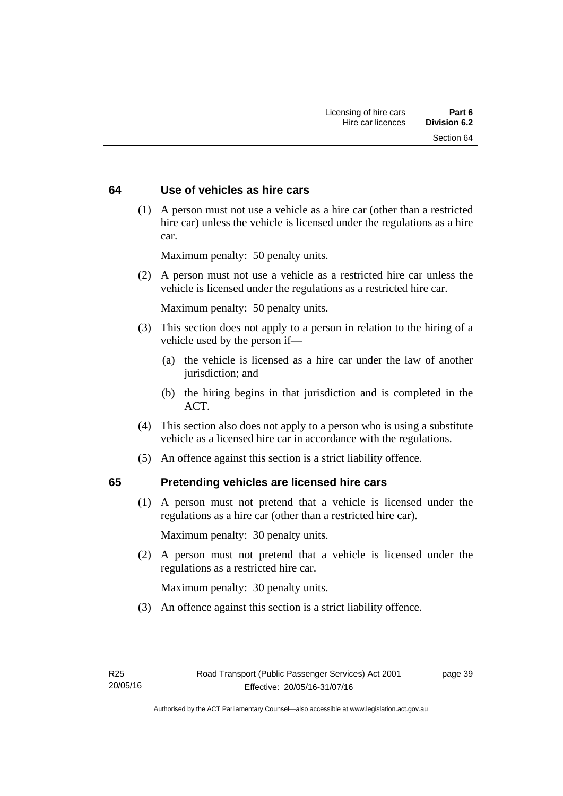## **64 Use of vehicles as hire cars**

 (1) A person must not use a vehicle as a hire car (other than a restricted hire car) unless the vehicle is licensed under the regulations as a hire car.

Maximum penalty: 50 penalty units.

 (2) A person must not use a vehicle as a restricted hire car unless the vehicle is licensed under the regulations as a restricted hire car.

Maximum penalty: 50 penalty units.

- (3) This section does not apply to a person in relation to the hiring of a vehicle used by the person if—
	- (a) the vehicle is licensed as a hire car under the law of another jurisdiction; and
	- (b) the hiring begins in that jurisdiction and is completed in the ACT.
- (4) This section also does not apply to a person who is using a substitute vehicle as a licensed hire car in accordance with the regulations.
- (5) An offence against this section is a strict liability offence.

## **65 Pretending vehicles are licensed hire cars**

(1) A person must not pretend that a vehicle is licensed under the regulations as a hire car (other than a restricted hire car).

Maximum penalty: 30 penalty units.

 (2) A person must not pretend that a vehicle is licensed under the regulations as a restricted hire car.

Maximum penalty: 30 penalty units.

(3) An offence against this section is a strict liability offence.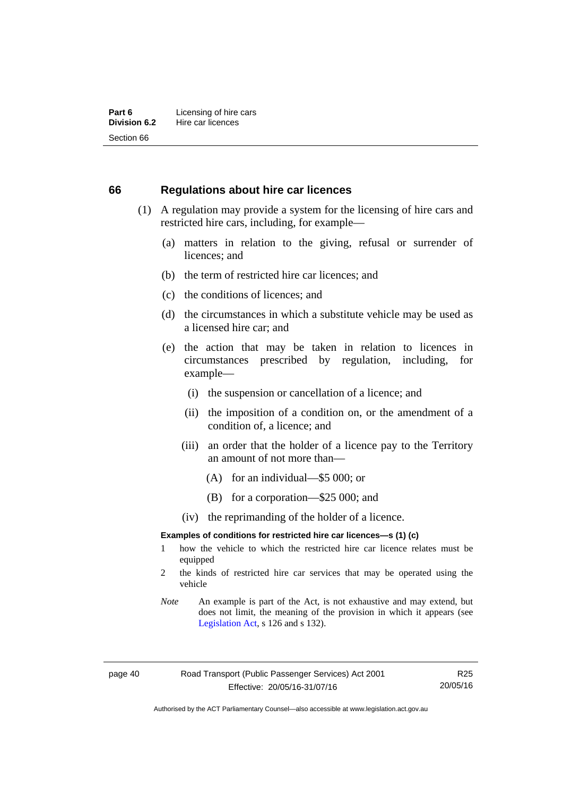#### **66 Regulations about hire car licences**

- (1) A regulation may provide a system for the licensing of hire cars and restricted hire cars, including, for example—
	- (a) matters in relation to the giving, refusal or surrender of licences; and
	- (b) the term of restricted hire car licences; and
	- (c) the conditions of licences; and
	- (d) the circumstances in which a substitute vehicle may be used as a licensed hire car; and
	- (e) the action that may be taken in relation to licences in circumstances prescribed by regulation, including, for example—
		- (i) the suspension or cancellation of a licence; and
		- (ii) the imposition of a condition on, or the amendment of a condition of, a licence; and
		- (iii) an order that the holder of a licence pay to the Territory an amount of not more than—
			- (A) for an individual—\$5 000; or
			- (B) for a corporation—\$25 000; and
		- (iv) the reprimanding of the holder of a licence.

#### **Examples of conditions for restricted hire car licences—s (1) (c)**

- 1 how the vehicle to which the restricted hire car licence relates must be equipped
- 2 the kinds of restricted hire car services that may be operated using the vehicle
- *Note* An example is part of the Act, is not exhaustive and may extend, but does not limit, the meaning of the provision in which it appears (see [Legislation Act,](http://www.legislation.act.gov.au/a/2001-14) s 126 and s 132).

Authorised by the ACT Parliamentary Counsel—also accessible at www.legislation.act.gov.au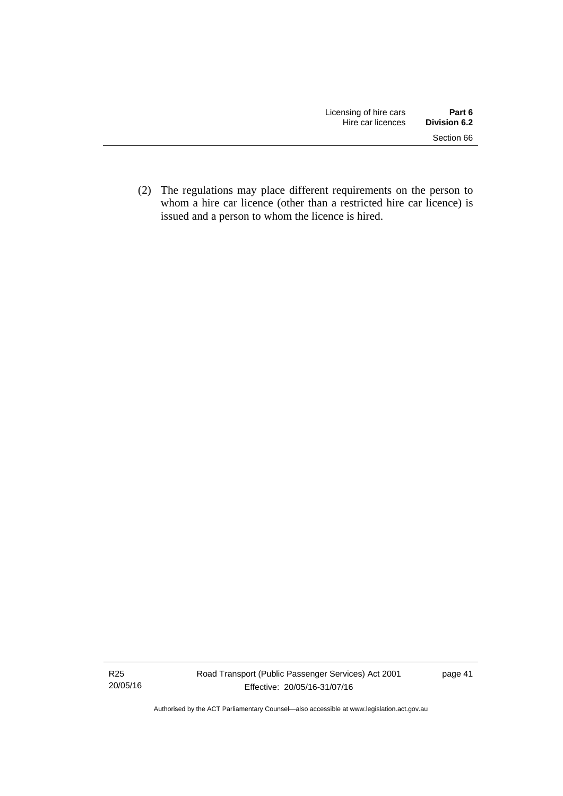(2) The regulations may place different requirements on the person to whom a hire car licence (other than a restricted hire car licence) is issued and a person to whom the licence is hired.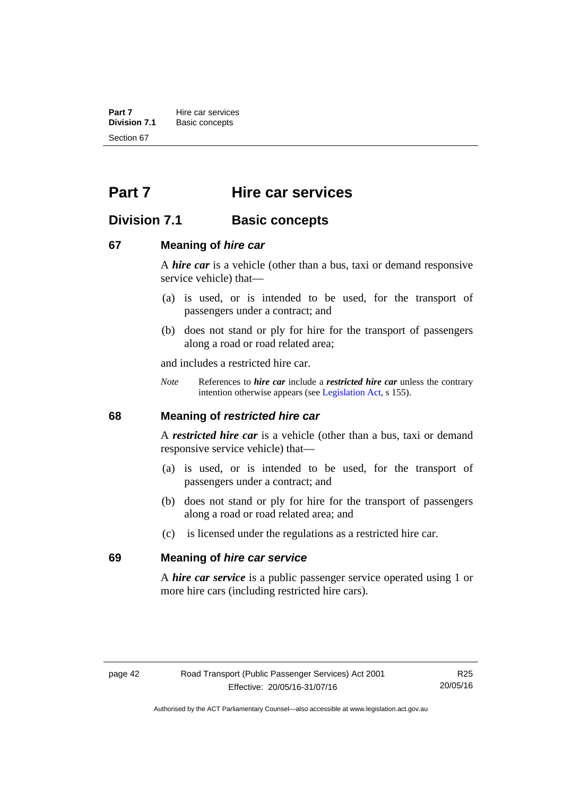**Part 7 Hire car services**<br>**Division 7.1 Basic concepts Division 7.1** Basic concepts Section 67

# **Part 7 Hire car services**

## **Division 7.1 Basic concepts**

## **67 Meaning of** *hire car*

A *hire car* is a vehicle (other than a bus, taxi or demand responsive service vehicle) that—

- (a) is used, or is intended to be used, for the transport of passengers under a contract; and
- (b) does not stand or ply for hire for the transport of passengers along a road or road related area;

and includes a restricted hire car.

*Note* References to *hire car* include a *restricted hire car* unless the contrary intention otherwise appears (see [Legislation Act](http://www.legislation.act.gov.au/a/2001-14), s 155).

## **68 Meaning of** *restricted hire car*

A *restricted hire car* is a vehicle (other than a bus, taxi or demand responsive service vehicle) that—

- (a) is used, or is intended to be used, for the transport of passengers under a contract; and
- (b) does not stand or ply for hire for the transport of passengers along a road or road related area; and
- (c) is licensed under the regulations as a restricted hire car.

#### **69 Meaning of** *hire car service*

A *hire car service* is a public passenger service operated using 1 or more hire cars (including restricted hire cars).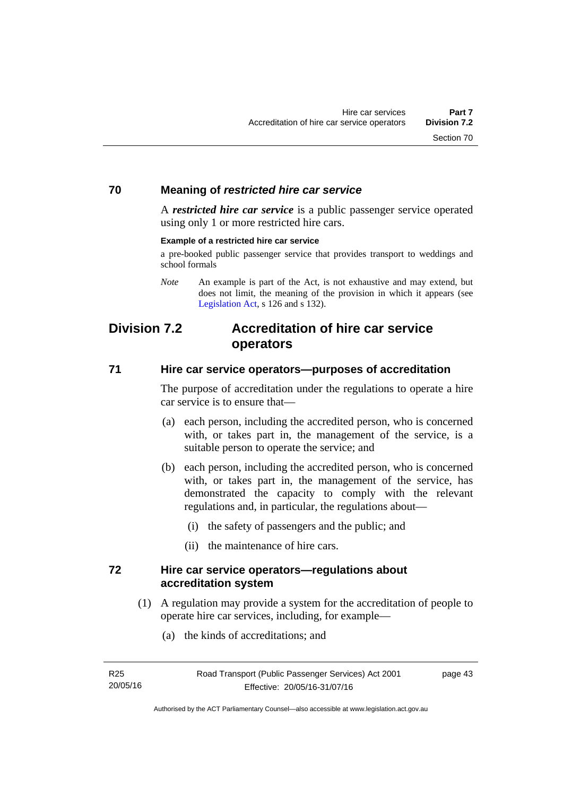## **70 Meaning of** *restricted hire car service*

A *restricted hire car service* is a public passenger service operated using only 1 or more restricted hire cars.

#### **Example of a restricted hire car service**

a pre-booked public passenger service that provides transport to weddings and school formals

## **Division 7.2 Accreditation of hire car service operators**

## **71 Hire car service operators—purposes of accreditation**

The purpose of accreditation under the regulations to operate a hire car service is to ensure that—

- (a) each person, including the accredited person, who is concerned with, or takes part in, the management of the service, is a suitable person to operate the service; and
- (b) each person, including the accredited person, who is concerned with, or takes part in, the management of the service, has demonstrated the capacity to comply with the relevant regulations and, in particular, the regulations about—
	- (i) the safety of passengers and the public; and
	- (ii) the maintenance of hire cars.

## **72 Hire car service operators—regulations about accreditation system**

- (1) A regulation may provide a system for the accreditation of people to operate hire car services, including, for example—
	- (a) the kinds of accreditations; and

*Note* An example is part of the Act, is not exhaustive and may extend, but does not limit, the meaning of the provision in which it appears (see [Legislation Act,](http://www.legislation.act.gov.au/a/2001-14) s 126 and s 132).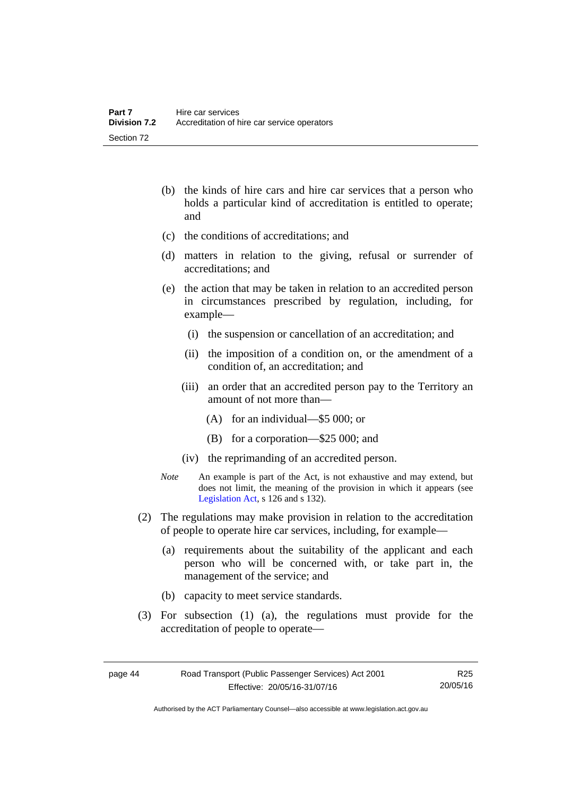- (b) the kinds of hire cars and hire car services that a person who holds a particular kind of accreditation is entitled to operate; and
- (c) the conditions of accreditations; and
- (d) matters in relation to the giving, refusal or surrender of accreditations; and
- (e) the action that may be taken in relation to an accredited person in circumstances prescribed by regulation, including, for example—
	- (i) the suspension or cancellation of an accreditation; and
	- (ii) the imposition of a condition on, or the amendment of a condition of, an accreditation; and
	- (iii) an order that an accredited person pay to the Territory an amount of not more than—
		- (A) for an individual—\$5 000; or
		- (B) for a corporation—\$25 000; and
	- (iv) the reprimanding of an accredited person.
- *Note* An example is part of the Act, is not exhaustive and may extend, but does not limit, the meaning of the provision in which it appears (see [Legislation Act,](http://www.legislation.act.gov.au/a/2001-14) s 126 and s 132).
- (2) The regulations may make provision in relation to the accreditation of people to operate hire car services, including, for example—
	- (a) requirements about the suitability of the applicant and each person who will be concerned with, or take part in, the management of the service; and
	- (b) capacity to meet service standards.
- (3) For subsection (1) (a), the regulations must provide for the accreditation of people to operate—

R25 20/05/16

Authorised by the ACT Parliamentary Counsel—also accessible at www.legislation.act.gov.au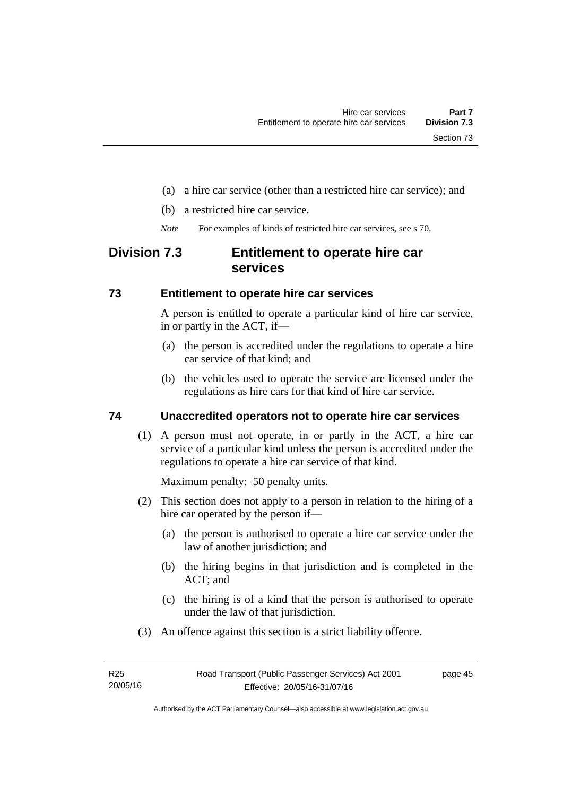- (a) a hire car service (other than a restricted hire car service); and
- (b) a restricted hire car service.
- *Note* For examples of kinds of restricted hire car services, see s 70.

## **Division 7.3 Entitlement to operate hire car services**

## **73 Entitlement to operate hire car services**

A person is entitled to operate a particular kind of hire car service, in or partly in the ACT, if—

- (a) the person is accredited under the regulations to operate a hire car service of that kind; and
- (b) the vehicles used to operate the service are licensed under the regulations as hire cars for that kind of hire car service.

## **74 Unaccredited operators not to operate hire car services**

(1) A person must not operate, in or partly in the ACT, a hire car service of a particular kind unless the person is accredited under the regulations to operate a hire car service of that kind.

Maximum penalty: 50 penalty units.

- (2) This section does not apply to a person in relation to the hiring of a hire car operated by the person if—
	- (a) the person is authorised to operate a hire car service under the law of another jurisdiction; and
	- (b) the hiring begins in that jurisdiction and is completed in the ACT; and
	- (c) the hiring is of a kind that the person is authorised to operate under the law of that jurisdiction.
- (3) An offence against this section is a strict liability offence.

page 45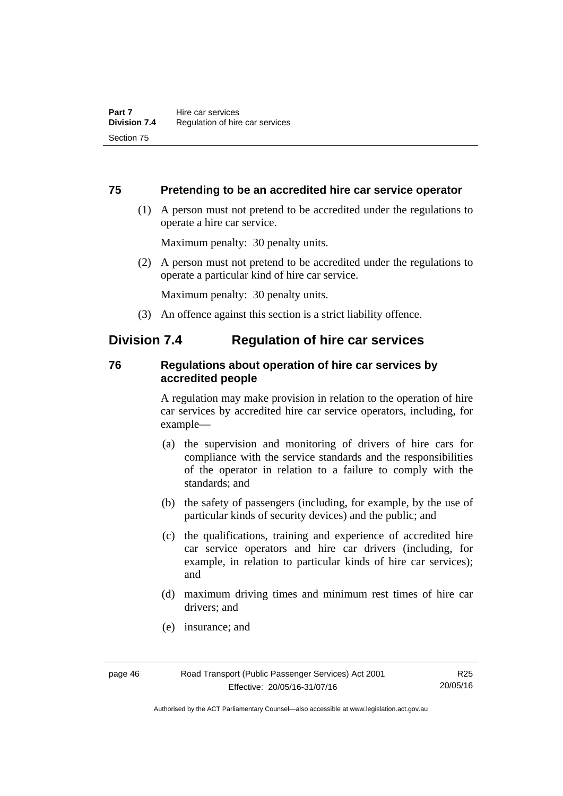## **75 Pretending to be an accredited hire car service operator**

 (1) A person must not pretend to be accredited under the regulations to operate a hire car service.

Maximum penalty: 30 penalty units.

 (2) A person must not pretend to be accredited under the regulations to operate a particular kind of hire car service.

Maximum penalty: 30 penalty units.

(3) An offence against this section is a strict liability offence.

## **Division 7.4 Regulation of hire car services**

## **76 Regulations about operation of hire car services by accredited people**

A regulation may make provision in relation to the operation of hire car services by accredited hire car service operators, including, for example—

- (a) the supervision and monitoring of drivers of hire cars for compliance with the service standards and the responsibilities of the operator in relation to a failure to comply with the standards; and
- (b) the safety of passengers (including, for example, by the use of particular kinds of security devices) and the public; and
- (c) the qualifications, training and experience of accredited hire car service operators and hire car drivers (including, for example, in relation to particular kinds of hire car services); and
- (d) maximum driving times and minimum rest times of hire car drivers; and
- (e) insurance; and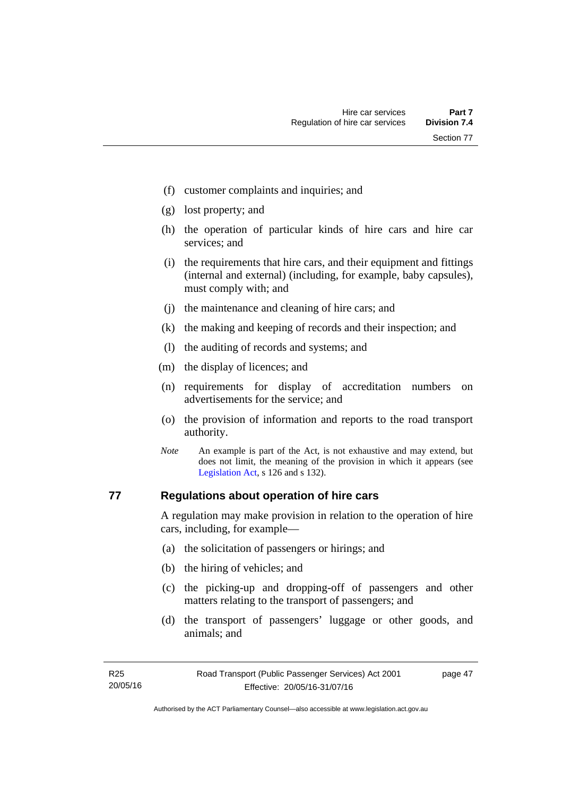- (f) customer complaints and inquiries; and
- (g) lost property; and
- (h) the operation of particular kinds of hire cars and hire car services; and
- (i) the requirements that hire cars, and their equipment and fittings (internal and external) (including, for example, baby capsules), must comply with; and
- (j) the maintenance and cleaning of hire cars; and
- (k) the making and keeping of records and their inspection; and
- (l) the auditing of records and systems; and
- (m) the display of licences; and
- (n) requirements for display of accreditation numbers on advertisements for the service; and
- (o) the provision of information and reports to the road transport authority.
- *Note* An example is part of the Act, is not exhaustive and may extend, but does not limit, the meaning of the provision in which it appears (see [Legislation Act,](http://www.legislation.act.gov.au/a/2001-14) s 126 and s 132).

## **77 Regulations about operation of hire cars**

A regulation may make provision in relation to the operation of hire cars, including, for example—

- (a) the solicitation of passengers or hirings; and
- (b) the hiring of vehicles; and
- (c) the picking-up and dropping-off of passengers and other matters relating to the transport of passengers; and
- (d) the transport of passengers' luggage or other goods, and animals; and

page 47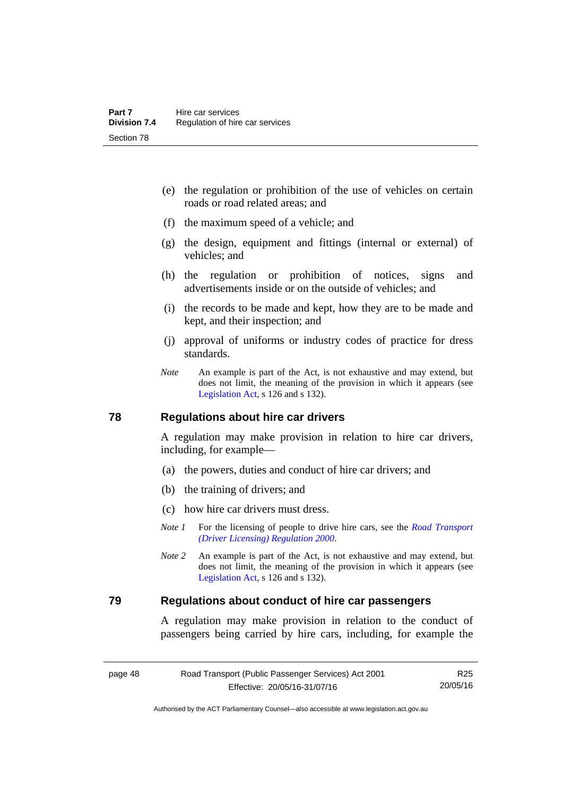- (e) the regulation or prohibition of the use of vehicles on certain roads or road related areas; and
- (f) the maximum speed of a vehicle; and
- (g) the design, equipment and fittings (internal or external) of vehicles; and
- (h) the regulation or prohibition of notices, signs and advertisements inside or on the outside of vehicles; and
- (i) the records to be made and kept, how they are to be made and kept, and their inspection; and
- (j) approval of uniforms or industry codes of practice for dress standards.
- *Note* An example is part of the Act, is not exhaustive and may extend, but does not limit, the meaning of the provision in which it appears (see [Legislation Act,](http://www.legislation.act.gov.au/a/2001-14) s 126 and s 132).

#### **78 Regulations about hire car drivers**

A regulation may make provision in relation to hire car drivers, including, for example—

- (a) the powers, duties and conduct of hire car drivers; and
- (b) the training of drivers; and
- (c) how hire car drivers must dress.
- *Note 1* For the licensing of people to drive hire cars, see the *Road Transport [\(Driver Licensing\) Regulation 2000](http://www.legislation.act.gov.au/sl/2000-14)*.
- *Note 2* An example is part of the Act, is not exhaustive and may extend, but does not limit, the meaning of the provision in which it appears (see [Legislation Act,](http://www.legislation.act.gov.au/a/2001-14) s 126 and s 132).

## **79 Regulations about conduct of hire car passengers**

A regulation may make provision in relation to the conduct of passengers being carried by hire cars, including, for example the

R25 20/05/16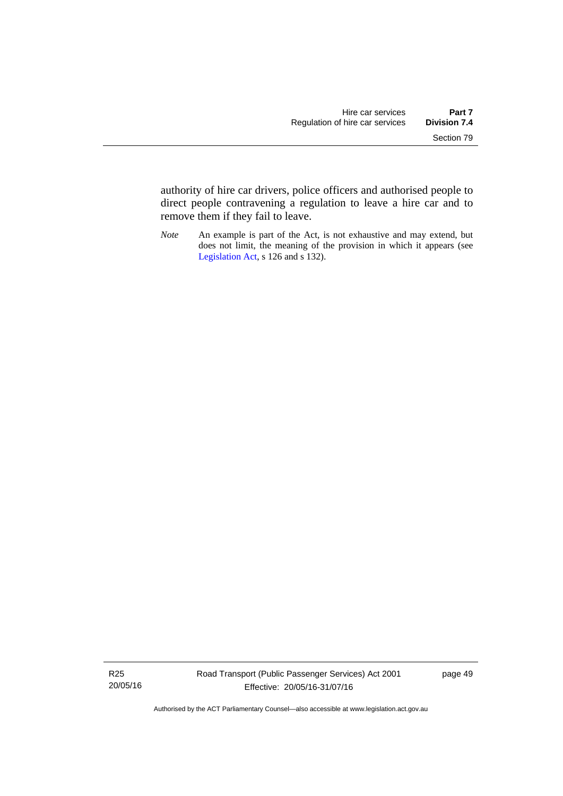authority of hire car drivers, police officers and authorised people to direct people contravening a regulation to leave a hire car and to remove them if they fail to leave.

*Note* An example is part of the Act, is not exhaustive and may extend, but does not limit, the meaning of the provision in which it appears (see [Legislation Act,](http://www.legislation.act.gov.au/a/2001-14) s 126 and s 132).

R25 20/05/16 page 49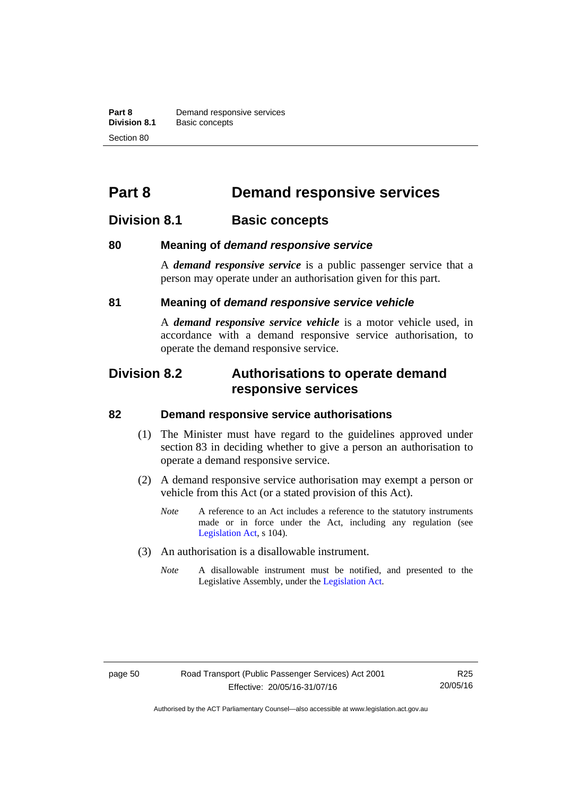**Part 8 Demand responsive services**<br>**Division 8.1 Basic concepts Division 8.1** Basic concepts Section 80

# **Part 8 Demand responsive services**

## **Division 8.1 Basic concepts**

## **80 Meaning of** *demand responsive service*

A *demand responsive service* is a public passenger service that a person may operate under an authorisation given for this part.

## **81 Meaning of** *demand responsive service vehicle*

A *demand responsive service vehicle* is a motor vehicle used, in accordance with a demand responsive service authorisation, to operate the demand responsive service.

## **Division 8.2 Authorisations to operate demand responsive services**

#### **82 Demand responsive service authorisations**

- (1) The Minister must have regard to the guidelines approved under section 83 in deciding whether to give a person an authorisation to operate a demand responsive service.
- (2) A demand responsive service authorisation may exempt a person or vehicle from this Act (or a stated provision of this Act).
	- *Note* A reference to an Act includes a reference to the statutory instruments made or in force under the Act, including any regulation (see [Legislation Act,](http://www.legislation.act.gov.au/a/2001-14) s 104).
- (3) An authorisation is a disallowable instrument.
	- *Note* A disallowable instrument must be notified, and presented to the Legislative Assembly, under the [Legislation Act.](http://www.legislation.act.gov.au/a/2001-14)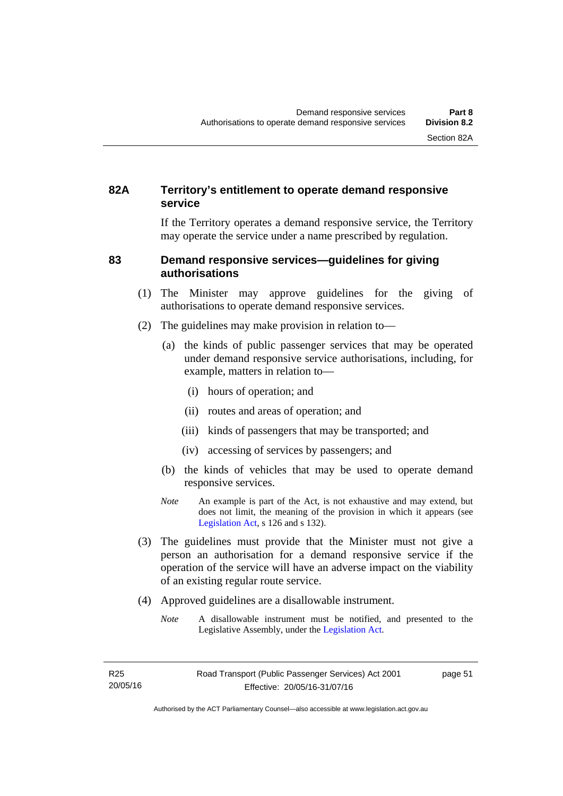## **82A Territory's entitlement to operate demand responsive service**

If the Territory operates a demand responsive service, the Territory may operate the service under a name prescribed by regulation.

## **83 Demand responsive services—guidelines for giving authorisations**

- (1) The Minister may approve guidelines for the giving of authorisations to operate demand responsive services.
- (2) The guidelines may make provision in relation to—
	- (a) the kinds of public passenger services that may be operated under demand responsive service authorisations, including, for example, matters in relation to—
		- (i) hours of operation; and
		- (ii) routes and areas of operation; and
		- (iii) kinds of passengers that may be transported; and
		- (iv) accessing of services by passengers; and
	- (b) the kinds of vehicles that may be used to operate demand responsive services.
	- *Note* An example is part of the Act, is not exhaustive and may extend, but does not limit, the meaning of the provision in which it appears (see [Legislation Act,](http://www.legislation.act.gov.au/a/2001-14) s 126 and s 132).
- (3) The guidelines must provide that the Minister must not give a person an authorisation for a demand responsive service if the operation of the service will have an adverse impact on the viability of an existing regular route service.
- (4) Approved guidelines are a disallowable instrument.
	- *Note* A disallowable instrument must be notified, and presented to the Legislative Assembly, under the [Legislation Act.](http://www.legislation.act.gov.au/a/2001-14)

page 51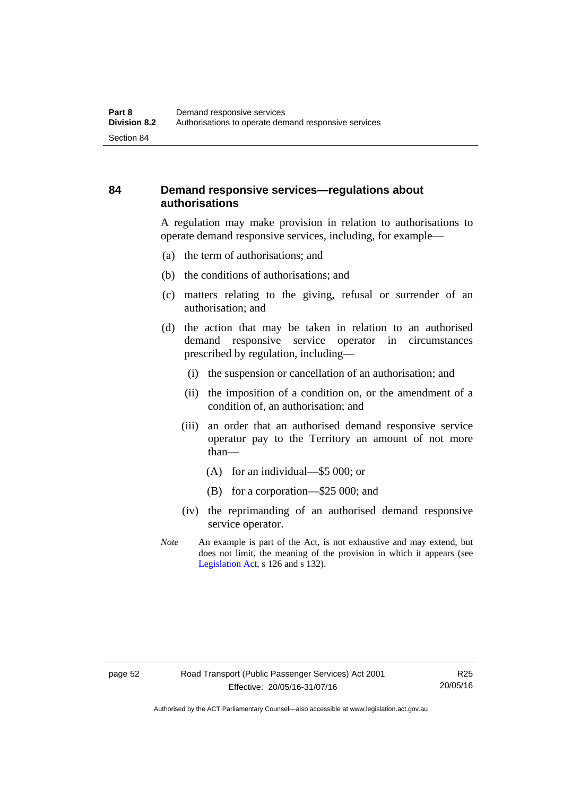## **84 Demand responsive services—regulations about authorisations**

A regulation may make provision in relation to authorisations to operate demand responsive services, including, for example—

- (a) the term of authorisations; and
- (b) the conditions of authorisations; and
- (c) matters relating to the giving, refusal or surrender of an authorisation; and
- (d) the action that may be taken in relation to an authorised demand responsive service operator in circumstances prescribed by regulation, including—
	- (i) the suspension or cancellation of an authorisation; and
	- (ii) the imposition of a condition on, or the amendment of a condition of, an authorisation; and
	- (iii) an order that an authorised demand responsive service operator pay to the Territory an amount of not more than—
		- (A) for an individual—\$5 000; or
		- (B) for a corporation—\$25 000; and
	- (iv) the reprimanding of an authorised demand responsive service operator.
- *Note* An example is part of the Act, is not exhaustive and may extend, but does not limit, the meaning of the provision in which it appears (see [Legislation Act,](http://www.legislation.act.gov.au/a/2001-14) s 126 and s 132).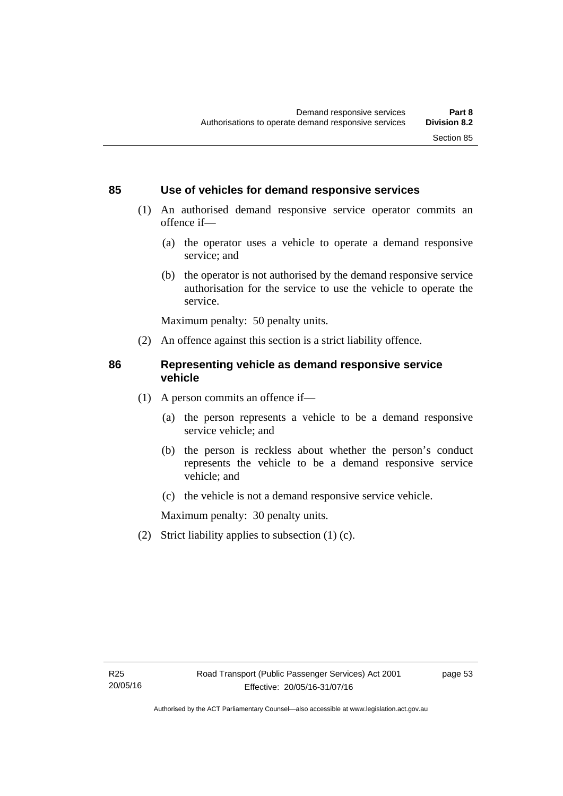## **85 Use of vehicles for demand responsive services**

- (1) An authorised demand responsive service operator commits an offence if—
	- (a) the operator uses a vehicle to operate a demand responsive service; and
	- (b) the operator is not authorised by the demand responsive service authorisation for the service to use the vehicle to operate the service.

Maximum penalty: 50 penalty units.

(2) An offence against this section is a strict liability offence.

## **86 Representing vehicle as demand responsive service vehicle**

- (1) A person commits an offence if—
	- (a) the person represents a vehicle to be a demand responsive service vehicle; and
	- (b) the person is reckless about whether the person's conduct represents the vehicle to be a demand responsive service vehicle; and
	- (c) the vehicle is not a demand responsive service vehicle.

Maximum penalty: 30 penalty units.

(2) Strict liability applies to subsection (1) (c).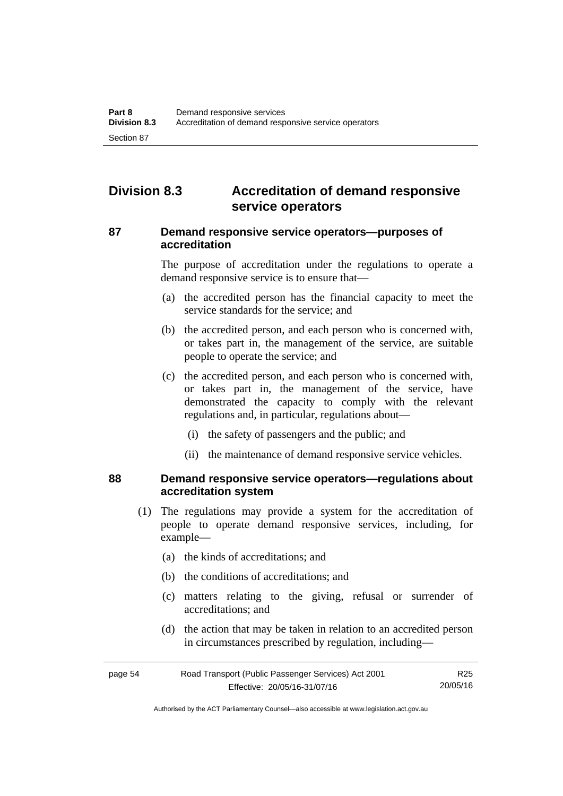## **Division 8.3 Accreditation of demand responsive service operators**

## **87 Demand responsive service operators—purposes of accreditation**

The purpose of accreditation under the regulations to operate a demand responsive service is to ensure that—

- (a) the accredited person has the financial capacity to meet the service standards for the service; and
- (b) the accredited person, and each person who is concerned with, or takes part in, the management of the service, are suitable people to operate the service; and
- (c) the accredited person, and each person who is concerned with, or takes part in, the management of the service, have demonstrated the capacity to comply with the relevant regulations and, in particular, regulations about—
	- (i) the safety of passengers and the public; and
	- (ii) the maintenance of demand responsive service vehicles.

## **88 Demand responsive service operators—regulations about accreditation system**

- (1) The regulations may provide a system for the accreditation of people to operate demand responsive services, including, for example—
	- (a) the kinds of accreditations; and
	- (b) the conditions of accreditations; and
	- (c) matters relating to the giving, refusal or surrender of accreditations; and
	- (d) the action that may be taken in relation to an accredited person in circumstances prescribed by regulation, including—

| page 54 | Road Transport (Public Passenger Services) Act 2001 | R25      |
|---------|-----------------------------------------------------|----------|
|         | Effective: 20/05/16-31/07/16                        | 20/05/16 |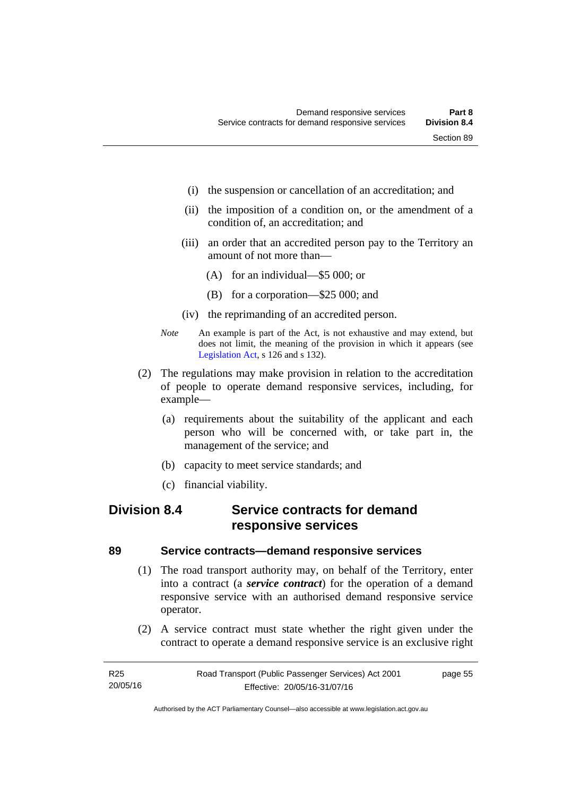- (i) the suspension or cancellation of an accreditation; and
- (ii) the imposition of a condition on, or the amendment of a condition of, an accreditation; and
- (iii) an order that an accredited person pay to the Territory an amount of not more than—
	- (A) for an individual—\$5 000; or
	- (B) for a corporation—\$25 000; and
- (iv) the reprimanding of an accredited person.
- *Note* An example is part of the Act, is not exhaustive and may extend, but does not limit, the meaning of the provision in which it appears (see [Legislation Act,](http://www.legislation.act.gov.au/a/2001-14) s 126 and s 132).
- (2) The regulations may make provision in relation to the accreditation of people to operate demand responsive services, including, for example—
	- (a) requirements about the suitability of the applicant and each person who will be concerned with, or take part in, the management of the service; and
	- (b) capacity to meet service standards; and
	- (c) financial viability.

## **Division 8.4 Service contracts for demand responsive services**

## **89 Service contracts—demand responsive services**

- (1) The road transport authority may, on behalf of the Territory, enter into a contract (a *service contract*) for the operation of a demand responsive service with an authorised demand responsive service operator.
- (2) A service contract must state whether the right given under the contract to operate a demand responsive service is an exclusive right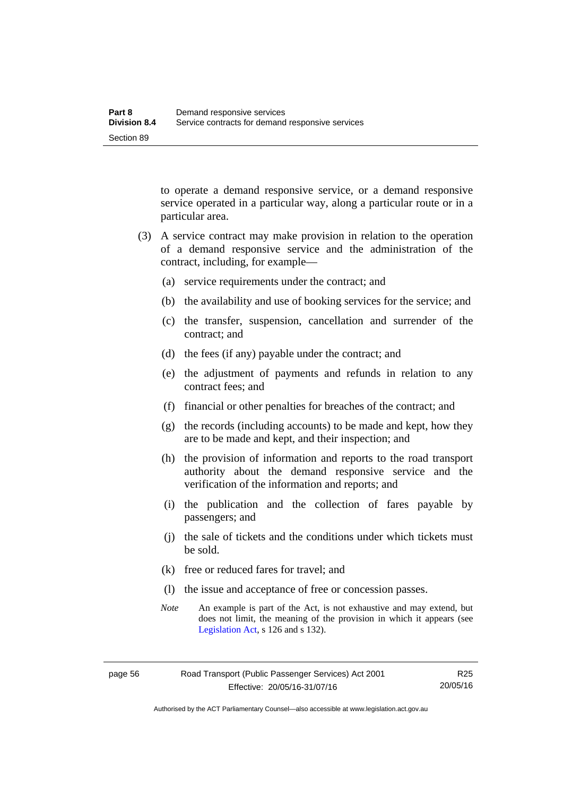to operate a demand responsive service, or a demand responsive service operated in a particular way, along a particular route or in a particular area.

- (3) A service contract may make provision in relation to the operation of a demand responsive service and the administration of the contract, including, for example—
	- (a) service requirements under the contract; and
	- (b) the availability and use of booking services for the service; and
	- (c) the transfer, suspension, cancellation and surrender of the contract; and
	- (d) the fees (if any) payable under the contract; and
	- (e) the adjustment of payments and refunds in relation to any contract fees; and
	- (f) financial or other penalties for breaches of the contract; and
	- (g) the records (including accounts) to be made and kept, how they are to be made and kept, and their inspection; and
	- (h) the provision of information and reports to the road transport authority about the demand responsive service and the verification of the information and reports; and
	- (i) the publication and the collection of fares payable by passengers; and
	- (j) the sale of tickets and the conditions under which tickets must be sold.
	- (k) free or reduced fares for travel; and
	- (l) the issue and acceptance of free or concession passes.
	- *Note* An example is part of the Act, is not exhaustive and may extend, but does not limit, the meaning of the provision in which it appears (see [Legislation Act,](http://www.legislation.act.gov.au/a/2001-14) s 126 and s 132).

Authorised by the ACT Parliamentary Counsel—also accessible at www.legislation.act.gov.au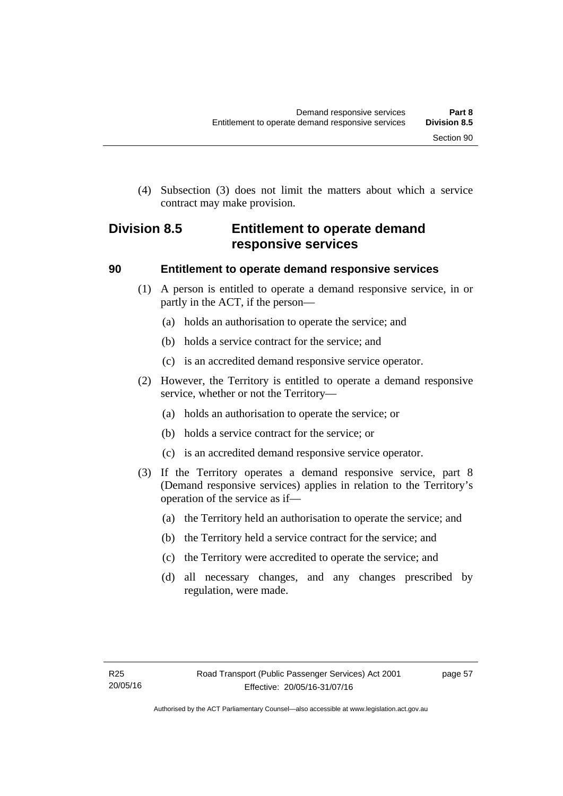(4) Subsection (3) does not limit the matters about which a service contract may make provision.

## **Division 8.5 Entitlement to operate demand responsive services**

## **90 Entitlement to operate demand responsive services**

- (1) A person is entitled to operate a demand responsive service, in or partly in the ACT, if the person—
	- (a) holds an authorisation to operate the service; and
	- (b) holds a service contract for the service; and
	- (c) is an accredited demand responsive service operator.
- (2) However, the Territory is entitled to operate a demand responsive service, whether or not the Territory—
	- (a) holds an authorisation to operate the service; or
	- (b) holds a service contract for the service; or
	- (c) is an accredited demand responsive service operator.
- (3) If the Territory operates a demand responsive service, part 8 (Demand responsive services) applies in relation to the Territory's operation of the service as if—
	- (a) the Territory held an authorisation to operate the service; and
	- (b) the Territory held a service contract for the service; and
	- (c) the Territory were accredited to operate the service; and
	- (d) all necessary changes, and any changes prescribed by regulation, were made.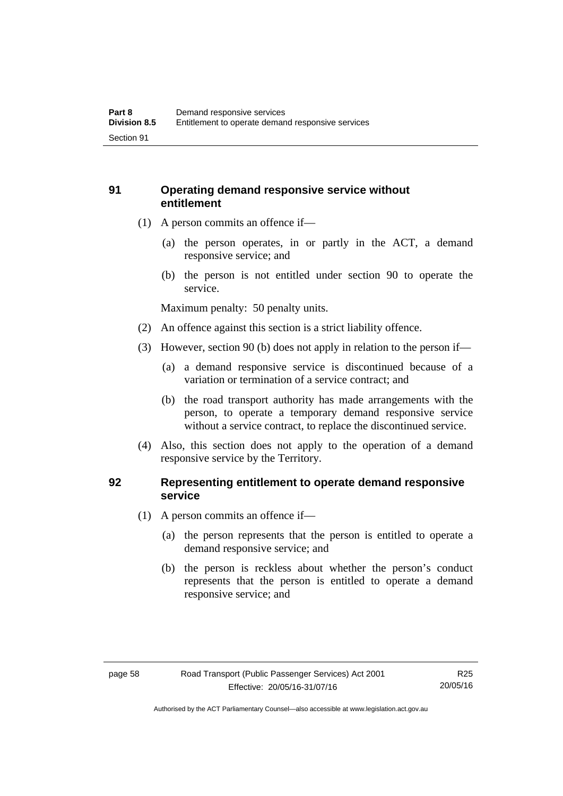## **91 Operating demand responsive service without entitlement**

- (1) A person commits an offence if—
	- (a) the person operates, in or partly in the ACT, a demand responsive service; and
	- (b) the person is not entitled under section 90 to operate the service.

Maximum penalty: 50 penalty units.

- (2) An offence against this section is a strict liability offence.
- (3) However, section 90 (b) does not apply in relation to the person if—
	- (a) a demand responsive service is discontinued because of a variation or termination of a service contract; and
	- (b) the road transport authority has made arrangements with the person, to operate a temporary demand responsive service without a service contract, to replace the discontinued service.
- (4) Also, this section does not apply to the operation of a demand responsive service by the Territory.

## **92 Representing entitlement to operate demand responsive service**

- (1) A person commits an offence if—
	- (a) the person represents that the person is entitled to operate a demand responsive service; and
	- (b) the person is reckless about whether the person's conduct represents that the person is entitled to operate a demand responsive service; and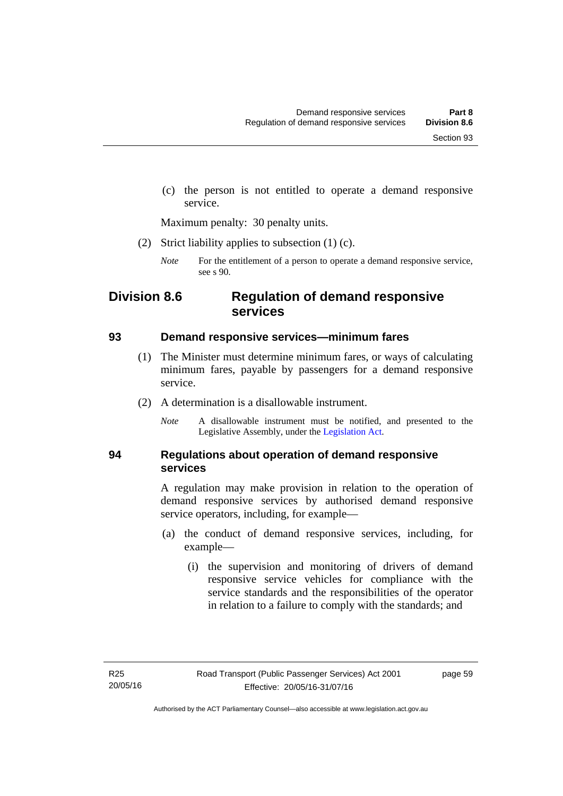(c) the person is not entitled to operate a demand responsive service.

Maximum penalty: 30 penalty units.

(2) Strict liability applies to subsection (1) (c).

## **Division 8.6 Regulation of demand responsive services**

## **93 Demand responsive services—minimum fares**

- (1) The Minister must determine minimum fares, or ways of calculating minimum fares, payable by passengers for a demand responsive service.
- (2) A determination is a disallowable instrument.
	- *Note* A disallowable instrument must be notified, and presented to the Legislative Assembly, under the [Legislation Act.](http://www.legislation.act.gov.au/a/2001-14)

## **94 Regulations about operation of demand responsive services**

A regulation may make provision in relation to the operation of demand responsive services by authorised demand responsive service operators, including, for example—

- (a) the conduct of demand responsive services, including, for example—
	- (i) the supervision and monitoring of drivers of demand responsive service vehicles for compliance with the service standards and the responsibilities of the operator in relation to a failure to comply with the standards; and

page 59

*Note* For the entitlement of a person to operate a demand responsive service, see s 90.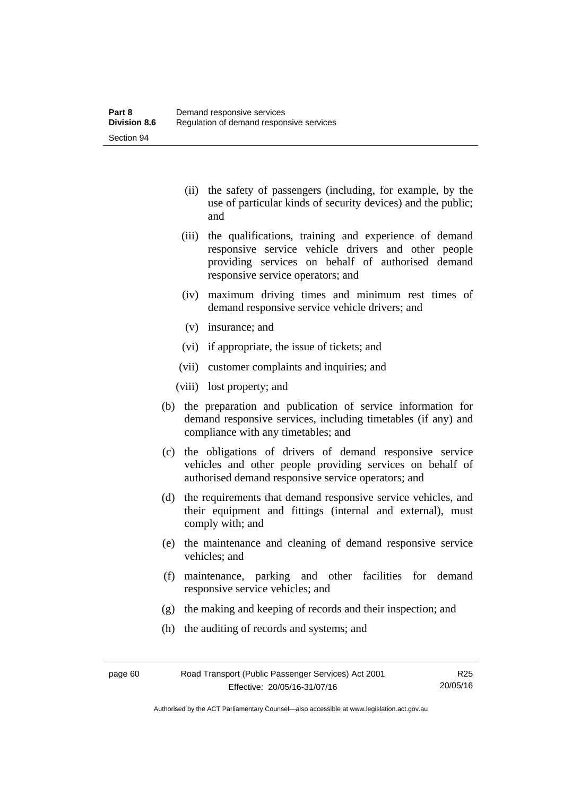- (ii) the safety of passengers (including, for example, by the use of particular kinds of security devices) and the public; and
- (iii) the qualifications, training and experience of demand responsive service vehicle drivers and other people providing services on behalf of authorised demand responsive service operators; and
- (iv) maximum driving times and minimum rest times of demand responsive service vehicle drivers; and
- (v) insurance; and
- (vi) if appropriate, the issue of tickets; and
- (vii) customer complaints and inquiries; and
- (viii) lost property; and
- (b) the preparation and publication of service information for demand responsive services, including timetables (if any) and compliance with any timetables; and
- (c) the obligations of drivers of demand responsive service vehicles and other people providing services on behalf of authorised demand responsive service operators; and
- (d) the requirements that demand responsive service vehicles, and their equipment and fittings (internal and external), must comply with; and
- (e) the maintenance and cleaning of demand responsive service vehicles; and
- (f) maintenance, parking and other facilities for demand responsive service vehicles; and
- (g) the making and keeping of records and their inspection; and
- (h) the auditing of records and systems; and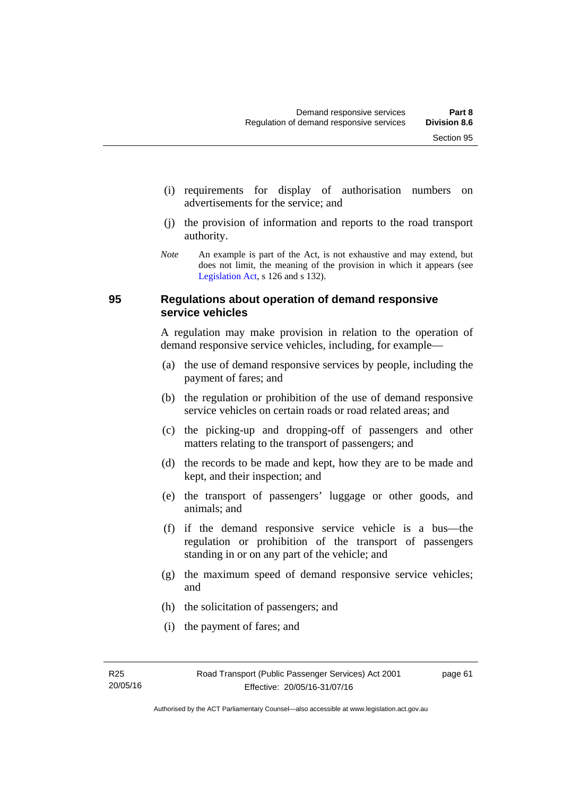- (i) requirements for display of authorisation numbers on advertisements for the service; and
- (j) the provision of information and reports to the road transport authority.
- *Note* An example is part of the Act, is not exhaustive and may extend, but does not limit, the meaning of the provision in which it appears (see [Legislation Act,](http://www.legislation.act.gov.au/a/2001-14) s 126 and s 132).

## **95 Regulations about operation of demand responsive service vehicles**

A regulation may make provision in relation to the operation of demand responsive service vehicles, including, for example—

- (a) the use of demand responsive services by people, including the payment of fares; and
- (b) the regulation or prohibition of the use of demand responsive service vehicles on certain roads or road related areas; and
- (c) the picking-up and dropping-off of passengers and other matters relating to the transport of passengers; and
- (d) the records to be made and kept, how they are to be made and kept, and their inspection; and
- (e) the transport of passengers' luggage or other goods, and animals; and
- (f) if the demand responsive service vehicle is a bus—the regulation or prohibition of the transport of passengers standing in or on any part of the vehicle; and
- (g) the maximum speed of demand responsive service vehicles; and
- (h) the solicitation of passengers; and
- (i) the payment of fares; and

page 61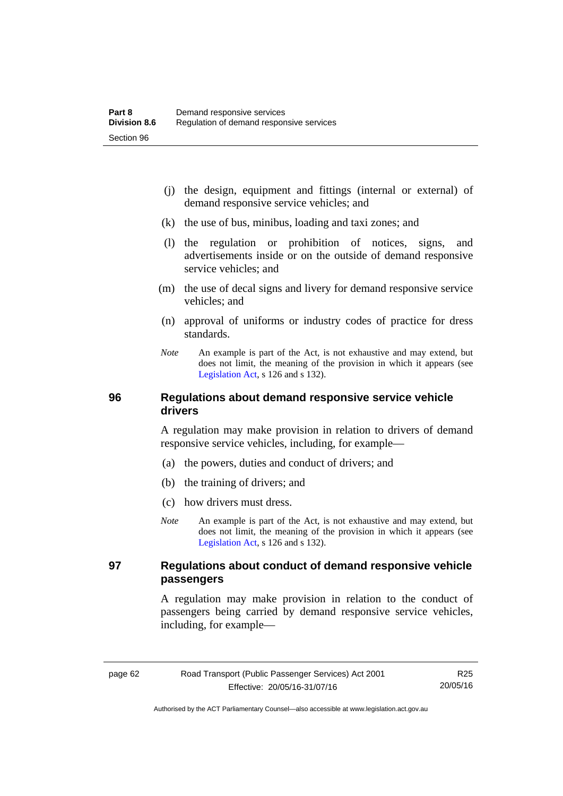- (j) the design, equipment and fittings (internal or external) of demand responsive service vehicles; and
- (k) the use of bus, minibus, loading and taxi zones; and
- (l) the regulation or prohibition of notices, signs, and advertisements inside or on the outside of demand responsive service vehicles; and
- (m) the use of decal signs and livery for demand responsive service vehicles; and
- (n) approval of uniforms or industry codes of practice for dress standards.
- *Note* An example is part of the Act, is not exhaustive and may extend, but does not limit, the meaning of the provision in which it appears (see [Legislation Act,](http://www.legislation.act.gov.au/a/2001-14) s 126 and s 132).

## **96 Regulations about demand responsive service vehicle drivers**

A regulation may make provision in relation to drivers of demand responsive service vehicles, including, for example—

- (a) the powers, duties and conduct of drivers; and
- (b) the training of drivers; and
- (c) how drivers must dress.
- *Note* An example is part of the Act, is not exhaustive and may extend, but does not limit, the meaning of the provision in which it appears (see [Legislation Act,](http://www.legislation.act.gov.au/a/2001-14) s 126 and s 132).

## **97 Regulations about conduct of demand responsive vehicle passengers**

A regulation may make provision in relation to the conduct of passengers being carried by demand responsive service vehicles, including, for example—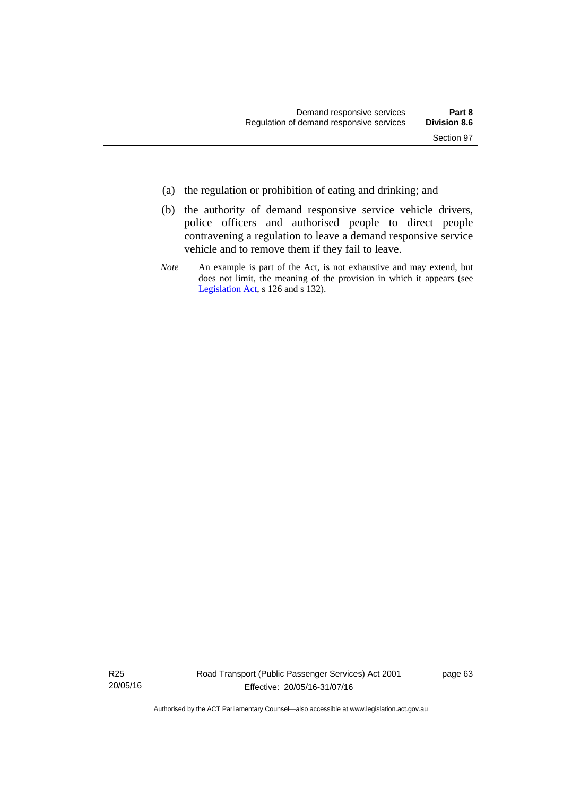- (a) the regulation or prohibition of eating and drinking; and
- (b) the authority of demand responsive service vehicle drivers, police officers and authorised people to direct people contravening a regulation to leave a demand responsive service vehicle and to remove them if they fail to leave.
- *Note* An example is part of the Act, is not exhaustive and may extend, but does not limit, the meaning of the provision in which it appears (see [Legislation Act,](http://www.legislation.act.gov.au/a/2001-14) s 126 and s 132).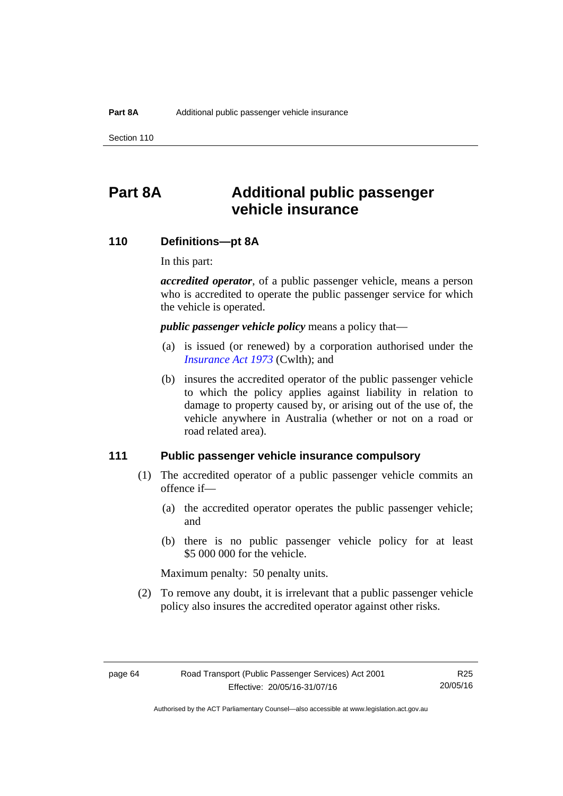Section 110

# **Part 8A Additional public passenger vehicle insurance**

## **110 Definitions—pt 8A**

In this part:

*accredited operator*, of a public passenger vehicle, means a person who is accredited to operate the public passenger service for which the vehicle is operated.

*public passenger vehicle policy* means a policy that—

- (a) is issued (or renewed) by a corporation authorised under the *[Insurance Act 1973](http://www.comlaw.gov.au/Details/C2013C00019)* (Cwlth); and
- (b) insures the accredited operator of the public passenger vehicle to which the policy applies against liability in relation to damage to property caused by, or arising out of the use of, the vehicle anywhere in Australia (whether or not on a road or road related area).

## **111 Public passenger vehicle insurance compulsory**

- (1) The accredited operator of a public passenger vehicle commits an offence if—
	- (a) the accredited operator operates the public passenger vehicle; and
	- (b) there is no public passenger vehicle policy for at least \$5 000 000 for the vehicle.

Maximum penalty: 50 penalty units.

 (2) To remove any doubt, it is irrelevant that a public passenger vehicle policy also insures the accredited operator against other risks.

R25 20/05/16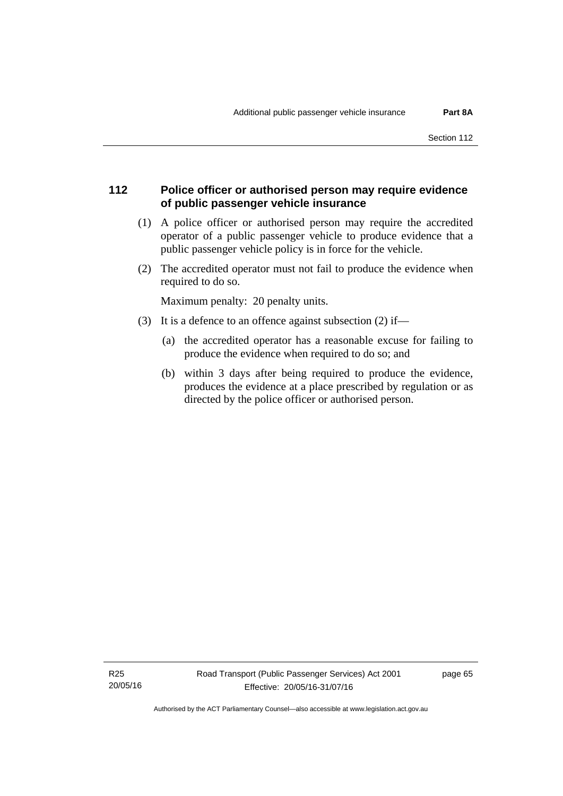# **112 Police officer or authorised person may require evidence of public passenger vehicle insurance**

- (1) A police officer or authorised person may require the accredited operator of a public passenger vehicle to produce evidence that a public passenger vehicle policy is in force for the vehicle.
- (2) The accredited operator must not fail to produce the evidence when required to do so.

Maximum penalty: 20 penalty units.

- (3) It is a defence to an offence against subsection (2) if—
	- (a) the accredited operator has a reasonable excuse for failing to produce the evidence when required to do so; and
	- (b) within 3 days after being required to produce the evidence, produces the evidence at a place prescribed by regulation or as directed by the police officer or authorised person.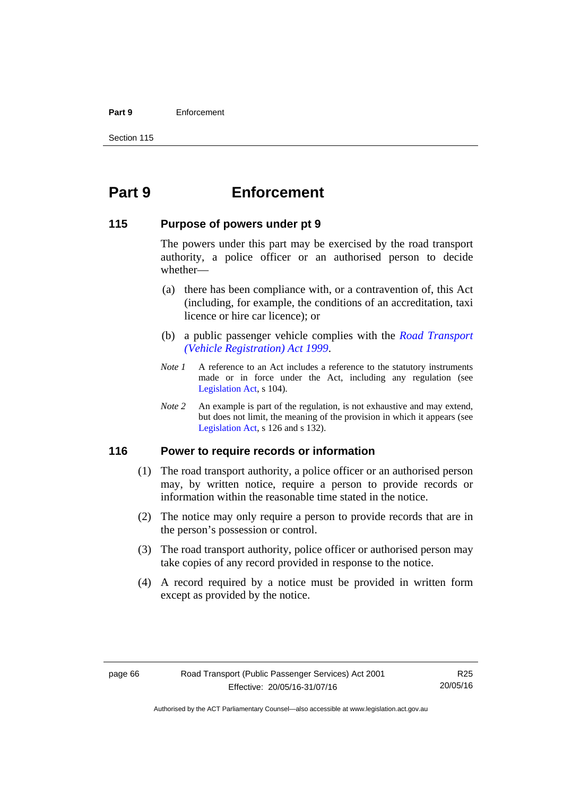#### **Part 9** Enforcement

Section 115

# **Part 9 Enforcement**

# **115 Purpose of powers under pt 9**

The powers under this part may be exercised by the road transport authority, a police officer or an authorised person to decide whether—

- (a) there has been compliance with, or a contravention of, this Act (including, for example, the conditions of an accreditation, taxi licence or hire car licence); or
- (b) a public passenger vehicle complies with the *[Road Transport](http://www.legislation.act.gov.au/a/1999-81)  [\(Vehicle Registration\) Act 1999](http://www.legislation.act.gov.au/a/1999-81)*.
- *Note 1* A reference to an Act includes a reference to the statutory instruments made or in force under the Act, including any regulation (see [Legislation Act,](http://www.legislation.act.gov.au/a/2001-14) s 104).
- *Note 2* An example is part of the regulation, is not exhaustive and may extend, but does not limit, the meaning of the provision in which it appears (see [Legislation Act,](http://www.legislation.act.gov.au/a/2001-14) s 126 and s 132).

# **116 Power to require records or information**

- (1) The road transport authority, a police officer or an authorised person may, by written notice, require a person to provide records or information within the reasonable time stated in the notice.
- (2) The notice may only require a person to provide records that are in the person's possession or control.
- (3) The road transport authority, police officer or authorised person may take copies of any record provided in response to the notice.
- (4) A record required by a notice must be provided in written form except as provided by the notice.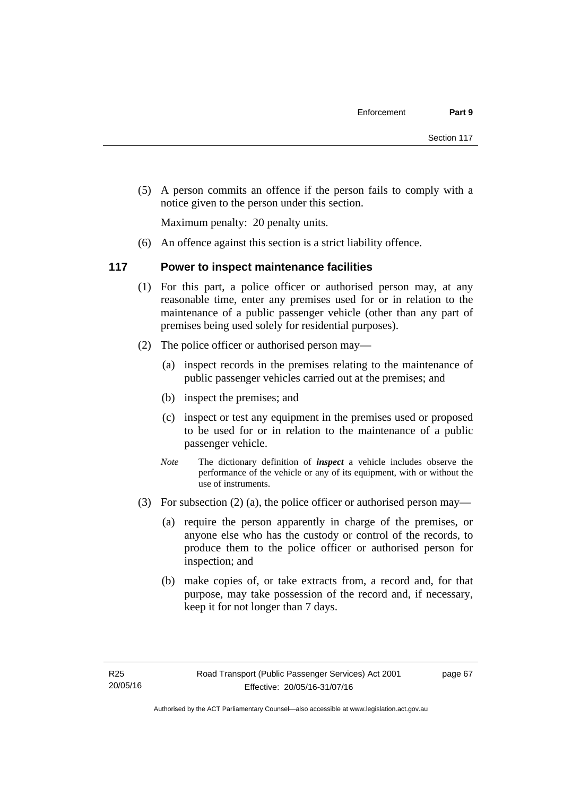(5) A person commits an offence if the person fails to comply with a notice given to the person under this section.

Maximum penalty: 20 penalty units.

(6) An offence against this section is a strict liability offence.

# **117 Power to inspect maintenance facilities**

- (1) For this part, a police officer or authorised person may, at any reasonable time, enter any premises used for or in relation to the maintenance of a public passenger vehicle (other than any part of premises being used solely for residential purposes).
- (2) The police officer or authorised person may—
	- (a) inspect records in the premises relating to the maintenance of public passenger vehicles carried out at the premises; and
	- (b) inspect the premises; and
	- (c) inspect or test any equipment in the premises used or proposed to be used for or in relation to the maintenance of a public passenger vehicle.
	- *Note* The dictionary definition of *inspect* a vehicle includes observe the performance of the vehicle or any of its equipment, with or without the use of instruments.
- (3) For subsection (2) (a), the police officer or authorised person may—
	- (a) require the person apparently in charge of the premises, or anyone else who has the custody or control of the records, to produce them to the police officer or authorised person for inspection; and
	- (b) make copies of, or take extracts from, a record and, for that purpose, may take possession of the record and, if necessary, keep it for not longer than 7 days.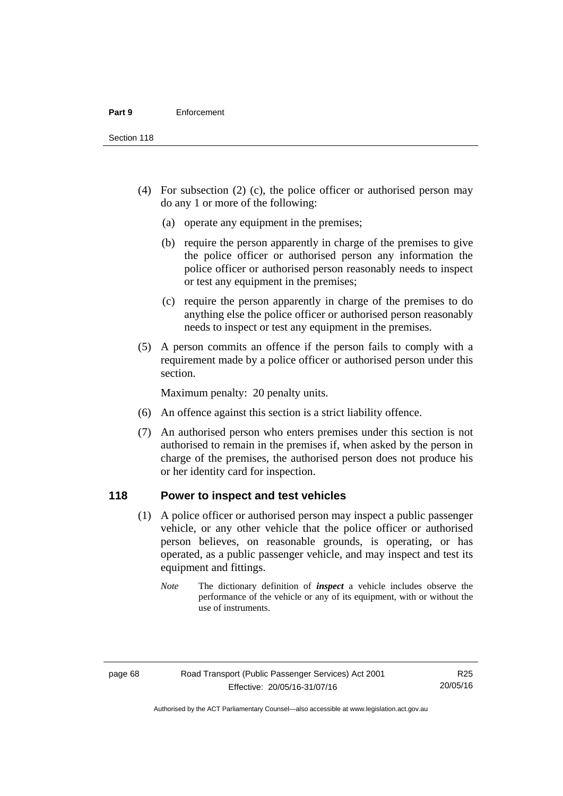Section 118

- (4) For subsection (2) (c), the police officer or authorised person may do any 1 or more of the following:
	- (a) operate any equipment in the premises;
	- (b) require the person apparently in charge of the premises to give the police officer or authorised person any information the police officer or authorised person reasonably needs to inspect or test any equipment in the premises;
	- (c) require the person apparently in charge of the premises to do anything else the police officer or authorised person reasonably needs to inspect or test any equipment in the premises.
- (5) A person commits an offence if the person fails to comply with a requirement made by a police officer or authorised person under this section.

Maximum penalty: 20 penalty units.

- (6) An offence against this section is a strict liability offence.
- (7) An authorised person who enters premises under this section is not authorised to remain in the premises if, when asked by the person in charge of the premises, the authorised person does not produce his or her identity card for inspection.

# **118 Power to inspect and test vehicles**

- (1) A police officer or authorised person may inspect a public passenger vehicle, or any other vehicle that the police officer or authorised person believes, on reasonable grounds, is operating, or has operated, as a public passenger vehicle, and may inspect and test its equipment and fittings.
	- *Note* The dictionary definition of *inspect* a vehicle includes observe the performance of the vehicle or any of its equipment, with or without the use of instruments.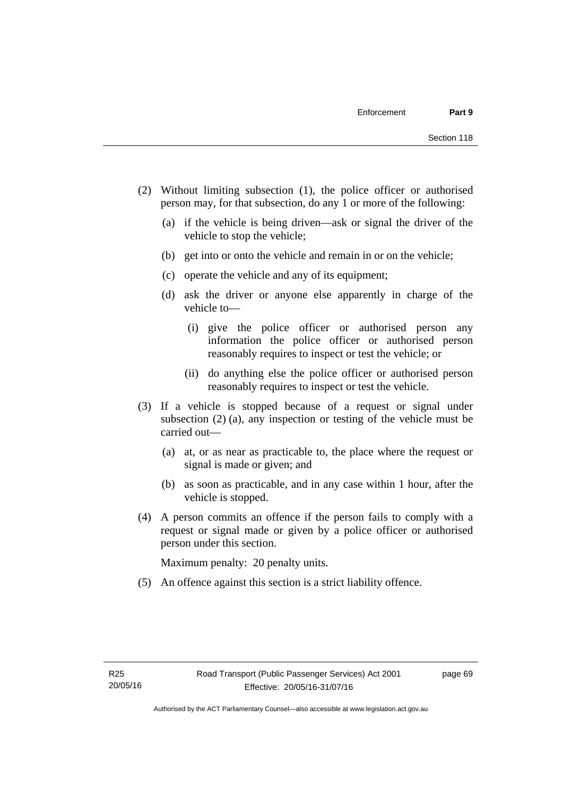- (2) Without limiting subsection (1), the police officer or authorised person may, for that subsection, do any 1 or more of the following:
	- (a) if the vehicle is being driven—ask or signal the driver of the vehicle to stop the vehicle;
	- (b) get into or onto the vehicle and remain in or on the vehicle;
	- (c) operate the vehicle and any of its equipment;
	- (d) ask the driver or anyone else apparently in charge of the vehicle to—
		- (i) give the police officer or authorised person any information the police officer or authorised person reasonably requires to inspect or test the vehicle; or
		- (ii) do anything else the police officer or authorised person reasonably requires to inspect or test the vehicle.
- (3) If a vehicle is stopped because of a request or signal under subsection (2) (a), any inspection or testing of the vehicle must be carried out—
	- (a) at, or as near as practicable to, the place where the request or signal is made or given; and
	- (b) as soon as practicable, and in any case within 1 hour, after the vehicle is stopped.
- (4) A person commits an offence if the person fails to comply with a request or signal made or given by a police officer or authorised person under this section.

Maximum penalty: 20 penalty units.

(5) An offence against this section is a strict liability offence.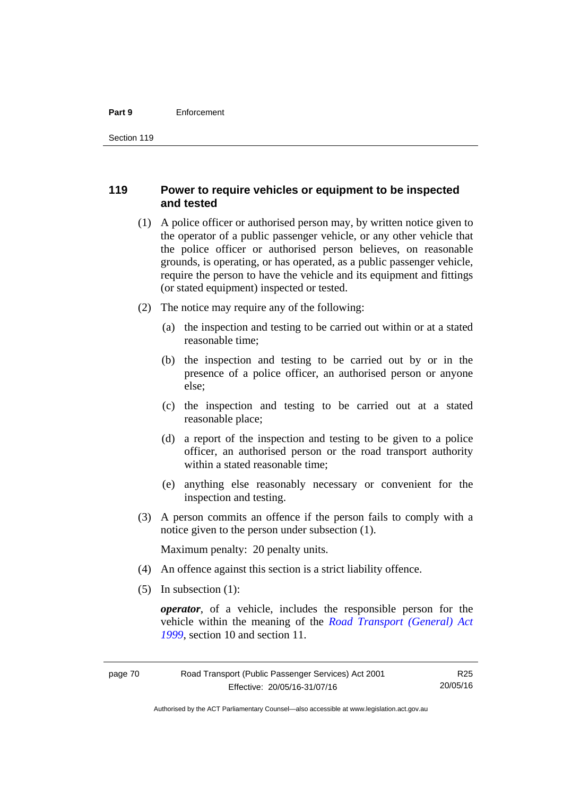#### **Part 9** Enforcement

# **119 Power to require vehicles or equipment to be inspected and tested**

- (1) A police officer or authorised person may, by written notice given to the operator of a public passenger vehicle, or any other vehicle that the police officer or authorised person believes, on reasonable grounds, is operating, or has operated, as a public passenger vehicle, require the person to have the vehicle and its equipment and fittings (or stated equipment) inspected or tested.
- (2) The notice may require any of the following:
	- (a) the inspection and testing to be carried out within or at a stated reasonable time;
	- (b) the inspection and testing to be carried out by or in the presence of a police officer, an authorised person or anyone else;
	- (c) the inspection and testing to be carried out at a stated reasonable place;
	- (d) a report of the inspection and testing to be given to a police officer, an authorised person or the road transport authority within a stated reasonable time;
	- (e) anything else reasonably necessary or convenient for the inspection and testing.
- (3) A person commits an offence if the person fails to comply with a notice given to the person under subsection (1).

Maximum penalty: 20 penalty units.

- (4) An offence against this section is a strict liability offence.
- (5) In subsection (1):

*operator*, of a vehicle, includes the responsible person for the vehicle within the meaning of the *[Road Transport \(General\) Act](http://www.legislation.act.gov.au/a/1999-77)  [1999](http://www.legislation.act.gov.au/a/1999-77)*, section 10 and section 11.

R25 20/05/16

Authorised by the ACT Parliamentary Counsel—also accessible at www.legislation.act.gov.au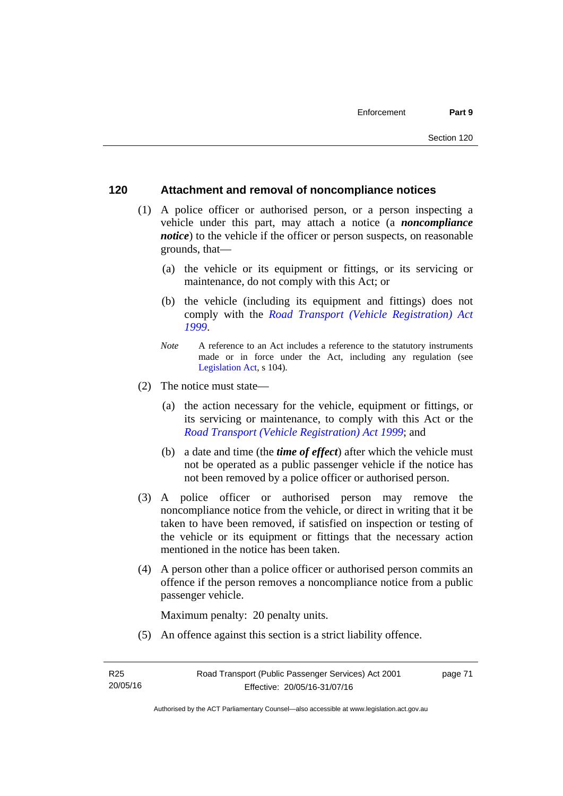# **120 Attachment and removal of noncompliance notices**

- (1) A police officer or authorised person, or a person inspecting a vehicle under this part, may attach a notice (a *noncompliance notice*) to the vehicle if the officer or person suspects, on reasonable grounds, that—
	- (a) the vehicle or its equipment or fittings, or its servicing or maintenance, do not comply with this Act; or
	- (b) the vehicle (including its equipment and fittings) does not comply with the *[Road Transport \(Vehicle Registration\) Act](http://www.legislation.act.gov.au/a/1999-81)  [1999](http://www.legislation.act.gov.au/a/1999-81)*.
	- *Note* A reference to an Act includes a reference to the statutory instruments made or in force under the Act, including any regulation (see [Legislation Act,](http://www.legislation.act.gov.au/a/2001-14) s 104).
- (2) The notice must state—
	- (a) the action necessary for the vehicle, equipment or fittings, or its servicing or maintenance, to comply with this Act or the *[Road Transport \(Vehicle Registration\) Act 1999](http://www.legislation.act.gov.au/a/1999-81)*; and
	- (b) a date and time (the *time of effect*) after which the vehicle must not be operated as a public passenger vehicle if the notice has not been removed by a police officer or authorised person.
- (3) A police officer or authorised person may remove the noncompliance notice from the vehicle, or direct in writing that it be taken to have been removed, if satisfied on inspection or testing of the vehicle or its equipment or fittings that the necessary action mentioned in the notice has been taken.
- (4) A person other than a police officer or authorised person commits an offence if the person removes a noncompliance notice from a public passenger vehicle.

Maximum penalty: 20 penalty units.

(5) An offence against this section is a strict liability offence.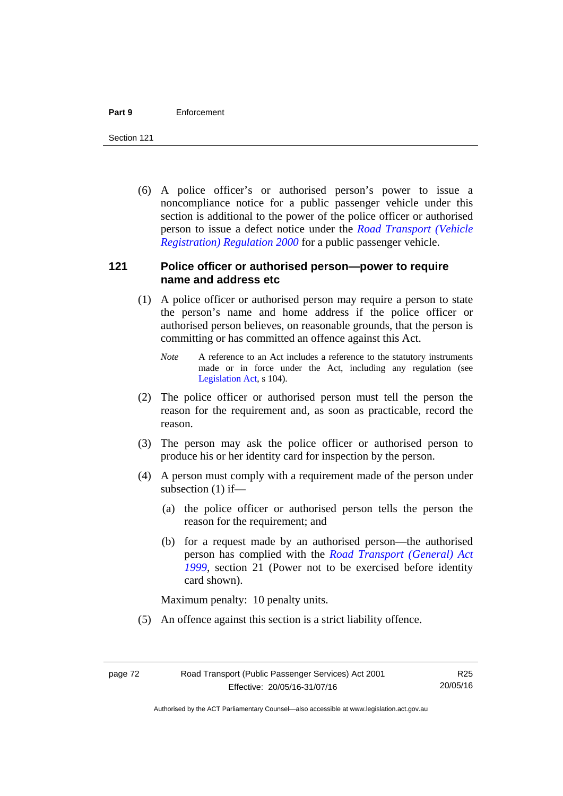#### **Part 9** Enforcement

Section 121

 (6) A police officer's or authorised person's power to issue a noncompliance notice for a public passenger vehicle under this section is additional to the power of the police officer or authorised person to issue a defect notice under the *[Road Transport \(Vehicle](http://www.legislation.act.gov.au/sl/2000-12)  [Registration\) Regulation 2000](http://www.legislation.act.gov.au/sl/2000-12)* for a public passenger vehicle.

# **121 Police officer or authorised person—power to require name and address etc**

- (1) A police officer or authorised person may require a person to state the person's name and home address if the police officer or authorised person believes, on reasonable grounds, that the person is committing or has committed an offence against this Act.
	- *Note* A reference to an Act includes a reference to the statutory instruments made or in force under the Act, including any regulation (see [Legislation Act,](http://www.legislation.act.gov.au/a/2001-14) s 104).
- (2) The police officer or authorised person must tell the person the reason for the requirement and, as soon as practicable, record the reason.
- (3) The person may ask the police officer or authorised person to produce his or her identity card for inspection by the person.
- (4) A person must comply with a requirement made of the person under subsection (1) if—
	- (a) the police officer or authorised person tells the person the reason for the requirement; and
	- (b) for a request made by an authorised person—the authorised person has complied with the *[Road Transport \(General\) Act](http://www.legislation.act.gov.au/a/1999-77)  [1999](http://www.legislation.act.gov.au/a/1999-77)*, section 21 (Power not to be exercised before identity card shown).

Maximum penalty: 10 penalty units.

(5) An offence against this section is a strict liability offence.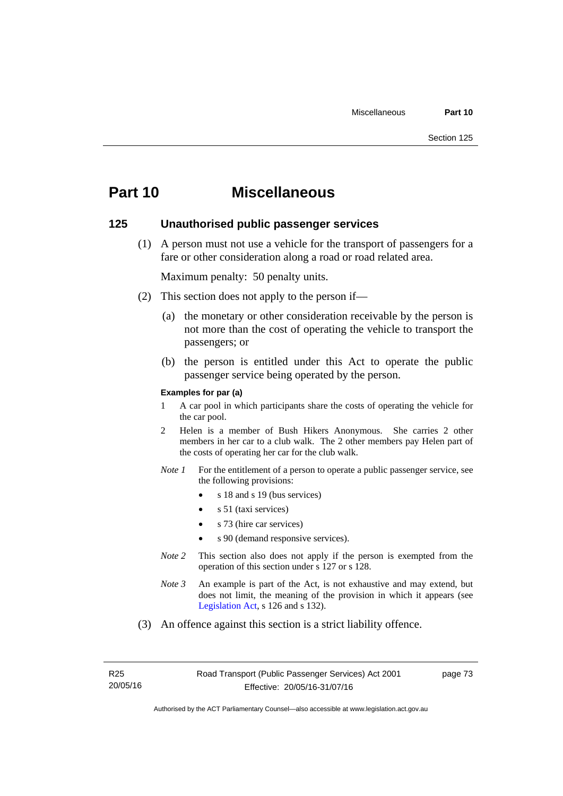# **Part 10 Miscellaneous**

# **125 Unauthorised public passenger services**

 (1) A person must not use a vehicle for the transport of passengers for a fare or other consideration along a road or road related area.

Maximum penalty: 50 penalty units.

- (2) This section does not apply to the person if—
	- (a) the monetary or other consideration receivable by the person is not more than the cost of operating the vehicle to transport the passengers; or
	- (b) the person is entitled under this Act to operate the public passenger service being operated by the person.

### **Examples for par (a)**

- 1 A car pool in which participants share the costs of operating the vehicle for the car pool.
- 2 Helen is a member of Bush Hikers Anonymous. She carries 2 other members in her car to a club walk. The 2 other members pay Helen part of the costs of operating her car for the club walk.
- *Note 1* For the entitlement of a person to operate a public passenger service, see the following provisions:
	- $\bullet$  s 18 and s 19 (bus services)
	- s 51 (taxi services)
	- s 73 (hire car services)
	- s 90 (demand responsive services).
- *Note* 2 This section also does not apply if the person is exempted from the operation of this section under s 127 or s 128.
- *Note 3* An example is part of the Act, is not exhaustive and may extend, but does not limit, the meaning of the provision in which it appears (see [Legislation Act,](http://www.legislation.act.gov.au/a/2001-14) s 126 and s 132).
- (3) An offence against this section is a strict liability offence.

R25 20/05/16 page 73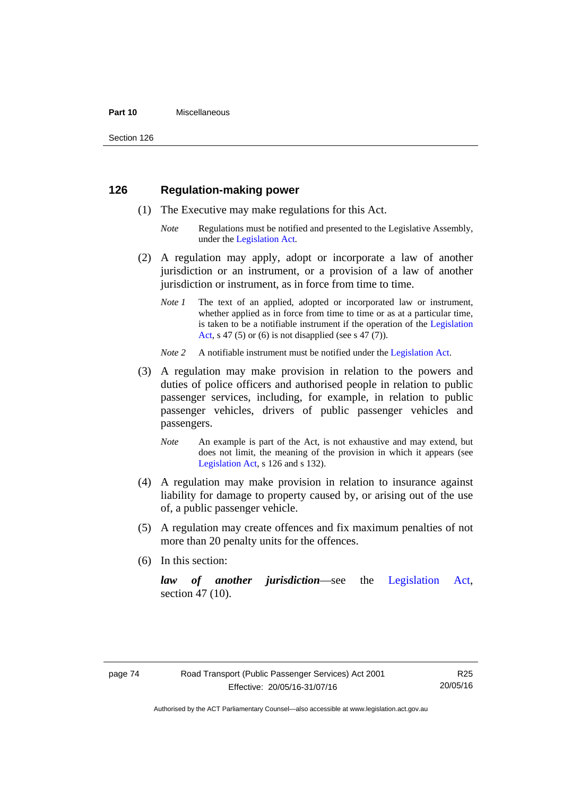#### **Part 10** Miscellaneous

Section 126

# **126 Regulation-making power**

- (1) The Executive may make regulations for this Act.
	- *Note* Regulations must be notified and presented to the Legislative Assembly, under the [Legislation Act.](http://www.legislation.act.gov.au/a/2001-14)
- (2) A regulation may apply, adopt or incorporate a law of another jurisdiction or an instrument, or a provision of a law of another jurisdiction or instrument, as in force from time to time.
	- *Note 1* The text of an applied, adopted or incorporated law or instrument, whether applied as in force from time to time or as at a particular time, is taken to be a notifiable instrument if the operation of the [Legislation](http://www.legislation.act.gov.au/a/2001-14)  [Act](http://www.legislation.act.gov.au/a/2001-14), s 47 (5) or (6) is not disapplied (see s 47 (7)).
	- *Note 2* A notifiable instrument must be notified under the [Legislation Act](http://www.legislation.act.gov.au/a/2001-14).
- (3) A regulation may make provision in relation to the powers and duties of police officers and authorised people in relation to public passenger services, including, for example, in relation to public passenger vehicles, drivers of public passenger vehicles and passengers.
	- *Note* An example is part of the Act, is not exhaustive and may extend, but does not limit, the meaning of the provision in which it appears (see [Legislation Act,](http://www.legislation.act.gov.au/a/2001-14) s 126 and s 132).
- (4) A regulation may make provision in relation to insurance against liability for damage to property caused by, or arising out of the use of, a public passenger vehicle.
- (5) A regulation may create offences and fix maximum penalties of not more than 20 penalty units for the offences.
- (6) In this section:

*law of another jurisdiction*—see the [Legislation Act](http://www.legislation.act.gov.au/a/2001-14), section 47 (10).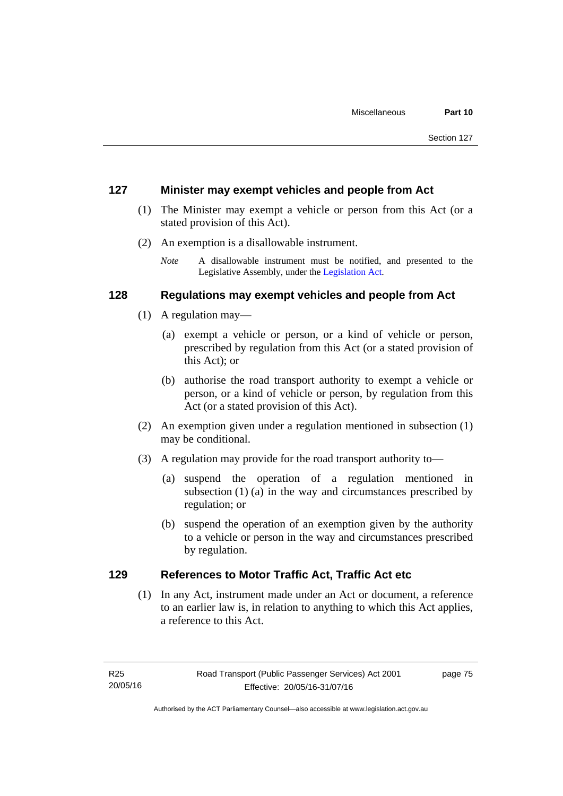# **127 Minister may exempt vehicles and people from Act**

- (1) The Minister may exempt a vehicle or person from this Act (or a stated provision of this Act).
- (2) An exemption is a disallowable instrument.
	- *Note* A disallowable instrument must be notified, and presented to the Legislative Assembly, under the [Legislation Act.](http://www.legislation.act.gov.au/a/2001-14)

# **128 Regulations may exempt vehicles and people from Act**

- (1) A regulation may—
	- (a) exempt a vehicle or person, or a kind of vehicle or person, prescribed by regulation from this Act (or a stated provision of this Act); or
	- (b) authorise the road transport authority to exempt a vehicle or person, or a kind of vehicle or person, by regulation from this Act (or a stated provision of this Act).
- (2) An exemption given under a regulation mentioned in subsection (1) may be conditional.
- (3) A regulation may provide for the road transport authority to—
	- (a) suspend the operation of a regulation mentioned in subsection (1) (a) in the way and circumstances prescribed by regulation; or
	- (b) suspend the operation of an exemption given by the authority to a vehicle or person in the way and circumstances prescribed by regulation.

# **129 References to Motor Traffic Act, Traffic Act etc**

(1) In any Act, instrument made under an Act or document, a reference to an earlier law is, in relation to anything to which this Act applies, a reference to this Act.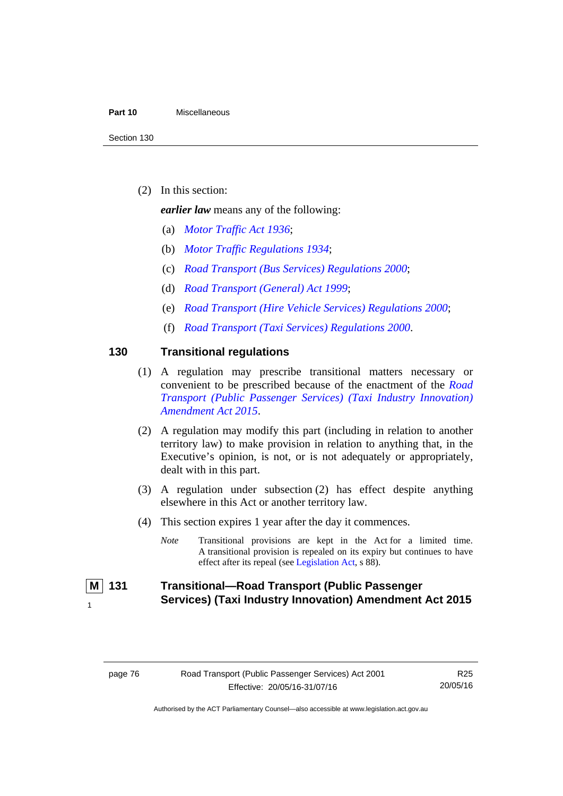#### **Part 10** Miscellaneous

(2) In this section:

*earlier law* means any of the following:

- (a) *[Motor Traffic Act 1936](http://www.legislation.act.gov.au/a/1936-45)*;
- (b) *[Motor Traffic Regulations 1934](http://www.legislation.act.gov.au/sl/1934-6)*;
- (c) *[Road Transport \(Bus Services\) Regulations 2000](http://www.legislation.act.gov.au/sl/2000-9)*;
- (d) *[Road Transport \(General\) Act 1999](http://www.legislation.act.gov.au/a/1999-77)*;
- (e) *[Road Transport \(Hire Vehicle Services\) Regulations 2000](http://www.legislation.act.gov.au/sl/2000-4)*;
- (f) *[Road Transport \(Taxi Services\) Regulations 2000](http://www.legislation.act.gov.au/sl/2000-5)*.

# **130 Transitional regulations**

- (1) A regulation may prescribe transitional matters necessary or convenient to be prescribed because of the enactment of the *[Road](http://www.legislation.act.gov.au/a/2015-47/default.asp)  [Transport \(Public Passenger Services\) \(Taxi Industry Innovation\)](http://www.legislation.act.gov.au/a/2015-47/default.asp)  [Amendment Act 2015](http://www.legislation.act.gov.au/a/2015-47/default.asp)*.
- (2) A regulation may modify this part (including in relation to another territory law) to make provision in relation to anything that, in the Executive's opinion, is not, or is not adequately or appropriately, dealt with in this part.
- (3) A regulation under subsection (2) has effect despite anything elsewhere in this Act or another territory law.
- (4) This section expires 1 year after the day it commences.
	- *Note* Transitional provisions are kept in the Act for a limited time. A transitional provision is repealed on its expiry but continues to have effect after its repeal (see [Legislation Act,](http://www.legislation.act.gov.au/a/2001-14) s 88).

 **M 131 Transitional—Road Transport (Public Passenger Services) (Taxi Industry Innovation) Amendment Act 2015** 1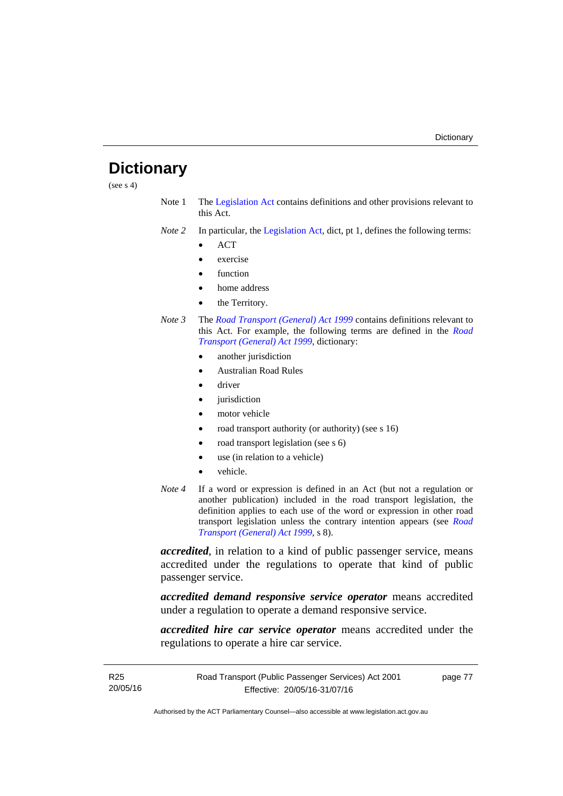# **Dictionary**

(see  $s$  4)

- Note 1 The [Legislation Act](http://www.legislation.act.gov.au/a/2001-14) contains definitions and other provisions relevant to this Act.
- *Note 2* In particular, the [Legislation Act,](http://www.legislation.act.gov.au/a/2001-14) dict, pt 1, defines the following terms:
	- **ACT**
	- exercise
	- function
	- home address
	- the Territory.
- *Note 3* The *[Road Transport \(General\) Act 1999](http://www.legislation.act.gov.au/a/1999-77)* contains definitions relevant to this Act. For example, the following terms are defined in the *[Road](http://www.legislation.act.gov.au/a/1999-77)  [Transport \(General\) Act 1999](http://www.legislation.act.gov.au/a/1999-77)*, dictionary:
	- another jurisdiction
	- Australian Road Rules
	- driver
	- jurisdiction
	- motor vehicle
	- road transport authority (or authority) (see s 16)
	- road transport legislation (see s 6)
	- use (in relation to a vehicle)
	- vehicle.
- *Note 4* If a word or expression is defined in an Act (but not a regulation or another publication) included in the road transport legislation, the definition applies to each use of the word or expression in other road transport legislation unless the contrary intention appears (see *[Road](http://www.legislation.act.gov.au/a/1999-77)  [Transport \(General\) Act 1999](http://www.legislation.act.gov.au/a/1999-77)*, s 8).

*accredited*, in relation to a kind of public passenger service, means accredited under the regulations to operate that kind of public passenger service.

*accredited demand responsive service operator* means accredited under a regulation to operate a demand responsive service.

*accredited hire car service operator* means accredited under the regulations to operate a hire car service.

page 77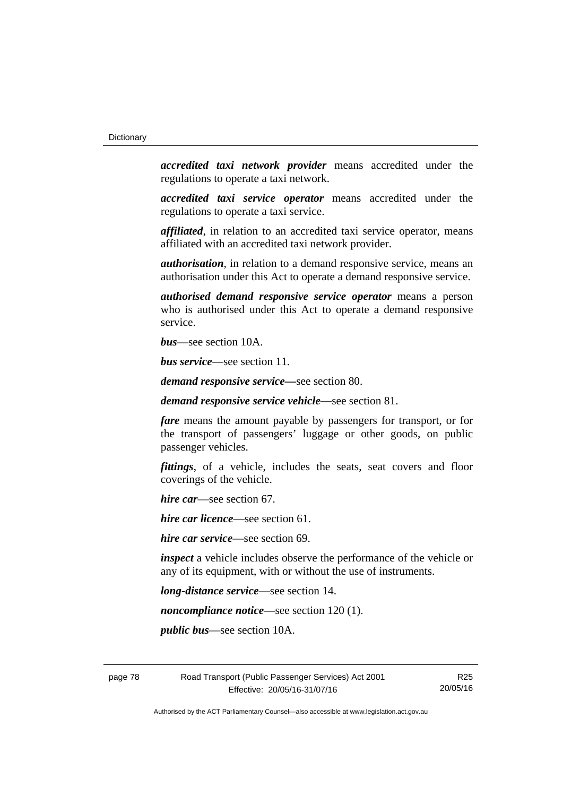*accredited taxi network provider* means accredited under the regulations to operate a taxi network.

*accredited taxi service operator* means accredited under the regulations to operate a taxi service.

*affiliated*, in relation to an accredited taxi service operator, means affiliated with an accredited taxi network provider.

*authorisation*, in relation to a demand responsive service, means an authorisation under this Act to operate a demand responsive service.

*authorised demand responsive service operator* means a person who is authorised under this Act to operate a demand responsive service.

*bus*—see section 10A.

*bus service*—see section 11.

*demand responsive service—*see section 80.

*demand responsive service vehicle—*see section 81.

*fare* means the amount payable by passengers for transport, or for the transport of passengers' luggage or other goods, on public passenger vehicles.

*fittings*, of a vehicle, includes the seats, seat covers and floor coverings of the vehicle.

*hire car*—see section 67.

*hire car licence*—see section 61.

*hire car service*—see section 69.

*inspect* a vehicle includes observe the performance of the vehicle or any of its equipment, with or without the use of instruments.

*long-distance service*—see section 14.

*noncompliance notice*—see section 120 (1).

*public bus*—see section 10A.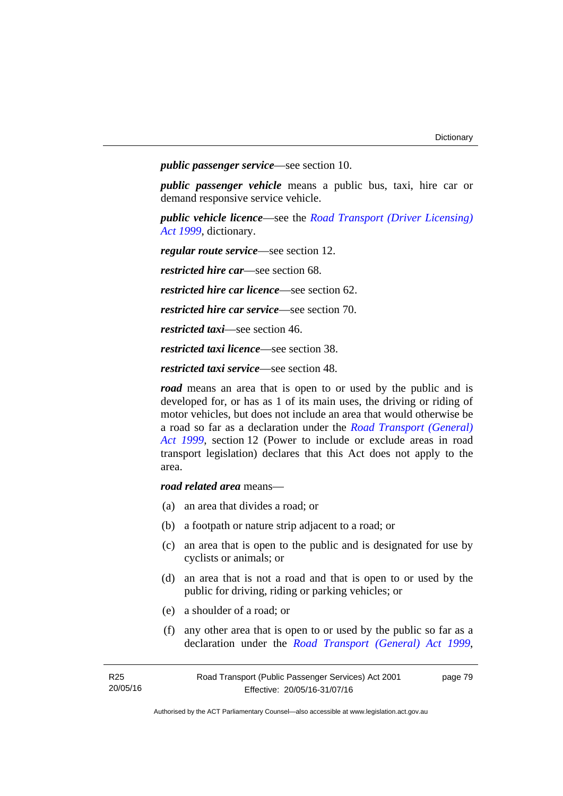*public passenger service*—see section 10.

*public passenger vehicle* means a public bus, taxi, hire car or demand responsive service vehicle.

*public vehicle licence*—see the *[Road Transport \(Driver Licensing\)](http://www.legislation.act.gov.au/a/1999-78)  [Act 1999](http://www.legislation.act.gov.au/a/1999-78)*, dictionary.

*regular route service*—see section 12.

*restricted hire car*—see section 68.

*restricted hire car licence*—see section 62.

*restricted hire car service*—see section 70.

*restricted taxi*—see section 46.

*restricted taxi licence*—see section 38.

*restricted taxi service*—see section 48.

*road* means an area that is open to or used by the public and is developed for, or has as 1 of its main uses, the driving or riding of motor vehicles, but does not include an area that would otherwise be a road so far as a declaration under the *[Road Transport \(General\)](http://www.legislation.act.gov.au/a/1999-77)  [Act 1999](http://www.legislation.act.gov.au/a/1999-77)*, section 12 (Power to include or exclude areas in road transport legislation) declares that this Act does not apply to the area.

*road related area* means—

- (a) an area that divides a road; or
- (b) a footpath or nature strip adjacent to a road; or
- (c) an area that is open to the public and is designated for use by cyclists or animals; or
- (d) an area that is not a road and that is open to or used by the public for driving, riding or parking vehicles; or
- (e) a shoulder of a road; or
- (f) any other area that is open to or used by the public so far as a declaration under the *[Road Transport \(General\) Act 1999](http://www.legislation.act.gov.au/a/1999-77)*,

page 79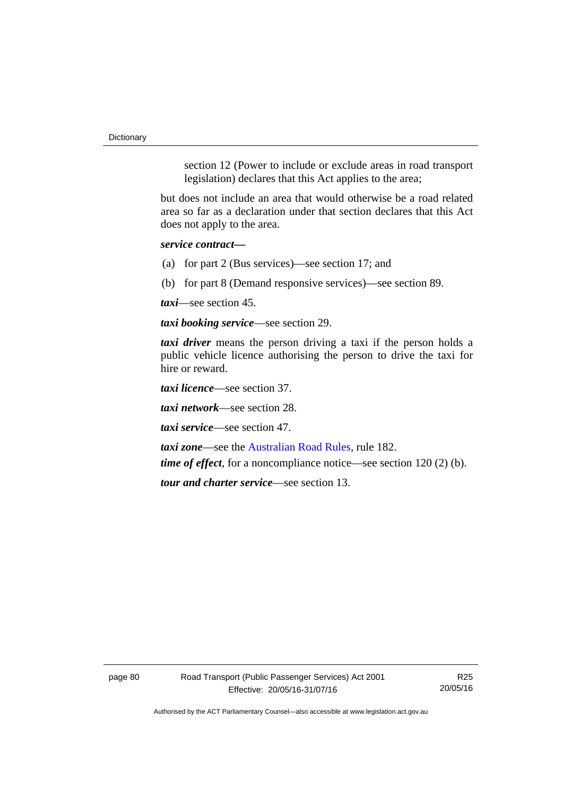**Dictionary** 

section 12 (Power to include or exclude areas in road transport legislation) declares that this Act applies to the area;

but does not include an area that would otherwise be a road related area so far as a declaration under that section declares that this Act does not apply to the area.

*service contract—*

(a) for part 2 (Bus services)—see section 17; and

(b) for part 8 (Demand responsive services)—see section 89.

*taxi*—see section 45.

*taxi booking service*—see section 29.

*taxi driver* means the person driving a taxi if the person holds a public vehicle licence authorising the person to drive the taxi for hire or reward.

*taxi licence*—see section 37.

*taxi network*—see section 28.

*taxi service*—see section 47.

*taxi zone*—see the [Australian Road Rules](http://www.legislation.act.gov.au//ni/db_37271/default.asp), rule 182.

*time of effect*, for a noncompliance notice—see section 120 (2) (b).

*tour and charter service*—see section 13.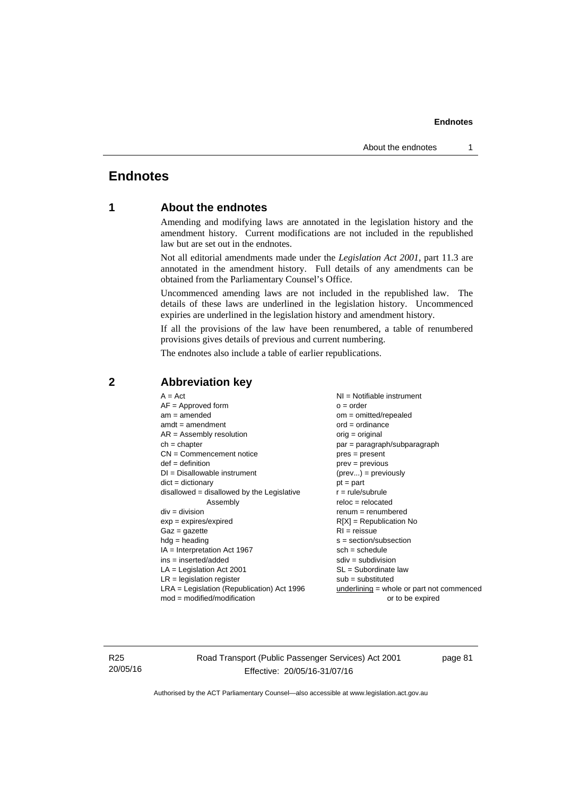# **Endnotes**

# **1 About the endnotes**

Amending and modifying laws are annotated in the legislation history and the amendment history. Current modifications are not included in the republished law but are set out in the endnotes.

Not all editorial amendments made under the *Legislation Act 2001*, part 11.3 are annotated in the amendment history. Full details of any amendments can be obtained from the Parliamentary Counsel's Office.

Uncommenced amending laws are not included in the republished law. The details of these laws are underlined in the legislation history. Uncommenced expiries are underlined in the legislation history and amendment history.

If all the provisions of the law have been renumbered, a table of renumbered provisions gives details of previous and current numbering.

The endnotes also include a table of earlier republications.

| $A = Act$                                    | $NI =$ Notifiable instrument              |
|----------------------------------------------|-------------------------------------------|
| $AF =$ Approved form                         | $o = order$                               |
| $am = amended$                               | om = omitted/repealed                     |
| $amdt = amendment$                           | $ord = ordinance$                         |
| $AR = Assembly resolution$                   | $orig = original$                         |
| $ch = chapter$                               | par = paragraph/subparagraph              |
| $CN =$ Commencement notice                   | $pres = present$                          |
| $def = definition$                           | $prev = previous$                         |
| $DI = Disallowable instrument$               | $(\text{prev}) = \text{previously}$       |
| $dict = dictionary$                          | $pt = part$                               |
| disallowed = disallowed by the Legislative   | $r = rule/subrule$                        |
| Assembly                                     | $reloc = relocated$                       |
| $div = division$                             | $remum = renumbered$                      |
| $exp = expires/expired$                      | $R[X]$ = Republication No                 |
| $Gaz = gazette$                              | $RI = reissue$                            |
| $hdg = heading$                              | s = section/subsection                    |
| $IA = Interpretation Act 1967$               | $sch = schedule$                          |
| $ins = inserted/added$                       | $sdiv = subdivision$                      |
| $LA =$ Legislation Act 2001                  | $SL = Subordinate$ law                    |
| $LR =$ legislation register                  | $sub =$ substituted                       |
| $LRA =$ Legislation (Republication) Act 1996 | underlining = whole or part not commenced |
| $mod = modified/modification$                | or to be expired                          |

# **2 Abbreviation key**

R25 20/05/16 Road Transport (Public Passenger Services) Act 2001 Effective: 20/05/16-31/07/16

page 81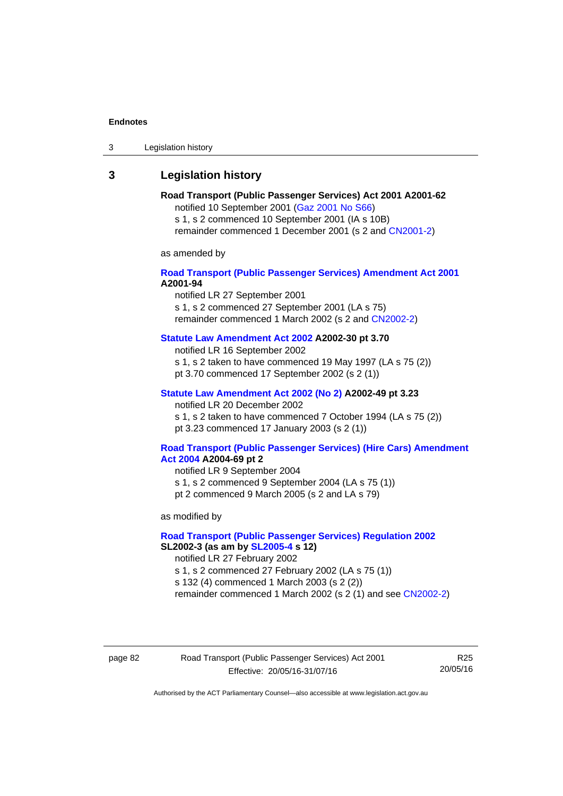3 Legislation history

# **3 Legislation history**

#### **Road Transport (Public Passenger Services) Act 2001 A2001-62**  notified 10 September 2001 [\(Gaz 2001 No S66\)](http://www.legislation.act.gov.au/gaz/2001-S66/default.asp)

s 1, s 2 commenced 10 September 2001 (IA s 10B) remainder commenced 1 December 2001 (s 2 and [CN2001-2\)](http://www.legislation.act.gov.au/cn/2001-2/default.asp)

as amended by

### **[Road Transport \(Public Passenger Services\) Amendment Act 2001](http://www.legislation.act.gov.au/a/2001-94) A2001-94**

notified LR 27 September 2001

s 1, s 2 commenced 27 September 2001 (LA s 75) remainder commenced 1 March 2002 (s 2 and [CN2002-2\)](http://www.legislation.act.gov.au/cn/2002-2/default.asp)

# **[Statute Law Amendment Act 2002](http://www.legislation.act.gov.au/a/2002-30) A2002-30 pt 3.70**

notified LR 16 September 2002

s 1, s 2 taken to have commenced 19 May 1997 (LA s 75 (2))

pt 3.70 commenced 17 September 2002 (s 2 (1))

### **[Statute Law Amendment Act 2002 \(No 2\)](http://www.legislation.act.gov.au/a/2002-49) A2002-49 pt 3.23**

notified LR 20 December 2002 s 1, s 2 taken to have commenced 7 October 1994 (LA s 75 (2)) pt 3.23 commenced 17 January 2003 (s 2 (1))

#### **[Road Transport \(Public Passenger Services\) \(Hire Cars\) Amendment](http://www.legislation.act.gov.au/a/2004-69)  [Act 2004](http://www.legislation.act.gov.au/a/2004-69) A2004-69 pt 2**

notified LR 9 September 2004 s 1, s 2 commenced 9 September 2004 (LA s 75 (1)) pt 2 commenced 9 March 2005 (s 2 and LA s 79)

as modified by

### **[Road Transport \(Public Passenger Services\) Regulation 2002](http://www.legislation.act.gov.au/sl/2002-3) SL2002-3 (as am by [SL2005-4](http://www.legislation.act.gov.au/sl/2005-4) s 12)**

notified LR 27 February 2002

s 1, s 2 commenced 27 February 2002 (LA s 75 (1))

s 132 (4) commenced 1 March 2003 (s 2 (2))

remainder commenced 1 March 2002 (s 2 (1) and see [CN2002-2](http://www.legislation.act.gov.au/cn/2002-2/default.asp))

page 82 Road Transport (Public Passenger Services) Act 2001 Effective: 20/05/16-31/07/16

R25 20/05/16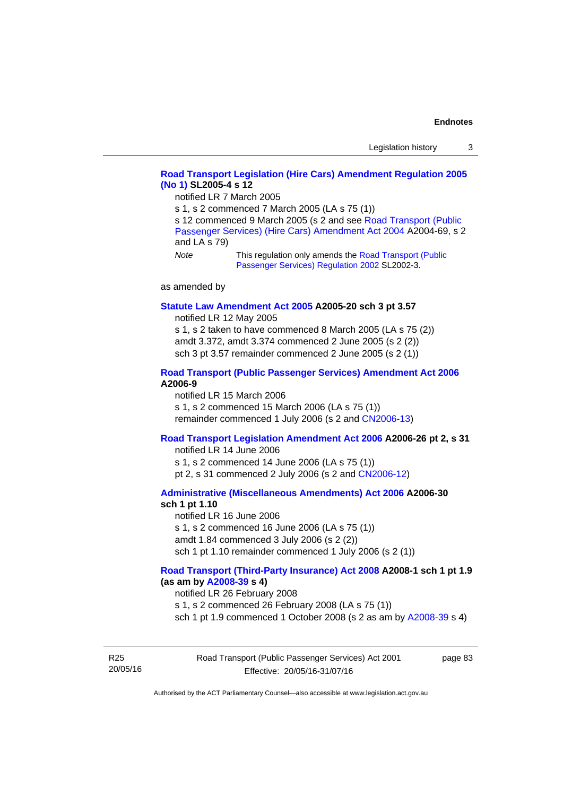### **[Road Transport Legislation \(Hire Cars\) Amendment Regulation 2005](http://www.legislation.act.gov.au/sl/2005-4)  [\(No 1\)](http://www.legislation.act.gov.au/sl/2005-4) SL2005-4 s 12**

notified LR 7 March 2005

s 1, s 2 commenced 7 March 2005 (LA s 75 (1))

s 12 commenced 9 March 2005 (s 2 and see Road Transport (Public [Passenger Services\) \(Hire Cars\) Amendment Act 2004](http://www.legislation.act.gov.au/a/2004-69) A2004-69, s 2 and LA s 79)

*Note* This regulation only amends the [Road Transport \(Public](http://www.legislation.act.gov.au/sl/2002-3)  [Passenger Services\) Regulation 2002](http://www.legislation.act.gov.au/sl/2002-3) SL2002-3.

as amended by

#### **[Statute Law Amendment Act 2005](http://www.legislation.act.gov.au/a/2005-20) A2005-20 sch 3 pt 3.57**

notified LR 12 May 2005

s 1, s 2 taken to have commenced 8 March 2005 (LA s 75 (2)) amdt 3.372, amdt 3.374 commenced 2 June 2005 (s 2 (2)) sch 3 pt 3.57 remainder commenced 2 June 2005 (s 2 (1))

#### **[Road Transport \(Public Passenger Services\) Amendment Act 2006](http://www.legislation.act.gov.au/a/2006-9) A2006-9**

notified LR 15 March 2006 s 1, s 2 commenced 15 March 2006 (LA s 75 (1)) remainder commenced 1 July 2006 (s 2 and [CN2006-13](http://www.legislation.act.gov.au/cn/2006-13/default.asp))

### **[Road Transport Legislation Amendment Act 2006](http://www.legislation.act.gov.au/a/2006-26) A2006-26 pt 2, s 31**

notified LR 14 June 2006 s 1, s 2 commenced 14 June 2006 (LA s 75 (1)) pt 2, s 31 commenced 2 July 2006 (s 2 and [CN2006-12](http://www.legislation.act.gov.au/cn/2006-12/default.asp))

#### **[Administrative \(Miscellaneous Amendments\) Act 2006](http://www.legislation.act.gov.au/a/2006-30) A2006-30 sch 1 pt 1.10**

notified LR 16 June 2006 s 1, s 2 commenced 16 June 2006 (LA s 75 (1)) amdt 1.84 commenced 3 July 2006 (s 2 (2)) sch 1 pt 1.10 remainder commenced 1 July 2006 (s 2 (1))

#### **[Road Transport \(Third-Party Insurance\) Act 2008](http://www.legislation.act.gov.au/a/2008-1) A2008-1 sch 1 pt 1.9 (as am by [A2008-39](http://www.legislation.act.gov.au/a/2008-39) s 4)**

notified LR 26 February 2008

s 1, s 2 commenced 26 February 2008 (LA s 75 (1))

sch 1 pt 1.9 commenced 1 October 2008 (s 2 as am by [A2008-39](http://www.legislation.act.gov.au/a/2008-39) s 4)

R25 20/05/16 Road Transport (Public Passenger Services) Act 2001 Effective: 20/05/16-31/07/16

page 83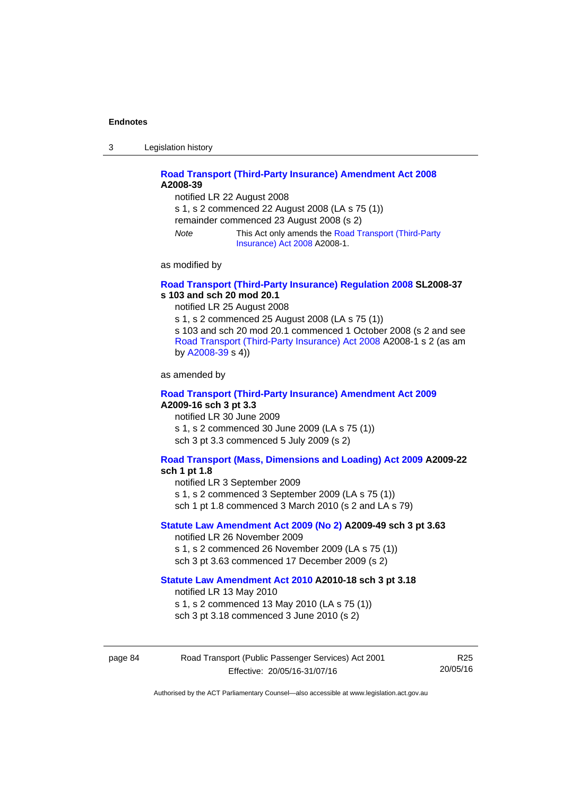3 Legislation history

### **[Road Transport \(Third-Party Insurance\) Amendment Act 2008](http://www.legislation.act.gov.au/a/2008-39) A2008-39**

notified LR 22 August 2008 s 1, s 2 commenced 22 August 2008 (LA s 75 (1)) remainder commenced 23 August 2008 (s 2) *Note* This Act only amends the [Road Transport \(Third-Party](http://www.legislation.act.gov.au/a/2008-1)  [Insurance\) Act 2008](http://www.legislation.act.gov.au/a/2008-1) A2008-1.

as modified by

### **[Road Transport \(Third-Party Insurance\) Regulation 2008](http://www.legislation.act.gov.au/sl/2008-37) SL2008-37 s 103 and sch 20 mod 20.1**

notified LR 25 August 2008

s 1, s 2 commenced 25 August 2008 (LA s 75 (1)) s 103 and sch 20 mod 20.1 commenced 1 October 2008 (s 2 and see [Road Transport \(Third-Party Insurance\) Act 2008](http://www.legislation.act.gov.au/a/2008-1) A2008-1 s 2 (as am by [A2008-39](http://www.legislation.act.gov.au/a/2008-39) s 4))

as amended by

### **[Road Transport \(Third-Party Insurance\) Amendment Act 2009](http://www.legislation.act.gov.au/a/2009-16) A2009-16 sch 3 pt 3.3**

notified LR 30 June 2009 s 1, s 2 commenced 30 June 2009 (LA s 75 (1)) sch 3 pt 3.3 commenced 5 July 2009 (s 2)

## **[Road Transport \(Mass, Dimensions and Loading\) Act 2009](http://www.legislation.act.gov.au/a/2009-22/default.asp) A2009-22**

### **sch 1 pt 1.8**

notified LR 3 September 2009

s 1, s 2 commenced 3 September 2009 (LA s 75 (1))

sch 1 pt 1.8 commenced 3 March 2010 (s 2 and LA s 79)

### **[Statute Law Amendment Act 2009 \(No 2\)](http://www.legislation.act.gov.au/a/2009-49) A2009-49 sch 3 pt 3.63**

notified LR 26 November 2009 s 1, s 2 commenced 26 November 2009 (LA s 75 (1)) sch 3 pt 3.63 commenced 17 December 2009 (s 2)

#### **[Statute Law Amendment Act 2010](http://www.legislation.act.gov.au/a/2010-18) A2010-18 sch 3 pt 3.18**

notified LR 13 May 2010

s 1, s 2 commenced 13 May 2010 (LA s 75 (1))

sch 3 pt 3.18 commenced 3 June 2010 (s 2)

| page 84 | Road Transport (Public Passenger Services) Act 2001 |          |
|---------|-----------------------------------------------------|----------|
|         | Effective: 20/05/16-31/07/16                        | 20/05/16 |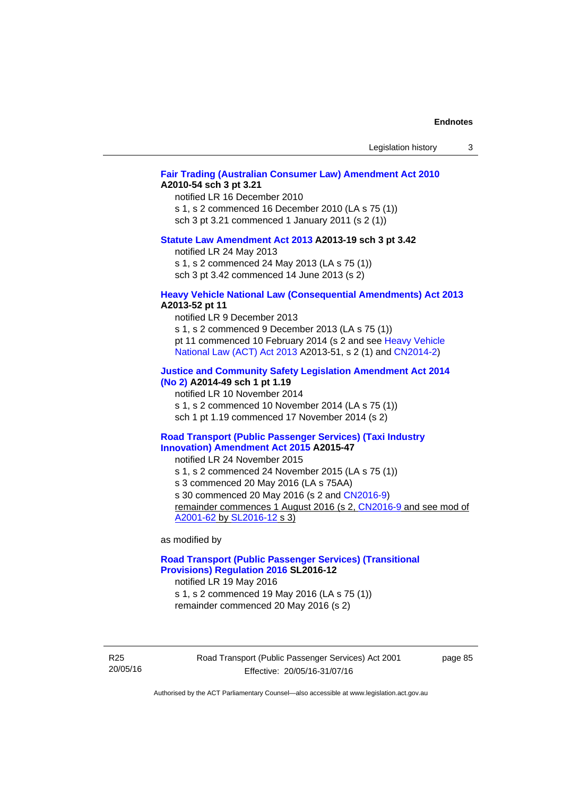| Legislation history |  |
|---------------------|--|
|---------------------|--|

### **[Fair Trading \(Australian Consumer Law\) Amendment Act 2010](http://www.legislation.act.gov.au/a/2010-54) A2010-54 sch 3 pt 3.21**

notified LR 16 December 2010 s 1, s 2 commenced 16 December 2010 (LA s 75 (1)) sch 3 pt 3.21 commenced 1 January 2011 (s 2 (1))

#### **[Statute Law Amendment Act 2013](http://www.legislation.act.gov.au/a/2013-19) A2013-19 sch 3 pt 3.42**

notified LR 24 May 2013 s 1, s 2 commenced 24 May 2013 (LA s 75 (1))

sch 3 pt 3.42 commenced 14 June 2013 (s 2)

#### **[Heavy Vehicle National Law \(Consequential Amendments\) Act 2013](http://www.legislation.act.gov.au/a/2013-52) A2013-52 pt 11**

notified LR 9 December 2013

s 1, s 2 commenced 9 December 2013 (LA s 75 (1)) pt 11 commenced 10 February 2014 (s 2 and see [Heavy Vehicle](http://www.legislation.act.gov.au/a/2013-51/default.asp)  [National Law \(ACT\) Act 2013](http://www.legislation.act.gov.au/a/2013-51/default.asp) A2013-51, s 2 (1) and [CN2014-2](http://www.legislation.act.gov.au/cn/2014-2/default.asp))

### **[Justice and Community Safety Legislation Amendment Act 2014](http://www.legislation.act.gov.au/a/2014-49)**

**[\(No 2\)](http://www.legislation.act.gov.au/a/2014-49) A2014-49 sch 1 pt 1.19** 

notified LR 10 November 2014

s 1, s 2 commenced 10 November 2014 (LA s 75 (1))

sch 1 pt 1.19 commenced 17 November 2014 (s 2)

#### **[Road Transport \(Public Passenger Services\) \(Taxi Industry](http://www.legislation.act.gov.au/a/2015-47/default.asp)  [Innovation\) Amendment Act 2015](http://www.legislation.act.gov.au/a/2015-47/default.asp) A2015-47**

notified LR 24 November 2015

s 1, s 2 commenced 24 November 2015 (LA s 75 (1))

s 3 commenced 20 May 2016 (LA s 75AA)

s 30 commenced 20 May 2016 (s 2 and [CN2016-9](http://www.legislation.act.gov.au/cn/2016-9/default.asp))

remainder commences 1 August 2016 (s 2, [CN2016-9](http://www.legislation.act.gov.au/cn/2016-9/default.asp) and see mod of [A2001-62](http://www.legislation.act.gov.au/a/2001-62/default.asp) by [SL2016-12](http://www.legislation.act.gov.au/sl/2016-12/default.asp) s 3)

as modified by

### **[Road Transport \(Public Passenger Services\) \(Transitional](http://www.legislation.act.gov.au/sl/2016-12/default.asp)  [Provisions\) Regulation 2016](http://www.legislation.act.gov.au/sl/2016-12/default.asp) SL2016-12**

notified LR 19 May 2016

s 1, s 2 commenced 19 May 2016 (LA s 75 (1)) remainder commenced 20 May 2016 (s 2)

R25 20/05/16 Road Transport (Public Passenger Services) Act 2001 Effective: 20/05/16-31/07/16

page 85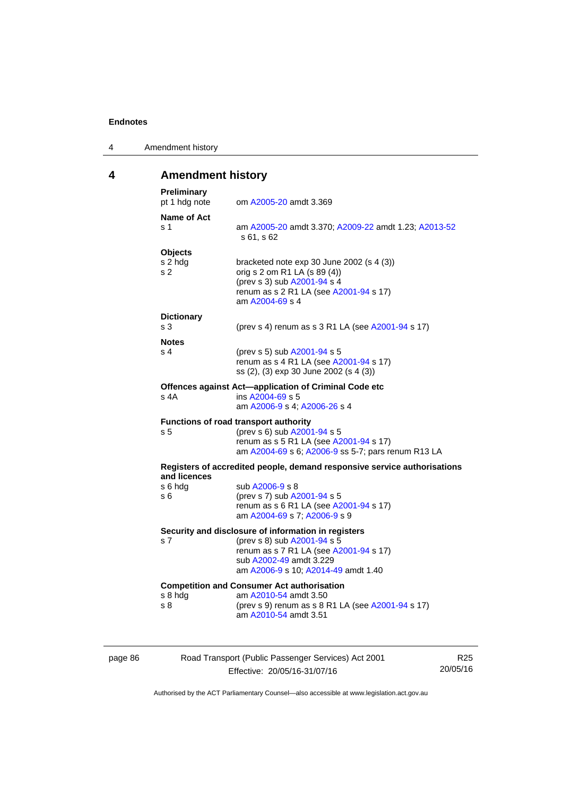| 4 | Amendment history |
|---|-------------------|
|---|-------------------|

# **4 Amendment history**

| Preliminary<br>pt 1 hdg note                | om A2005-20 amdt 3.369                                                                                                                                                |
|---------------------------------------------|-----------------------------------------------------------------------------------------------------------------------------------------------------------------------|
| Name of Act<br>s 1                          | am A2005-20 amdt 3.370; A2009-22 amdt 1.23; A2013-52<br>s 61, s 62                                                                                                    |
| <b>Objects</b><br>s 2 hdg<br>S <sub>2</sub> | bracketed note exp 30 June 2002 (s 4 (3))<br>orig s 2 om R1 LA (s 89 (4))<br>(prev s 3) sub A2001-94 s 4<br>renum as s 2 R1 LA (see A2001-94 s 17)<br>am A2004-69 s 4 |
| <b>Dictionary</b><br>s 3                    | (prev s 4) renum as s 3 R1 LA (see A2001-94 s 17)                                                                                                                     |
| <b>Notes</b><br>s <sub>4</sub>              | (prev s 5) sub A2001-94 s 5<br>renum as s 4 R1 LA (see A2001-94 s 17)<br>ss (2), (3) exp 30 June 2002 (s 4 (3))                                                       |
| s 4A                                        | Offences against Act-application of Criminal Code etc<br>ins A2004-69 s 5<br>am A2006-9 s 4; A2006-26 s 4                                                             |
|                                             |                                                                                                                                                                       |
| s 5                                         | Functions of road transport authority<br>(prev s 6) sub A2001-94 s 5<br>renum as s 5 R1 LA (see A2001-94 s 17)<br>am A2004-69 s 6; A2006-9 ss 5-7; pars renum R13 LA  |
|                                             | Registers of accredited people, demand responsive service authorisations                                                                                              |
| and licences<br>s 6 hdg<br>s 6              | sub A2006-9 s 8<br>(prev s 7) sub A2001-94 s 5<br>renum as s 6 R1 LA (see A2001-94 s 17)<br>am A2004-69 s 7; A2006-9 s 9                                              |
|                                             | Security and disclosure of information in registers                                                                                                                   |
| s 7                                         | (prev s 8) sub A2001-94 s 5<br>renum as s 7 R1 LA (see A2001-94 s 17)<br>sub A2002-49 amdt 3.229<br>am A2006-9 s 10; A2014-49 amdt 1.40                               |
| s 8 hdg                                     | <b>Competition and Consumer Act authorisation</b><br>am A2010-54 amdt 3.50                                                                                            |

| page 86 |  |
|---------|--|
|---------|--|

page 86 Road Transport (Public Passenger Services) Act 2001 Effective: 20/05/16-31/07/16

R25 20/05/16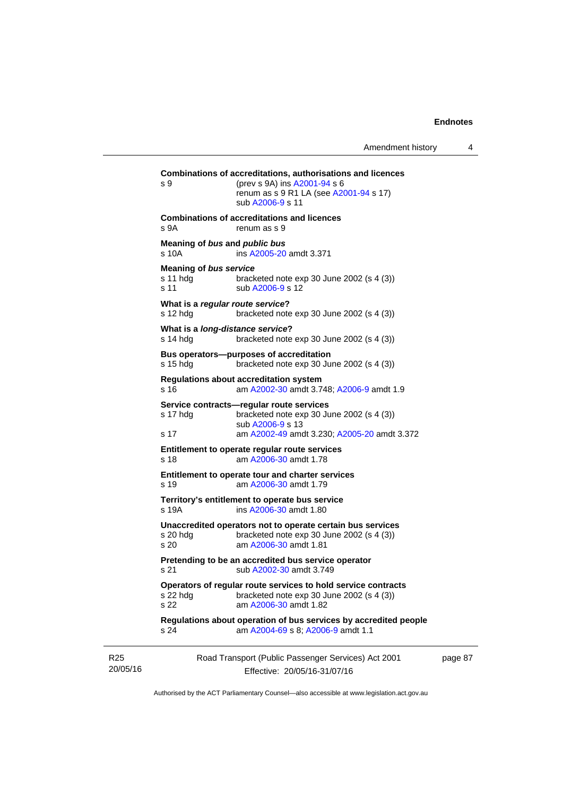| s 9                                               | Combinations of accreditations, authorisations and licences<br>(prev s 9A) ins A2001-94 s 6<br>renum as s 9 R1 LA (see A2001-94 s 17)<br>sub A2006-9 s 11  |
|---------------------------------------------------|------------------------------------------------------------------------------------------------------------------------------------------------------------|
| s 9A                                              | <b>Combinations of accreditations and licences</b><br>renum as s 9                                                                                         |
| s 10A                                             | Meaning of bus and public bus<br>ins A2005-20 amdt 3.371                                                                                                   |
| <b>Meaning of bus service</b><br>s 11 hdg<br>s 11 | bracketed note $exp 30$ June 2002 (s 4 (3))<br>sub A2006-9 s 12                                                                                            |
| s 12 hdg                                          | What is a regular route service?<br>bracketed note $exp 30$ June 2002 (s 4 (3))                                                                            |
| s 14 hdq                                          | What is a long-distance service?<br>bracketed note exp 30 June 2002 (s 4 (3))                                                                              |
| s 15 hdg                                          | Bus operators--purposes of accreditation<br>bracketed note $exp 30$ June 2002 (s 4 (3))                                                                    |
| s 16                                              | <b>Regulations about accreditation system</b><br>am A2002-30 amdt 3.748; A2006-9 amdt 1.9                                                                  |
| s 17 hdg<br>s 17                                  | Service contracts-regular route services<br>bracketed note $exp 30$ June 2002 (s 4 (3))<br>sub A2006-9 s 13<br>am A2002-49 amdt 3.230; A2005-20 amdt 3.372 |
| s 18                                              | Entitlement to operate regular route services<br>am A2006-30 amdt 1.78                                                                                     |
| s 19                                              | Entitlement to operate tour and charter services<br>am A2006-30 amdt 1.79                                                                                  |
| s 19A                                             | Territory's entitlement to operate bus service<br>ins A2006-30 amdt 1.80                                                                                   |
| s 20 hdg<br>s 20                                  | Unaccredited operators not to operate certain bus services<br>bracketed note $exp 30$ June 2002 (s 4 (3))<br>am A2006-30 amdt 1.81                         |
| s 21                                              | Pretending to be an accredited bus service operator<br>sub A2002-30 amdt 3.749                                                                             |
| s 22 hdg<br>s 22                                  | Operators of regular route services to hold service contracts<br>bracketed note exp 30 June 2002 (s 4 (3))<br>am A2006-30 amdt 1.82                        |
| s 24                                              | Regulations about operation of bus services by accredited people<br>am A2004-69 s 8; A2006-9 amdt 1.1                                                      |
|                                                   | Road Transport (Public Passenger Services) Act 2001                                                                                                        |

R25 20/05/16

Effective: 20/05/16-31/07/16

page 87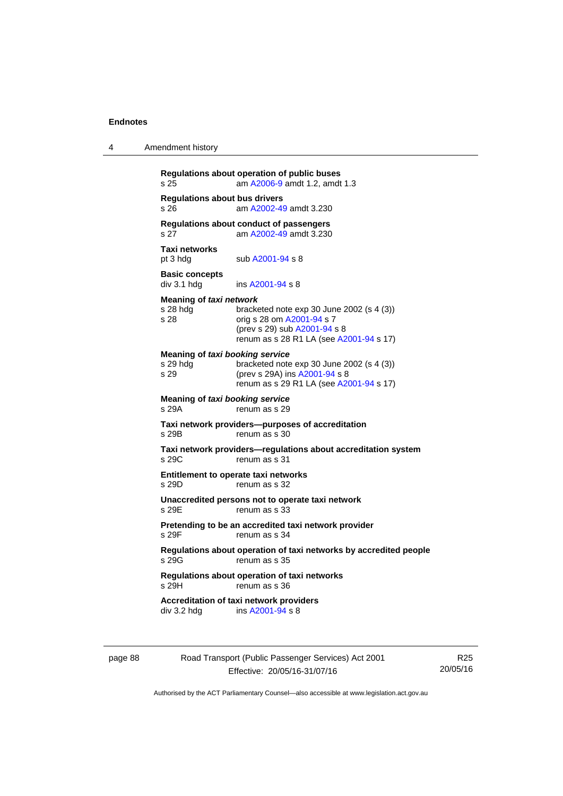4 Amendment history

| <b>Regulations about bus drivers</b>                |                                                                                                                                                   |
|-----------------------------------------------------|---------------------------------------------------------------------------------------------------------------------------------------------------|
| s 26                                                | am A2002-49 amdt 3.230                                                                                                                            |
| s 27                                                | Regulations about conduct of passengers<br>am A2002-49 amdt 3.230                                                                                 |
| Taxi networks<br>pt 3 hdg                           | sub A2001-94 s 8                                                                                                                                  |
| <b>Basic concepts</b><br>div 3.1 hdg                | ins A2001-94 s 8                                                                                                                                  |
| Meaning of taxi network<br>s 28 hda<br>s 28         | bracketed note exp 30 June 2002 (s 4 (3))<br>orig s 28 om A2001-94 s 7<br>(prev s 29) sub A2001-94 s 8<br>renum as s 28 R1 LA (see A2001-94 s 17) |
| Meaning of taxi booking service<br>s 29 hdg<br>s 29 | bracketed note exp 30 June 2002 (s 4 (3))<br>(prev s 29A) ins A2001-94 s 8<br>renum as s 29 R1 LA (see A2001-94 s 17)                             |
| Meaning of taxi booking service<br>s 29A            | renum as s 29                                                                                                                                     |
| s 29B                                               | Taxi network providers--purposes of accreditation<br>renum as s 30                                                                                |
| s 29C                                               | Taxi network providers-regulations about accreditation system<br>renum as s 31                                                                    |
| s 29D                                               | Entitlement to operate taxi networks<br>renum as s 32                                                                                             |
| s 29E                                               | Unaccredited persons not to operate taxi network<br>renum as s 33                                                                                 |
| s 29F                                               | Pretending to be an accredited taxi network provider<br>renum as s 34                                                                             |
| s 29G                                               | Regulations about operation of taxi networks by accredited people<br>renum as s 35                                                                |
| s 29H                                               | Regulations about operation of taxi networks<br>renum as s 36                                                                                     |
| div 3.2 hdg                                         | <b>Accreditation of taxi network providers</b><br>ins A2001-94 s 8                                                                                |

page 88 Road Transport (Public Passenger Services) Act 2001 Effective: 20/05/16-31/07/16

R25 20/05/16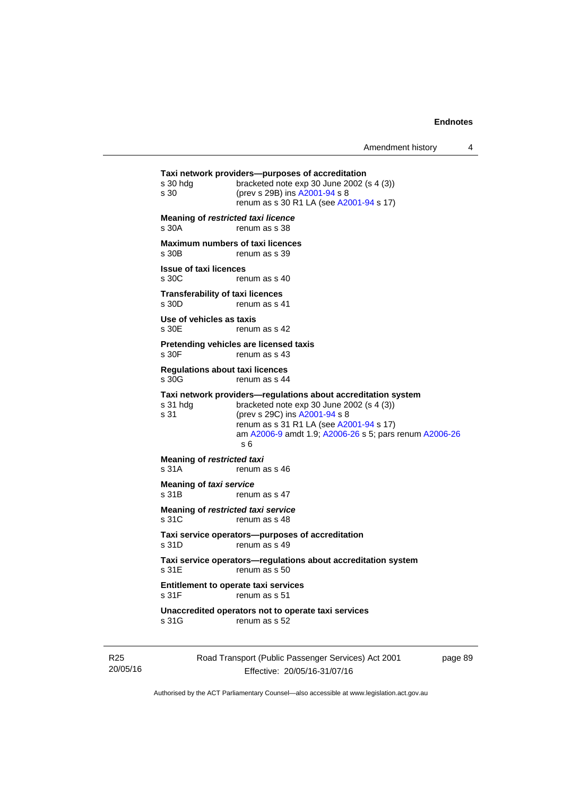```
Road Transport (Public Passenger Services) Act 2001 
Taxi network providers—purposes of accreditation 
s 30 hdg bracketed note exp 30 June 2002 (s 4 (3)) 
s 30 (prev s 29B) ins A2001-94 s 8 
                renum as s 30 R1 LA (see A2001-94 s 17)
Meaning of restricted taxi licence 
s 30A renum as s 38 
Maximum numbers of taxi licences 
s 30B renum as s 39
Issue of taxi licences 
s 30C renum as s 40
Transferability of taxi licences 
s 30D renum as s 41
Use of vehicles as taxis 
s 30E renum as s 42
Pretending vehicles are licensed taxis 
s 30F renum as s 43
Regulations about taxi licences 
s 30G renum as s 44
Taxi network providers—regulations about accreditation system 
s 31 hdg bracketed note exp 30 June 2002 (s 4 (3))
s 31 (prev s 29C) ins A2001-94 s 8 
                renum as s 31 R1 LA (see A2001-94 s 17)
                 am A2006-9 amdt 1.9; A2006-26 s 5; pars renum A2006-26
                 s 6 
Meaning of restricted taxi 
s 31A renum as s 46
Meaning of taxi service<br>s 31B renur
                renum as s 47
Meaning of restricted taxi service 
s 31C renum as s 48
Taxi service operators—purposes of accreditation 
s 31D renum as s 49
Taxi service operators—regulations about accreditation system 
s 31E renum as s 50
Entitlement to operate taxi services 
                renum as s 51
Unaccredited operators not to operate taxi services 
s 31G renum as s 52
```
R25 20/05/16

Effective: 20/05/16-31/07/16

page 89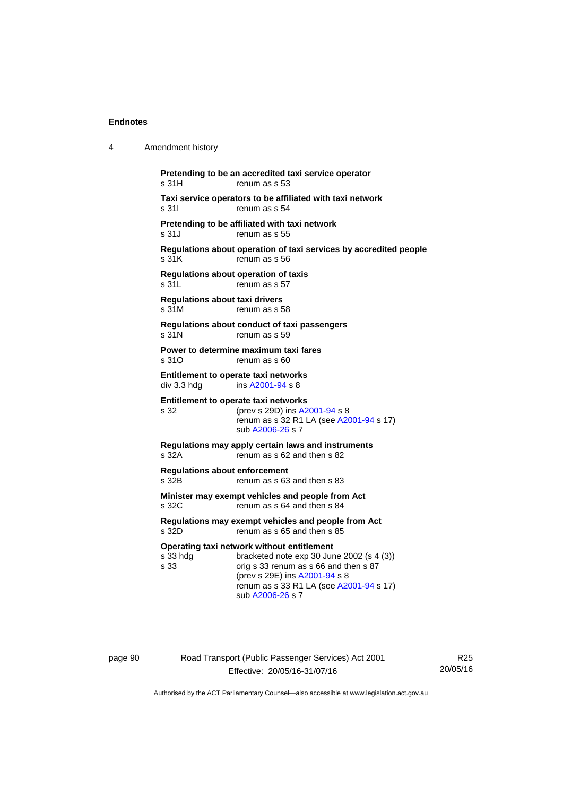| 4 | Amendment history                                                                                                                                                                                                                                      |
|---|--------------------------------------------------------------------------------------------------------------------------------------------------------------------------------------------------------------------------------------------------------|
|   | Pretending to be an accredited taxi service operator<br>s 31H<br>renum as s 53                                                                                                                                                                         |
|   | Taxi service operators to be affiliated with taxi network<br>s 311<br>renum as s 54                                                                                                                                                                    |
|   | Pretending to be affiliated with taxi network<br>s 31J<br>renum as s 55                                                                                                                                                                                |
|   | Regulations about operation of taxi services by accredited people<br>s 31K<br>renum as s 56                                                                                                                                                            |
|   | <b>Regulations about operation of taxis</b><br>s 31L<br>renum as s 57                                                                                                                                                                                  |
|   | <b>Regulations about taxi drivers</b><br>s 31M<br>renum as s 58                                                                                                                                                                                        |
|   | Regulations about conduct of taxi passengers<br>s 31N<br>renum as s 59                                                                                                                                                                                 |
|   | Power to determine maximum taxi fares<br>s 31O<br>renum as s 60                                                                                                                                                                                        |
|   | Entitlement to operate taxi networks<br>div 3.3 hdg<br>ins A2001-94 s 8                                                                                                                                                                                |
|   | Entitlement to operate taxi networks<br>s 32<br>(prev s 29D) ins A2001-94 s 8<br>renum as s 32 R1 LA (see A2001-94 s 17)<br>sub A2006-26 s 7                                                                                                           |
|   | Regulations may apply certain laws and instruments<br>s 32A<br>renum as s 62 and then s 82                                                                                                                                                             |
|   | <b>Requlations about enforcement</b><br>s 32B<br>renum as s 63 and then s 83                                                                                                                                                                           |
|   | Minister may exempt vehicles and people from Act<br>renum as s 64 and then s 84<br>s 32C                                                                                                                                                               |
|   | Regulations may exempt vehicles and people from Act<br>renum as s 65 and then s 85<br>s 32D                                                                                                                                                            |
|   | Operating taxi network without entitlement<br>s 33 hdg<br>bracketed note $exp 30$ June 2002 (s 4 (3))<br>s 33<br>orig s 33 renum as s 66 and then s 87<br>(prev s 29E) ins A2001-94 s 8<br>renum as s 33 R1 LA (see A2001-94 s 17)<br>sub A2006-26 s 7 |

page 90 Road Transport (Public Passenger Services) Act 2001 Effective: 20/05/16-31/07/16

R25 20/05/16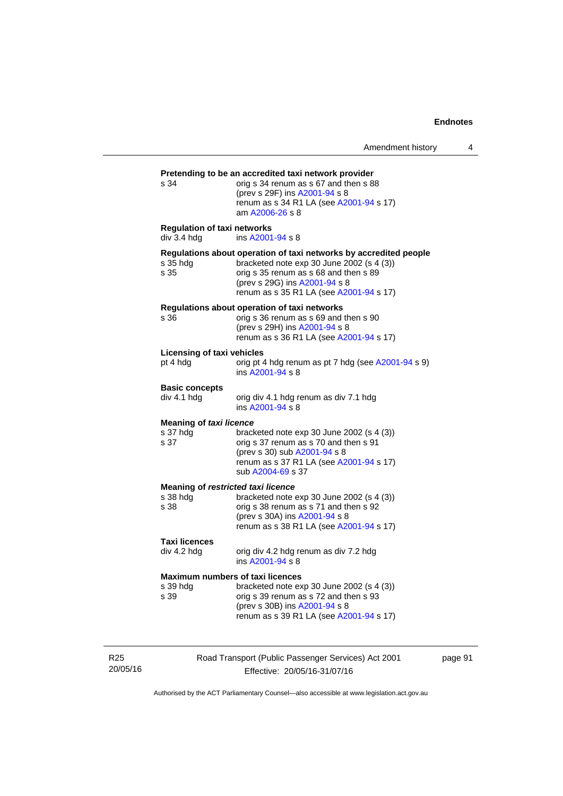| s 34                                                   | orig s 34 renum as s 67 and then s 88<br>(prev s 29F) ins A2001-94 s 8<br>renum as s 34 R1 LA (see A2001-94 s 17)<br>am A2006-26 s 8                                                                                                |
|--------------------------------------------------------|-------------------------------------------------------------------------------------------------------------------------------------------------------------------------------------------------------------------------------------|
| <b>Regulation of taxi networks</b><br>div 3.4 hdg      | ins A2001-94 s 8                                                                                                                                                                                                                    |
| s 35 hdg<br>s 35                                       | Regulations about operation of taxi networks by accredited people<br>bracketed note exp 30 June 2002 (s 4 (3))<br>orig s 35 renum as s 68 and then s 89<br>(prev s 29G) ins A2001-94 s 8<br>renum as s 35 R1 LA (see A2001-94 s 17) |
| s 36                                                   | Regulations about operation of taxi networks<br>orig s 36 renum as s 69 and then s 90<br>(prev s 29H) ins A2001-94 s 8<br>renum as s 36 R1 LA (see A2001-94 s 17)                                                                   |
| Licensing of taxi vehicles<br>pt 4 hdg                 | orig pt 4 hdg renum as pt 7 hdg (see A2001-94 s 9)<br>ins A2001-94 s 8                                                                                                                                                              |
| <b>Basic concepts</b><br>div 4.1 hdg                   | orig div 4.1 hdg renum as div 7.1 hdg<br>ins A2001-94 s 8                                                                                                                                                                           |
| <b>Meaning of taxi licence</b><br>s 37 hdg<br>s 37     | bracketed note $exp 30$ June 2002 (s 4 (3))<br>orig s 37 renum as s 70 and then s 91<br>(prev s 30) sub A2001-94 s 8<br>renum as s 37 R1 LA (see A2001-94 s 17)<br>sub A2004-69 s 37                                                |
| Meaning of restricted taxi licence<br>s 38 hda<br>s 38 | bracketed note exp 30 June 2002 (s 4 (3))<br>orig s 38 renum as s 71 and then s 92<br>(prev s 30A) ins A2001-94 s 8<br>renum as s 38 R1 LA (see A2001-94 s 17)                                                                      |
| <b>Taxi licences</b><br>div 4.2 hdg                    | orig div 4.2 hdg renum as div 7.2 hdg<br>ins A2001-94 s 8                                                                                                                                                                           |
| s 39 hdg<br>s 39                                       | <b>Maximum numbers of taxi licences</b><br>bracketed note exp 30 June 2002 (s 4 (3))<br>orig s 39 renum as s 72 and then s 93<br>(prev s 30B) ins A2001-94 s 8<br>renum as s 39 R1 LA (see A2001-94 s 17)                           |

R25 20/05/16 Road Transport (Public Passenger Services) Act 2001 Effective: 20/05/16-31/07/16

page 91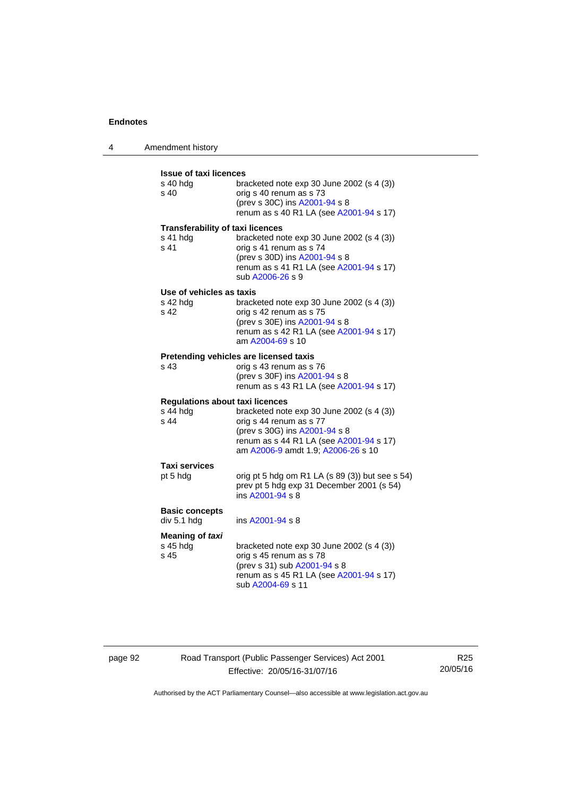4 Amendment history

| <b>Issue of taxi licences</b><br>s 40 hda<br>s 40           | bracketed note $exp 30$ June 2002 (s 4 (3))<br>orig s 40 renum as s 73<br>(prev s 30C) ins A2001-94 s 8<br>renum as s 40 R1 LA (see A2001-94 s 17)                                     |
|-------------------------------------------------------------|----------------------------------------------------------------------------------------------------------------------------------------------------------------------------------------|
| <b>Transferability of taxi licences</b><br>s 41 hdg<br>s 41 | bracketed note exp 30 June 2002 (s 4 (3))<br>orig s 41 renum as s 74<br>(prev s 30D) ins A2001-94 s 8<br>renum as s 41 R1 LA (see A2001-94 s 17)<br>sub A2006-26 s 9                   |
| Use of vehicles as taxis<br>s 42 hdg<br>s 42                | bracketed note exp 30 June 2002 (s 4 (3))<br>orig s 42 renum as s 75<br>(prev s 30E) ins A2001-94 s 8<br>renum as s 42 R1 LA (see A2001-94 s 17)<br>am A2004-69 s 10                   |
| s 43                                                        | Pretending vehicles are licensed taxis<br>orig s 43 renum as s 76<br>(prev s 30F) ins A2001-94 s 8<br>renum as s 43 R1 LA (see A2001-94 s 17)                                          |
| <b>Regulations about taxi licences</b><br>s 44 hdg<br>s 44  | bracketed note exp 30 June 2002 (s 4 (3))<br>orig s 44 renum as s 77<br>(prev s 30G) ins A2001-94 s 8<br>renum as s 44 R1 LA (see A2001-94 s 17)<br>am A2006-9 amdt 1.9; A2006-26 s 10 |
| <b>Taxi services</b><br>pt 5 hdg                            | orig pt 5 hdg om R1 LA (s 89 (3)) but see s 54)<br>prev pt 5 hdg exp 31 December 2001 (s 54)<br>ins A2001-94 s 8                                                                       |
| <b>Basic concepts</b><br>div 5.1 hdg                        | ins A2001-94 s 8                                                                                                                                                                       |
| Meaning of taxi<br>s 45 hdg<br>s 45                         | bracketed note exp 30 June 2002 (s 4 (3))<br>orig s 45 renum as s 78<br>(prev s 31) sub A2001-94 s 8<br>renum as s 45 R1 LA (see A2001-94 s 17)<br>sub A2004-69 s 11                   |

page 92 Road Transport (Public Passenger Services) Act 2001 Effective: 20/05/16-31/07/16

R25 20/05/16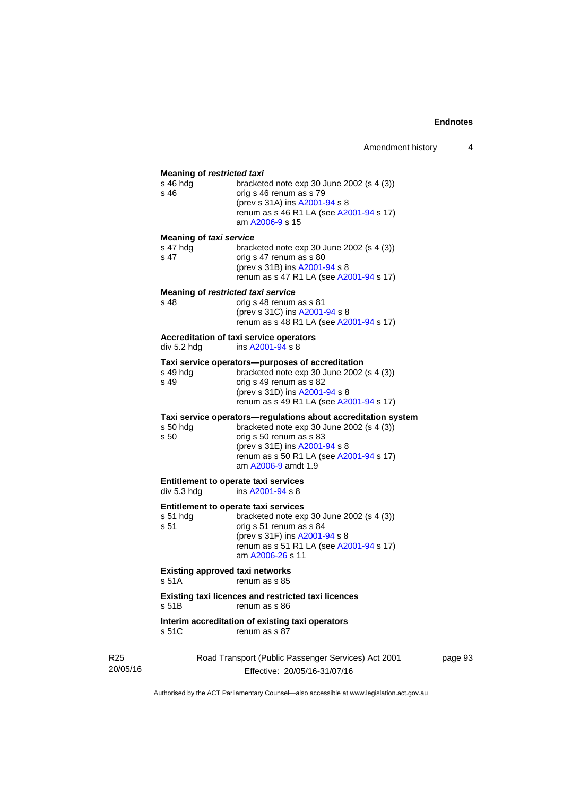#### **Meaning of** *restricted taxi*

| s 46 hdg<br>s 46                   | bracketed note $\exp 30$ June 2002 (s 4 (3))<br>orig s 46 renum as s 79<br>(prev s 31A) ins A2001-94 s 8<br>renum as s 46 R1 LA (see A2001-94 s 17)<br>am A2006-9 s 15 |
|------------------------------------|------------------------------------------------------------------------------------------------------------------------------------------------------------------------|
| Meaning of taxi service            |                                                                                                                                                                        |
| s 47 hdg<br>s 47                   | bracketed note $\exp 30$ June 2002 (s 4 (3))<br>orig s 47 renum as s 80<br>(prev s 31B) ins A2001-94 s 8<br>renum as s 47 R1 LA (see A2001-94 s 17)                    |
| Meaning of restricted taxi service |                                                                                                                                                                        |
| s 48                               | orig s 48 renum as s 81<br>(prev s 31C) ins A2001-94 s 8<br>renum as s 48 R1 LA (see A2001-94 s 17)                                                                    |
|                                    | Accreditation of taxi service operators                                                                                                                                |
| div 5.2 hdg                        | ins A2001-94 s 8                                                                                                                                                       |
|                                    | Taxi service operators-purposes of accreditation                                                                                                                       |
| s 49 hdg                           | bracketed note $\exp 30$ June 2002 (s 4 (3))                                                                                                                           |
| s 49                               | orig s 49 renum as s 82<br>$(n_{max} \circ 24 \text{ N} \cdot n \circ 0.004 \cdot 0.4 \cdot 0.5)$                                                                      |

| (prev s 31D) ins A2001-94 s 8           |  |
|-----------------------------------------|--|
| renum as s 49 R1 LA (see A2001-94 s 17) |  |

### **Taxi service operators—regulations about accreditation system**

| s 50 hda | bracketed note exp 30 June 2002 (s 4 (3))                      |
|----------|----------------------------------------------------------------|
| s 50     | orig s 50 renum as s 83                                        |
|          | (prev s 31E) ins A2001-94 s 8                                  |
|          | renum as s 50 R1 LA (see A2001-94 s 17)<br>am A2006-9 amdt 1.9 |
|          |                                                                |

#### **Entitlement to operate taxi services**<br>div 5.3 hdg ins A2001-94 s 8 ins  $A2001 - 94 s 8$

**Entitlement to operate taxi services** 

| s 51 hda | bracketed note $exp 30$ June 2002 (s 4 (3)) |
|----------|---------------------------------------------|
| s 51     | orig s 51 renum as s 84                     |
|          | (prev s 31F) ins A2001-94 s 8               |
|          | renum as s 51 R1 LA (see A2001-94 s 17)     |
|          | am A2006-26 s 11                            |
|          |                                             |

### **Existing approved taxi networks**

s 51A renum as s 85

#### **Existing taxi licences and restricted taxi licences**  renum as s 86

**Interim accreditation of existing taxi operators**  s 51C renum as s 87

R25 20/05/16 Road Transport (Public Passenger Services) Act 2001 Effective: 20/05/16-31/07/16

page 93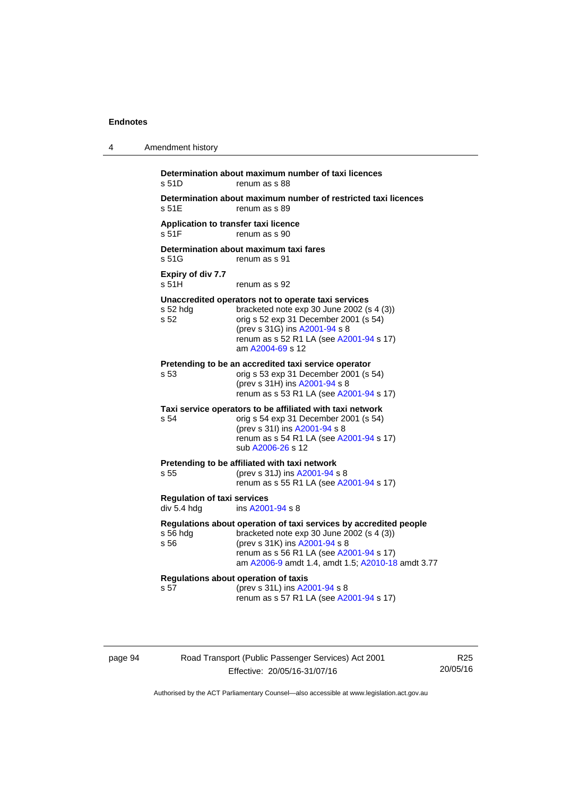| 4 | Amendment history                                 |                                                                                                                                                                                                                                                 |
|---|---------------------------------------------------|-------------------------------------------------------------------------------------------------------------------------------------------------------------------------------------------------------------------------------------------------|
|   | s 51D                                             | Determination about maximum number of taxi licences<br>renum as s 88                                                                                                                                                                            |
|   | s 51E                                             | Determination about maximum number of restricted taxi licences<br>renum as s 89                                                                                                                                                                 |
|   | Application to transfer taxi licence<br>s 51F     | renum as s 90                                                                                                                                                                                                                                   |
|   | s 51G                                             | Determination about maximum taxi fares<br>renum as s 91                                                                                                                                                                                         |
|   | Expiry of div 7.7<br>s <sub>51H</sub>             | renum as s 92                                                                                                                                                                                                                                   |
|   | s 52 hdg<br>s 52                                  | Unaccredited operators not to operate taxi services<br>bracketed note exp 30 June 2002 (s 4 (3))<br>orig s 52 exp 31 December 2001 (s 54)<br>(prev s 31G) ins A2001-94 s 8<br>renum as s 52 R1 LA (see A2001-94 s 17)<br>am A2004-69 s 12       |
|   | s 53                                              | Pretending to be an accredited taxi service operator<br>orig s 53 exp 31 December 2001 (s 54)<br>(prev s 31H) ins A2001-94 s 8<br>renum as s 53 R1 LA (see A2001-94 s 17)                                                                       |
|   | s 54                                              | Taxi service operators to be affiliated with taxi network<br>orig s 54 exp 31 December 2001 (s 54)<br>(prev s 31l) ins A2001-94 s 8<br>renum as s 54 R1 LA (see A2001-94 s 17)<br>sub A2006-26 s 12                                             |
|   | s 55                                              | Pretending to be affiliated with taxi network<br>(prev s 31J) ins A2001-94 s 8<br>renum as s 55 R1 LA (see A2001-94 s 17)                                                                                                                       |
|   | <b>Regulation of taxi services</b><br>div 5.4 hdg | ins A2001-94 s 8                                                                                                                                                                                                                                |
|   | s 56 hdg<br>s 56                                  | Regulations about operation of taxi services by accredited people<br>bracketed note exp 30 June 2002 (s 4 (3))<br>(prev s 31K) ins A2001-94 s 8<br>renum as s 56 R1 LA (see A2001-94 s 17)<br>am A2006-9 amdt 1.4, amdt 1.5; A2010-18 amdt 3.77 |
|   | s 57                                              | Regulations about operation of taxis<br>(prev s 31L) ins A2001-94 s 8<br>renum as s 57 R1 LA (see A2001-94 s 17)                                                                                                                                |

page 94 Road Transport (Public Passenger Services) Act 2001 Effective: 20/05/16-31/07/16

R25 20/05/16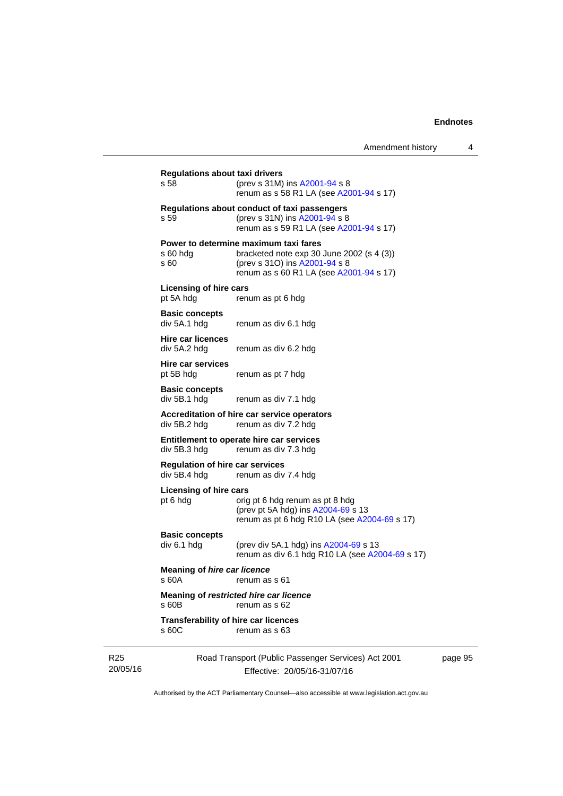| Amendment history |  |
|-------------------|--|
|-------------------|--|

|                             | <b>Regulations about taxi drivers</b><br>s 58                                       | (prev s 31M) ins A2001-94 s 8<br>renum as s 58 R1 LA (see A2001-94 s 17)                                                                                       |  |
|-----------------------------|-------------------------------------------------------------------------------------|----------------------------------------------------------------------------------------------------------------------------------------------------------------|--|
|                             | s 59                                                                                | Regulations about conduct of taxi passengers<br>(prev s 31N) ins A2001-94 s 8<br>renum as s 59 R1 LA (see A2001-94 s 17)                                       |  |
|                             | $s60h$ dg<br>s 60                                                                   | Power to determine maximum taxi fares<br>bracketed note exp 30 June 2002 (s 4 (3))<br>(prev s 31O) ins A2001-94 s 8<br>renum as s 60 R1 LA (see A2001-94 s 17) |  |
|                             | <b>Licensing of hire cars</b><br>pt 5A hdg                                          | renum as pt 6 hdg                                                                                                                                              |  |
|                             | <b>Basic concepts</b><br>div 5A.1 hdg                                               | renum as div 6.1 hdg                                                                                                                                           |  |
|                             | <b>Hire car licences</b><br>div 5A.2 hdg                                            | renum as div 6.2 hdg                                                                                                                                           |  |
|                             | Hire car services<br>pt 5B hdg                                                      | renum as pt 7 hdg                                                                                                                                              |  |
|                             | <b>Basic concepts</b><br>div 5B.1 hdg                                               | renum as div 7.1 hdg                                                                                                                                           |  |
|                             | Accreditation of hire car service operators<br>div 5B.2 hdg<br>renum as div 7.2 hdg |                                                                                                                                                                |  |
|                             | div 5B.3 hdg                                                                        | Entitlement to operate hire car services<br>renum as div 7.3 hdg                                                                                               |  |
|                             | <b>Regulation of hire car services</b><br>div 5B.4 hdg                              | renum as div 7.4 hdg                                                                                                                                           |  |
|                             | <b>Licensing of hire cars</b><br>pt 6 hdg                                           | orig pt 6 hdg renum as pt 8 hdg<br>(prev pt 5A hdg) ins A2004-69 s 13<br>renum as pt 6 hdg R10 LA (see A2004-69 s 17)                                          |  |
|                             | <b>Basic concepts</b><br>div 6.1 hdg                                                | (prev div 5A.1 hdg) ins A2004-69 s 13<br>renum as div 6.1 hdg R10 LA (see A2004-69 s 17)                                                                       |  |
|                             | <b>Meaning of hire car licence</b><br>s 60A                                         | renum as s 61                                                                                                                                                  |  |
|                             | s 60B                                                                               | Meaning of restricted hire car licence<br>renum as s 62                                                                                                        |  |
|                             | <b>Transferability of hire car licences</b><br>s 60C                                | renum as s 63                                                                                                                                                  |  |
| R <sub>25</sub><br>20/05/16 |                                                                                     | Road Transport (Public Passenger Services) Act 2001<br>Effective: 20/05/16-31/07/16                                                                            |  |

page 95

Authorised by the ACT Parliamentary Counsel—also accessible at www.legislation.act.gov.au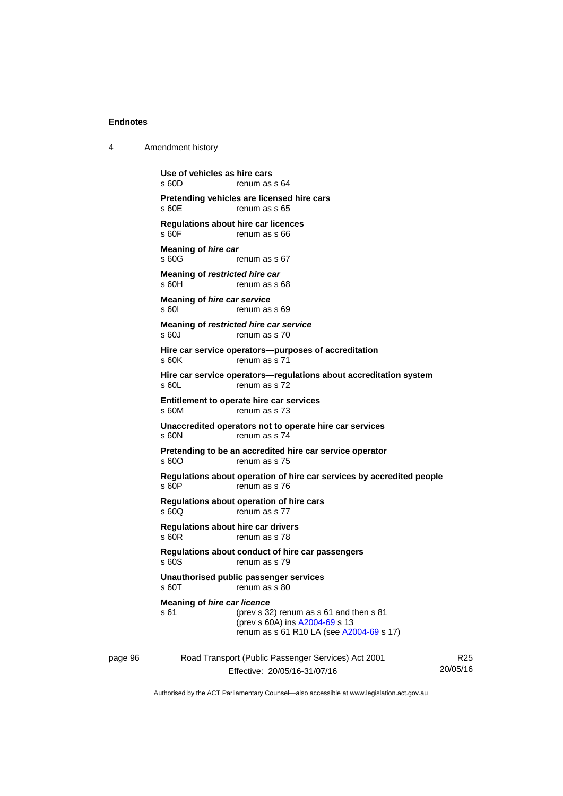4 Amendment history

|         | Use of vehicles as hire cars<br>s60D                | renum as s 64                                                                                                         |                 |
|---------|-----------------------------------------------------|-----------------------------------------------------------------------------------------------------------------------|-----------------|
|         | Pretending vehicles are licensed hire cars<br>s 60E | renum as s 65                                                                                                         |                 |
|         | Regulations about hire car licences<br>s 60F        | renum as s 66                                                                                                         |                 |
|         | <b>Meaning of hire car</b><br>$s$ 60 $G$            | renum as s 67                                                                                                         |                 |
|         | Meaning of restricted hire car<br>s 60H             | renum as s 68                                                                                                         |                 |
|         | Meaning of <i>hire car service</i><br>s 60I         | renum as s 69                                                                                                         |                 |
|         | Meaning of restricted hire car service<br>s 60J     | renum as s 70                                                                                                         |                 |
|         | s60K                                                | Hire car service operators--purposes of accreditation<br>renum as s 71                                                |                 |
|         | s 60L                                               | Hire car service operators—regulations about accreditation system<br>renum as s 72                                    |                 |
|         | Entitlement to operate hire car services<br>s 60M   | renum as s 73                                                                                                         |                 |
|         | s 60N                                               | Unaccredited operators not to operate hire car services<br>renum as s 74                                              |                 |
|         | s 60O                                               | Pretending to be an accredited hire car service operator<br>renum as s 75                                             |                 |
|         | s 60P                                               | Regulations about operation of hire car services by accredited people<br>renum as s 76                                |                 |
|         | Regulations about operation of hire cars<br>s 60Q   | renum as s 77                                                                                                         |                 |
|         | <b>Regulations about hire car drivers</b><br>s 60R  | renum as s 78                                                                                                         |                 |
|         | s 60S                                               | Regulations about conduct of hire car passengers<br>renum as s 79                                                     |                 |
|         | Unauthorised public passenger services<br>s 60T     | renum as s 80                                                                                                         |                 |
|         | <b>Meaning of hire car licence</b><br>s 61          | (prev s 32) renum as s 61 and then s 81<br>(prev s 60A) ins A2004-69 s 13<br>renum as s 61 R10 LA (see A2004-69 s 17) |                 |
| page 96 |                                                     | Road Transport (Public Passenger Services) Act 2001                                                                   | R <sub>25</sub> |
|         |                                                     | Effective: 20/05/16-31/07/16                                                                                          | 20/05/16        |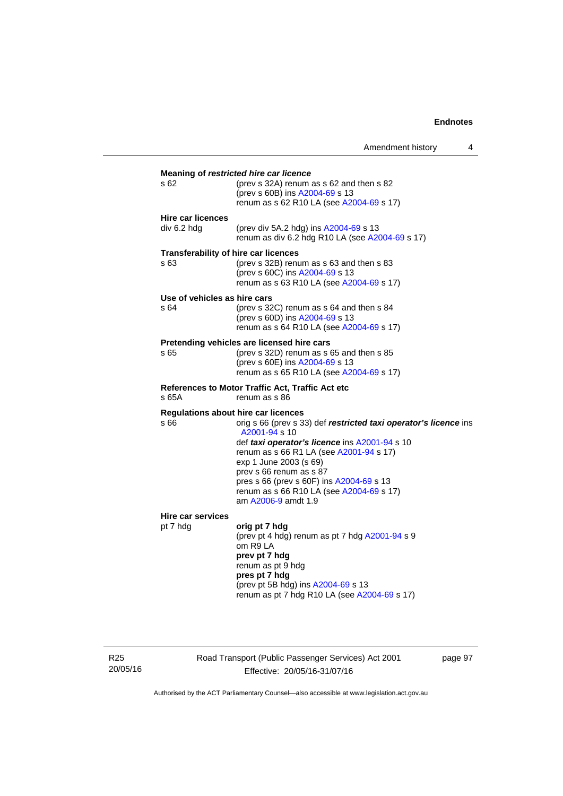|                                              | Amendment history                                                                                                                                                                                                                                                                                                                                 | 4 |
|----------------------------------------------|---------------------------------------------------------------------------------------------------------------------------------------------------------------------------------------------------------------------------------------------------------------------------------------------------------------------------------------------------|---|
| s 62                                         | Meaning of restricted hire car licence<br>(prev s 32A) renum as s 62 and then s 82<br>(prev s 60B) ins A2004-69 s 13<br>renum as s 62 R10 LA (see A2004-69 s 17)                                                                                                                                                                                  |   |
| <b>Hire car licences</b><br>div 6.2 hdg      | (prev div 5A.2 hdg) ins A2004-69 s 13<br>renum as div 6.2 hdg R10 LA (see A2004-69 s 17)                                                                                                                                                                                                                                                          |   |
| Transferability of hire car licences<br>s 63 | (prev s 32B) renum as s 63 and then s 83<br>(prev s 60C) ins A2004-69 s 13<br>renum as s 63 R10 LA (see A2004-69 s 17)                                                                                                                                                                                                                            |   |
| Use of vehicles as hire cars<br>s 64         | (prev s $32C$ ) renum as s 64 and then s 84<br>(prev s 60D) ins A2004-69 s 13<br>renum as s 64 R10 LA (see A2004-69 s 17)                                                                                                                                                                                                                         |   |
| s 65                                         | Pretending vehicles are licensed hire cars<br>(prev s $32D$ ) renum as s 65 and then s 85<br>(prev s 60E) ins A2004-69 s 13<br>renum as s 65 R10 LA (see A2004-69 s 17)                                                                                                                                                                           |   |
| s 65A                                        | <b>References to Motor Traffic Act, Traffic Act etc</b><br>renum as s 86                                                                                                                                                                                                                                                                          |   |
| Regulations about hire car licences<br>s 66  | orig s 66 (prev s 33) def restricted taxi operator's licence ins<br>A2001-94 s 10<br>def taxi operator's licence ins A2001-94 s 10<br>renum as s 66 R1 LA (see A2001-94 s 17)<br>exp 1 June 2003 (s 69)<br>prev s 66 renum as s 87<br>pres s 66 (prev s 60F) ins A2004-69 s 13<br>renum as s 66 R10 LA (see A2004-69 s 17)<br>am A2006-9 amdt 1.9 |   |
| <b>Hire car services</b><br>pt 7 hdg         | orig pt 7 hdg<br>(prev pt 4 hdg) renum as pt 7 hdg A2001-94 s 9<br>om R9 LA<br>prev pt 7 hdg<br>renum as pt 9 hdg<br>pres pt 7 hdg<br>(prev pt 5B hdg) ins A2004-69 s 13<br>renum as pt 7 hdg R10 LA (see A2004-69 s 17)                                                                                                                          |   |

R25 20/05/16 Road Transport (Public Passenger Services) Act 2001 Effective: 20/05/16-31/07/16

page 97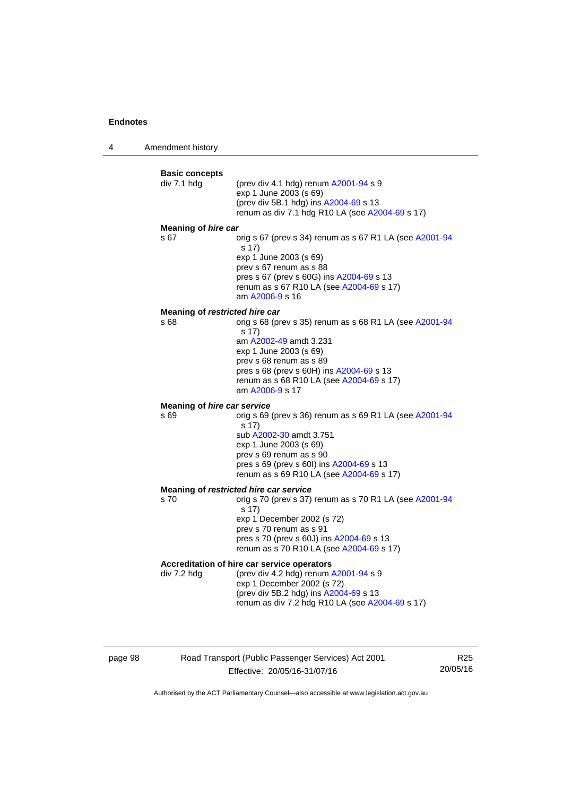4 Amendment history



page 98 Road Transport (Public Passenger Services) Act 2001 Effective: 20/05/16-31/07/16

R25 20/05/16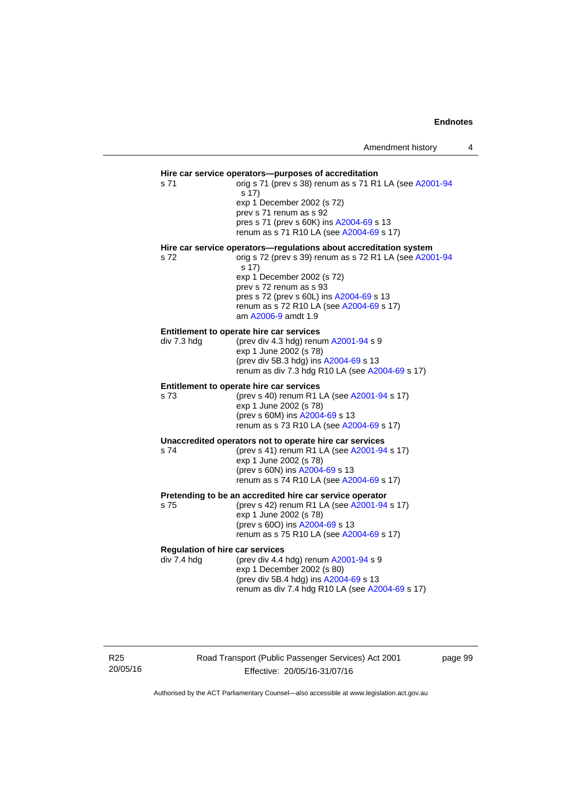### **Hire car service operators—purposes of accreditation**  s 71 orig s 71 (prev s 38) renum as s 71 R1 LA (see [A2001-94](http://www.legislation.act.gov.au/a/2001-94) s 17) exp 1 December 2002 (s 72) prev s 71 renum as s 92 pres s 71 (prev s 60K) ins [A2004-69](http://www.legislation.act.gov.au/a/2004-69) s 13 renum as s 71 R10 LA (see [A2004-69](http://www.legislation.act.gov.au/a/2004-69) s 17) **Hire car service operators—regulations about accreditation system**  s 72 orig s 72 (prev s 39) renum as s 72 R1 LA (see [A2001-94](http://www.legislation.act.gov.au/a/2001-94) s 17) exp 1 December 2002 (s 72) prev s 72 renum as s 93 pres s 72 (prev s 60L) ins [A2004-69](http://www.legislation.act.gov.au/a/2004-69) s 13 renum as s 72 R10 LA (see [A2004-69](http://www.legislation.act.gov.au/a/2004-69) s 17) am [A2006-9](http://www.legislation.act.gov.au/a/2006-9) amdt 1.9 **Entitlement to operate hire car services**  div 7.3 hdg (prev div 4.3 hdg) renum [A2001-94](http://www.legislation.act.gov.au/a/2001-94) s 9  $exp 1$  June 2002 $(s 78)$ (prev div 5B.3 hdg) ins [A2004-69](http://www.legislation.act.gov.au/a/2004-69) s 13 renum as div 7.3 hdg R10 LA (see [A2004-69](http://www.legislation.act.gov.au/a/2004-69) s 17) **Entitlement to operate hire car services**  s 73 (prev s 40) renum R1 LA (see [A2001-94](http://www.legislation.act.gov.au/a/2001-94) s 17) exp 1 June 2002 (s 78) (prev s 60M) ins [A2004-69](http://www.legislation.act.gov.au/a/2004-69) s 13 renum as s 73 R10 LA (see [A2004-69](http://www.legislation.act.gov.au/a/2004-69) s 17) **Unaccredited operators not to operate hire car services**  s 74 (prev s 41) renum R1 LA (see [A2001-94](http://www.legislation.act.gov.au/a/2001-94) s 17) exp 1 June 2002 (s 78) (prev s 60N) ins [A2004-69](http://www.legislation.act.gov.au/a/2004-69) s 13 renum as s 74 R10 LA (see [A2004-69](http://www.legislation.act.gov.au/a/2004-69) s 17) **Pretending to be an accredited hire car service operator**  s 75 (prev s 42) renum R1 LA (see [A2001-94](http://www.legislation.act.gov.au/a/2001-94) s 17) exp 1 June 2002 (s 78) (prev s 60O) ins [A2004-69](http://www.legislation.act.gov.au/a/2004-69) s 13 renum as s 75 R10 LA (see [A2004-69](http://www.legislation.act.gov.au/a/2004-69) s 17) **Regulation of hire car services**   $div 7.4$  hdg  $(prev div 4.4 hdq)$  renum  $A2001-94 s 9$  $A2001-94 s 9$ exp 1 December 2002 (s 80) (prev div 5B.4 hdg) ins [A2004-69](http://www.legislation.act.gov.au/a/2004-69) s 13 renum as div 7.4 hdg R10 LA (see [A2004-69](http://www.legislation.act.gov.au/a/2004-69) s 17)

R25 20/05/16 Road Transport (Public Passenger Services) Act 2001 Effective: 20/05/16-31/07/16

page 99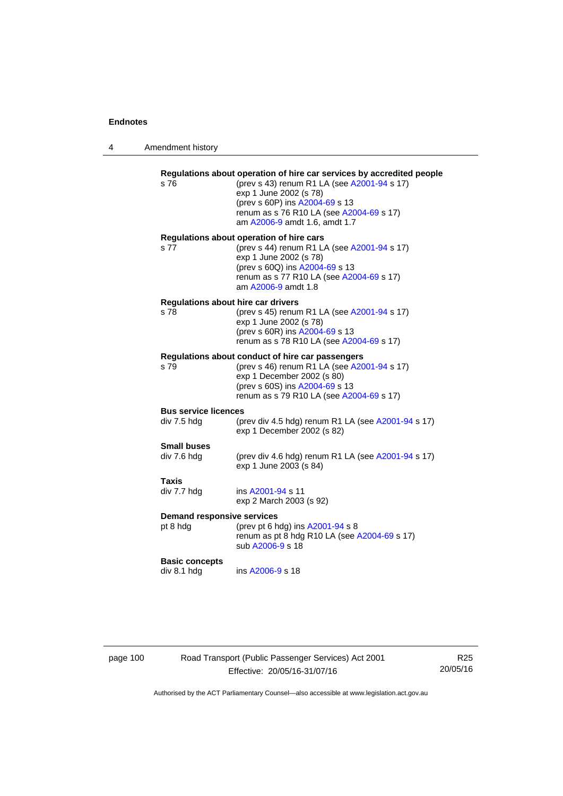|  | Amendment history |  |
|--|-------------------|--|
|--|-------------------|--|

| s 76                                              | Regulations about operation of hire car services by accredited people<br>(prev s 43) renum R1 LA (see A2001-94 s 17)<br>exp 1 June 2002 (s 78)<br>(prev s 60P) ins A2004-69 s 13<br>renum as s 76 R10 LA (see A2004-69 s 17)<br>am A2006-9 amdt 1.6, amdt 1.7 |
|---------------------------------------------------|---------------------------------------------------------------------------------------------------------------------------------------------------------------------------------------------------------------------------------------------------------------|
| s 77                                              | Regulations about operation of hire cars<br>(prev s 44) renum R1 LA (see A2001-94 s 17)<br>exp 1 June 2002 (s 78)<br>(prev s 60Q) ins A2004-69 s 13<br>renum as s 77 R10 LA (see A2004-69 s 17)<br>am A2006-9 amdt 1.8                                        |
| <b>Regulations about hire car drivers</b><br>s 78 | (prev s 45) renum R1 LA (see A2001-94 s 17)<br>exp 1 June 2002 (s 78)<br>(prev s 60R) ins A2004-69 s 13<br>renum as s 78 R10 LA (see A2004-69 s 17)                                                                                                           |
| s 79                                              | Regulations about conduct of hire car passengers<br>(prev s 46) renum R1 LA (see A2001-94 s 17)<br>exp 1 December 2002 (s 80)<br>(prev s 60S) ins A2004-69 s 13<br>renum as s 79 R10 LA (see A2004-69 s 17)                                                   |
| <b>Bus service licences</b><br>div 7.5 hdg        | (prev div 4.5 hdg) renum R1 LA (see A2001-94 s 17)<br>exp 1 December 2002 (s 82)                                                                                                                                                                              |
| <b>Small buses</b><br>div 7.6 hdg                 | (prev div 4.6 hdg) renum R1 LA (see A2001-94 s 17)<br>exp 1 June 2003 (s 84)                                                                                                                                                                                  |
| <b>Taxis</b><br>div 7.7 hdg                       | ins A2001-94 s 11<br>exp 2 March 2003 (s 92)                                                                                                                                                                                                                  |
| <b>Demand responsive services</b><br>pt 8 hdg     | (prev pt 6 hdg) ins A2001-94 s 8<br>renum as pt 8 hdg R10 LA (see A2004-69 s 17)<br>sub A2006-9 s 18                                                                                                                                                          |
| <b>Basic concepts</b><br>div 8.1 hdg              | ins A2006-9 s 18                                                                                                                                                                                                                                              |

page 100 Road Transport (Public Passenger Services) Act 2001 Effective: 20/05/16-31/07/16

R25 20/05/16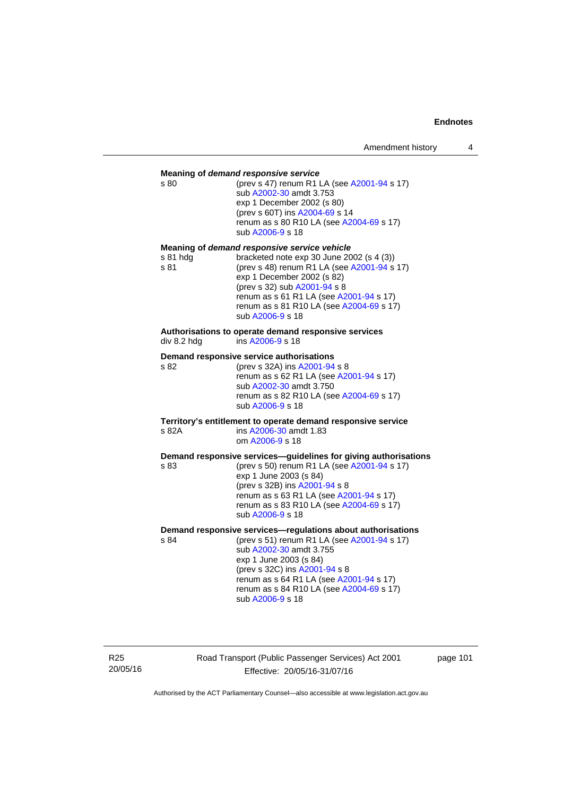| s 80             | Meaning of demand responsive service<br>(prev s 47) renum R1 LA (see A2001-94 s 17)<br>sub A2002-30 amdt 3.753<br>exp 1 December 2002 (s 80)<br>(prev s 60T) ins A2004-69 s 14<br>renum as s 80 R10 LA (see A2004-69 s 17)<br>sub A2006-9 s 18                                                              |
|------------------|-------------------------------------------------------------------------------------------------------------------------------------------------------------------------------------------------------------------------------------------------------------------------------------------------------------|
| s 81 hda<br>s 81 | Meaning of demand responsive service vehicle<br>bracketed note exp 30 June 2002 (s 4 (3))<br>(prev s 48) renum R1 LA (see A2001-94 s 17)<br>exp 1 December 2002 (s 82)<br>(prev s 32) sub A2001-94 s 8<br>renum as s 61 R1 LA (see A2001-94 s 17)<br>renum as s 81 R10 LA (see A2004-69 s 17)               |
| div 8.2 hdg      | sub A2006-9 s 18<br>Authorisations to operate demand responsive services<br>ins A2006-9 s 18                                                                                                                                                                                                                |
| s 82             | Demand responsive service authorisations<br>(prev s 32A) ins A2001-94 s 8<br>renum as s 62 R1 LA (see A2001-94 s 17)<br>sub A2002-30 amdt 3.750<br>renum as s 82 R10 LA (see A2004-69 s 17)<br>sub A2006-9 s 18                                                                                             |
| s 82A            | Territory's entitlement to operate demand responsive service<br>ins A2006-30 amdt 1.83<br>om A2006-9 s 18                                                                                                                                                                                                   |
| s 83             | Demand responsive services-guidelines for giving authorisations<br>(prev s 50) renum R1 LA (see A2001-94 s 17)<br>exp 1 June 2003 (s 84)<br>(prev s 32B) ins A2001-94 s 8<br>renum as s 63 R1 LA (see A2001-94 s 17)<br>renum as s 83 R10 LA (see A2004-69 s 17)<br>sub A2006-9 s 18                        |
| s 84             | Demand responsive services-regulations about authorisations<br>(prev s 51) renum R1 LA (see A2001-94 s 17)<br>sub A2002-30 amdt 3.755<br>exp 1 June 2003 (s 84)<br>(prev s 32C) ins A2001-94 s 8<br>renum as s 64 R1 LA (see A2001-94 s 17)<br>renum as s 84 R10 LA (see A2004-69 s 17)<br>sub A2006-9 s 18 |

R25 20/05/16 Road Transport (Public Passenger Services) Act 2001 Effective: 20/05/16-31/07/16

page 101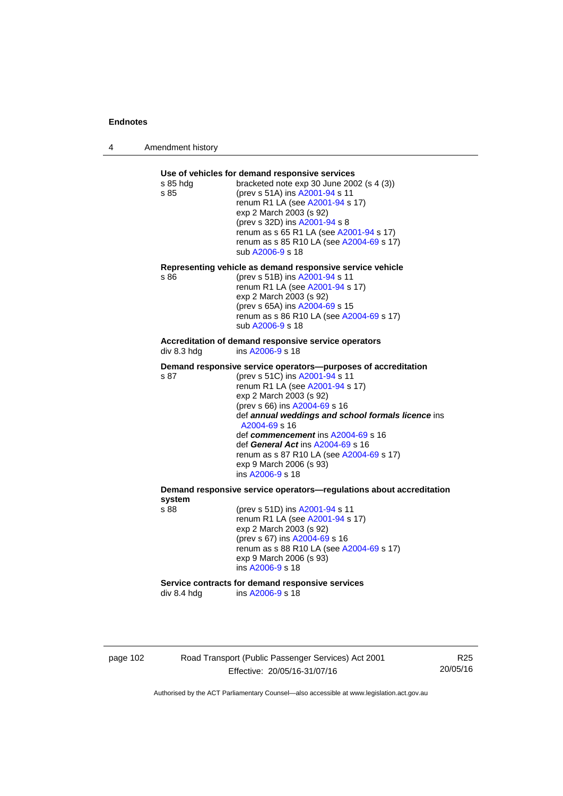4 Amendment history

| s 85 hda<br>s 85 | Use of vehicles for demand responsive services<br>bracketed note exp 30 June 2002 (s 4 (3))<br>(prev s 51A) ins A2001-94 s 11<br>renum R1 LA (see A2001-94 s 17)<br>exp 2 March 2003 (s 92)<br>(prev s 32D) ins A2001-94 s 8<br>renum as s 65 R1 LA (see A2001-94 s 17)<br>renum as s 85 R10 LA (see A2004-69 s 17)<br>sub A2006-9 s 18                                                                                                      |
|------------------|----------------------------------------------------------------------------------------------------------------------------------------------------------------------------------------------------------------------------------------------------------------------------------------------------------------------------------------------------------------------------------------------------------------------------------------------|
| s 86             | Representing vehicle as demand responsive service vehicle<br>(prev s 51B) ins A2001-94 s 11<br>renum R1 LA (see A2001-94 s 17)<br>exp 2 March 2003 (s 92)<br>(prev s 65A) ins A2004-69 s 15<br>renum as s 86 R10 LA (see A2004-69 s 17)<br>sub A2006-9 s 18                                                                                                                                                                                  |
| div 8.3 hdg      | Accreditation of demand responsive service operators<br>ins A2006-9 s 18                                                                                                                                                                                                                                                                                                                                                                     |
| s 87             | Demand responsive service operators--purposes of accreditation<br>(prev s 51C) ins A2001-94 s 11<br>renum R1 LA (see A2001-94 s 17)<br>exp 2 March 2003 (s 92)<br>(prev s 66) ins A2004-69 s 16<br>def annual weddings and school formals licence ins<br>A2004-69 s 16<br>def commencement ins A2004-69 s 16<br>def General Act ins A2004-69 s 16<br>renum as s 87 R10 LA (see A2004-69 s 17)<br>exp 9 March 2006 (s 93)<br>ins A2006-9 s 18 |
| system           | Demand responsive service operators-regulations about accreditation                                                                                                                                                                                                                                                                                                                                                                          |
| s 88             | (prev s 51D) ins A2001-94 s 11<br>renum R1 LA (see A2001-94 s 17)<br>exp 2 March 2003 (s 92)<br>(prev s 67) ins A2004-69 s 16<br>renum as s 88 R10 LA (see A2004-69 s 17)<br>exp 9 March 2006 (s 93)                                                                                                                                                                                                                                         |
|                  | ins A2006-9 s 18                                                                                                                                                                                                                                                                                                                                                                                                                             |

page 102 Road Transport (Public Passenger Services) Act 2001 Effective: 20/05/16-31/07/16

R25 20/05/16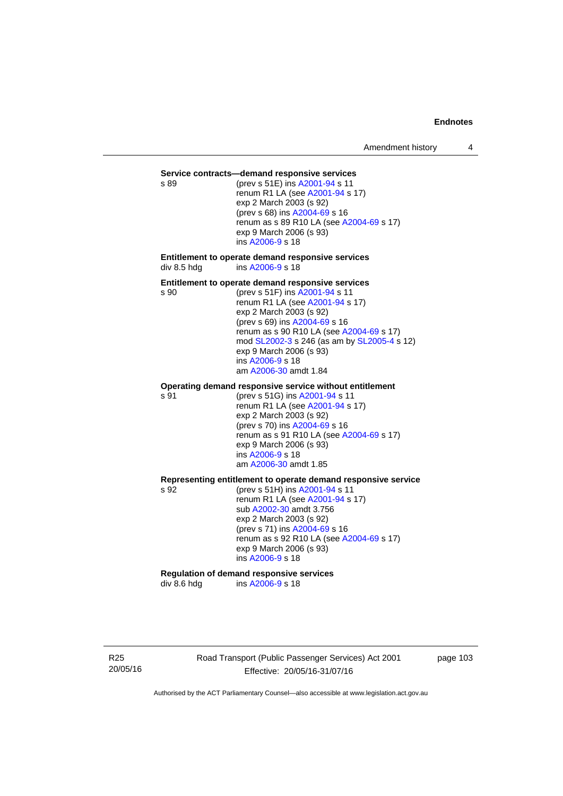#### **Service contracts—demand responsive services**

s 89 (prev s 51E) ins [A2001-94](http://www.legislation.act.gov.au/a/2001-94) s 11 renum R1 LA (see [A2001-94](http://www.legislation.act.gov.au/a/2001-94) s 17) exp 2 March 2003 (s 92) (prev s 68) ins [A2004-69](http://www.legislation.act.gov.au/a/2004-69) s 16 renum as s 89 R10 LA (see [A2004-69](http://www.legislation.act.gov.au/a/2004-69) s 17) exp 9 March 2006 (s 93) ins [A2006-9](http://www.legislation.act.gov.au/a/2006-9) s 18

**Entitlement to operate demand responsive services**  div 8.5 hdg ins [A2006-9](http://www.legislation.act.gov.au/a/2006-9) s 18

#### **Entitlement to operate demand responsive services**

s 90 (prev s 51F) ins [A2001-94](http://www.legislation.act.gov.au/a/2001-94) s 11 renum R1 LA (see [A2001-94](http://www.legislation.act.gov.au/a/2001-94) s 17) exp 2 March 2003 (s 92) (prev s 69) ins [A2004-69](http://www.legislation.act.gov.au/a/2004-69) s 16 renum as s 90 R10 LA (see [A2004-69](http://www.legislation.act.gov.au/a/2004-69) s 17) mod [SL2002-3](http://www.legislation.act.gov.au/sl/2002-3) s 246 (as am by [SL2005-4](http://www.legislation.act.gov.au/sl/2005-4) s 12) exp 9 March 2006 (s 93) ins [A2006-9](http://www.legislation.act.gov.au/a/2006-9) s 18 am [A2006-30](http://www.legislation.act.gov.au/a/2006-30) amdt 1.84

#### **Operating demand responsive service without entitlement**

s 91 (prev s 51G) ins [A2001-94](http://www.legislation.act.gov.au/a/2001-94) s 11 renum R1 LA (see [A2001-94](http://www.legislation.act.gov.au/a/2001-94) s 17) exp 2 March 2003 (s 92) (prev s 70) ins [A2004-69](http://www.legislation.act.gov.au/a/2004-69) s 16 renum as s 91 R10 LA (see [A2004-69](http://www.legislation.act.gov.au/a/2004-69) s 17) exp 9 March 2006 (s 93) ins [A2006-9](http://www.legislation.act.gov.au/a/2006-9) s 18 am [A2006-30](http://www.legislation.act.gov.au/a/2006-30) amdt 1.85

#### **Representing entitlement to operate demand responsive service**

s 92 (prev s 51H) ins [A2001-94](http://www.legislation.act.gov.au/a/2001-94) s 11 renum R1 LA (see [A2001-94](http://www.legislation.act.gov.au/a/2001-94) s 17) sub [A2002-30](http://www.legislation.act.gov.au/a/2002-30) amdt 3.756 exp 2 March 2003 (s 92) (prev s 71) ins [A2004-69](http://www.legislation.act.gov.au/a/2004-69) s 16 renum as s 92 R10 LA (see [A2004-69](http://www.legislation.act.gov.au/a/2004-69) s 17) exp 9 March 2006 (s 93) ins [A2006-9](http://www.legislation.act.gov.au/a/2006-9) s 18

# **Regulation of demand responsive services**

div 8.6 hdg ins [A2006-9](http://www.legislation.act.gov.au/a/2006-9) s 18

R25 20/05/16 Road Transport (Public Passenger Services) Act 2001 Effective: 20/05/16-31/07/16

page 103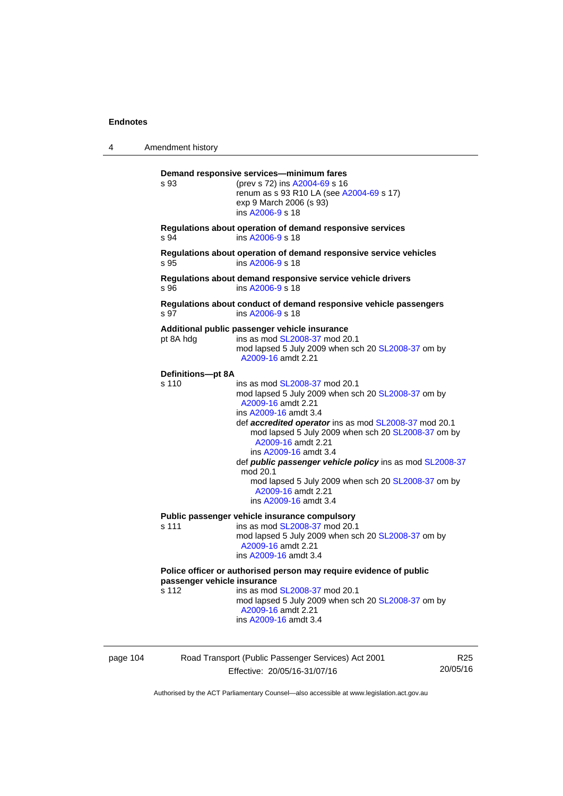| 4        | Amendment history                                                                                                                                                                                                                                |                                                                                                                                                                                                                                                                                                                                                                                                                                                                                      |                 |  |
|----------|--------------------------------------------------------------------------------------------------------------------------------------------------------------------------------------------------------------------------------------------------|--------------------------------------------------------------------------------------------------------------------------------------------------------------------------------------------------------------------------------------------------------------------------------------------------------------------------------------------------------------------------------------------------------------------------------------------------------------------------------------|-----------------|--|
|          | Demand responsive services-minimum fares<br>s 93<br>(prev s 72) ins A2004-69 s 16<br>renum as s 93 R10 LA (see A2004-69 s 17)<br>exp 9 March 2006 (s 93)<br>ins A2006-9 s 18                                                                     |                                                                                                                                                                                                                                                                                                                                                                                                                                                                                      |                 |  |
|          | s 94                                                                                                                                                                                                                                             | Regulations about operation of demand responsive services<br>ins A2006-9 s 18                                                                                                                                                                                                                                                                                                                                                                                                        |                 |  |
|          | s 95                                                                                                                                                                                                                                             | Regulations about operation of demand responsive service vehicles<br>ins A2006-9 s 18                                                                                                                                                                                                                                                                                                                                                                                                |                 |  |
|          | s 96                                                                                                                                                                                                                                             | Regulations about demand responsive service vehicle drivers<br>ins A2006-9 s 18                                                                                                                                                                                                                                                                                                                                                                                                      |                 |  |
|          | s 97                                                                                                                                                                                                                                             | Regulations about conduct of demand responsive vehicle passengers<br>ins A2006-9 s 18                                                                                                                                                                                                                                                                                                                                                                                                |                 |  |
|          | pt 8A hdg                                                                                                                                                                                                                                        | Additional public passenger vehicle insurance<br>ins as mod SL2008-37 mod 20.1<br>mod lapsed 5 July 2009 when sch 20 SL2008-37 om by<br>A2009-16 amdt 2.21                                                                                                                                                                                                                                                                                                                           |                 |  |
|          | Definitions-pt 8A<br>s 110                                                                                                                                                                                                                       | ins as mod SL2008-37 mod 20.1<br>mod lapsed 5 July 2009 when sch 20 SL2008-37 om by<br>A2009-16 amdt 2.21<br>ins A2009-16 amdt 3.4<br>def accredited operator ins as mod SL2008-37 mod 20.1<br>mod lapsed 5 July 2009 when sch 20 SL2008-37 om by<br>A2009-16 amdt 2.21<br>ins A2009-16 amdt 3.4<br>def <i>public passenger vehicle policy</i> ins as mod SL2008-37<br>mod 20.1<br>mod lapsed 5 July 2009 when sch 20 SL2008-37 om by<br>A2009-16 amdt 2.21<br>ins A2009-16 amdt 3.4 |                 |  |
|          | s 111                                                                                                                                                                                                                                            | Public passenger vehicle insurance compulsory<br>ins as mod SL2008-37 mod 20.1<br>mod lapsed 5 July 2009 when sch 20 SL2008-37 om by<br>A2009-16 amdt 2.21<br>ins A2009-16 amdt 3.4                                                                                                                                                                                                                                                                                                  |                 |  |
|          | Police officer or authorised person may require evidence of public<br>passenger vehicle insurance<br>ins as mod SL2008-37 mod 20.1<br>s 112<br>mod lapsed 5 July 2009 when sch 20 SL2008-37 om by<br>A2009-16 amdt 2.21<br>ins A2009-16 amdt 3.4 |                                                                                                                                                                                                                                                                                                                                                                                                                                                                                      |                 |  |
| page 104 |                                                                                                                                                                                                                                                  | Road Transport (Public Passenger Services) Act 2001                                                                                                                                                                                                                                                                                                                                                                                                                                  | R <sub>25</sub> |  |

Effective: 20/05/16-31/07/16

R25 20/05/16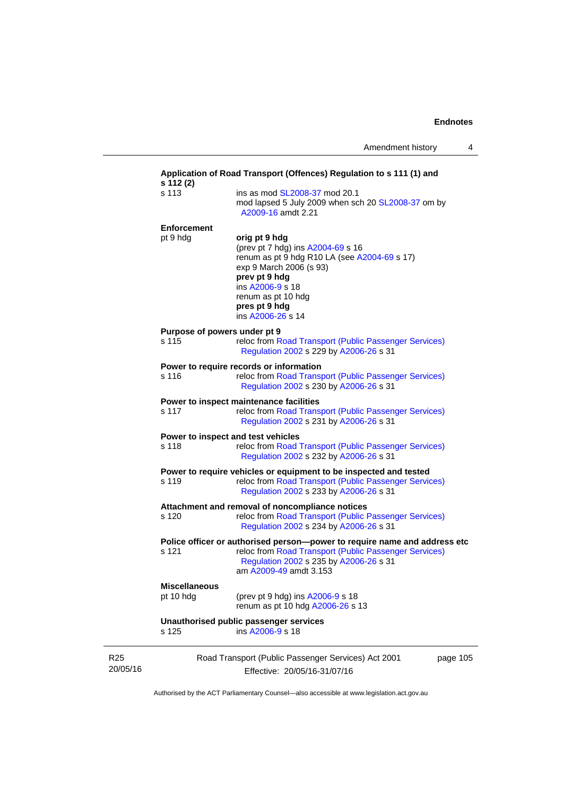|                                                                                                    | Application of Road Transport (Offences) Regulation to s 111 (1) and<br>s 112 (2)                                                                                             |                                                                                                                                                                                                                                |  |
|----------------------------------------------------------------------------------------------------|-------------------------------------------------------------------------------------------------------------------------------------------------------------------------------|--------------------------------------------------------------------------------------------------------------------------------------------------------------------------------------------------------------------------------|--|
|                                                                                                    | s 113                                                                                                                                                                         | ins as mod SL2008-37 mod 20.1<br>mod lapsed 5 July 2009 when sch 20 SL2008-37 om by<br>A2009-16 amdt 2.21                                                                                                                      |  |
|                                                                                                    | <b>Enforcement</b><br>pt 9 hdg                                                                                                                                                | orig pt 9 hdg<br>(prev pt 7 hdg) ins A2004-69 s 16<br>renum as pt 9 hdg R10 LA (see A2004-69 s 17)<br>exp 9 March 2006 (s 93)<br>prev pt 9 hdg<br>ins A2006-9 s 18<br>renum as pt 10 hdg<br>pres pt 9 hdg<br>ins A2006-26 s 14 |  |
| Purpose of powers under pt 9<br>s 115<br>Regulation 2002 s 229 by A2006-26 s 31                    |                                                                                                                                                                               | reloc from Road Transport (Public Passenger Services)                                                                                                                                                                          |  |
|                                                                                                    | Power to require records or information<br>reloc from Road Transport (Public Passenger Services)<br>Regulation 2002 s 230 by A2006-26 s 31                                    |                                                                                                                                                                                                                                |  |
| Power to inspect maintenance facilities<br>s 117<br>Regulation 2002 s 231 by A2006-26 s 31         |                                                                                                                                                                               | reloc from Road Transport (Public Passenger Services)                                                                                                                                                                          |  |
|                                                                                                    | Power to inspect and test vehicles<br>s 118<br>reloc from Road Transport (Public Passenger Services)<br>Regulation 2002 s 232 by A2006-26 s 31                                |                                                                                                                                                                                                                                |  |
|                                                                                                    | Power to require vehicles or equipment to be inspected and tested<br>s 119<br>reloc from Road Transport (Public Passenger Services)<br>Regulation 2002 s 233 by A2006-26 s 31 |                                                                                                                                                                                                                                |  |
| Attachment and removal of noncompliance notices<br>s 120<br>Regulation 2002 s 234 by A2006-26 s 31 |                                                                                                                                                                               | reloc from Road Transport (Public Passenger Services)                                                                                                                                                                          |  |
|                                                                                                    | s 121                                                                                                                                                                         | Police officer or authorised person--power to require name and address etc<br>reloc from Road Transport (Public Passenger Services)<br>Regulation 2002 s 235 by A2006-26 s 31<br>am A2009-49 amdt 3.153                        |  |
|                                                                                                    | <b>Miscellaneous</b><br>pt 10 hdg                                                                                                                                             | (prev pt 9 hdg) ins A2006-9 s 18<br>renum as pt 10 hdg A2006-26 s 13                                                                                                                                                           |  |
|                                                                                                    | s 125                                                                                                                                                                         | Unauthorised public passenger services<br>ins A2006-9 s 18                                                                                                                                                                     |  |
| R <sub>25</sub><br>20/05/16                                                                        |                                                                                                                                                                               | Road Transport (Public Passenger Services) Act 2001<br>page 105<br>Effective: 20/05/16-31/07/16                                                                                                                                |  |

Authorised by the ACT Parliamentary Counsel—also accessible at www.legislation.act.gov.au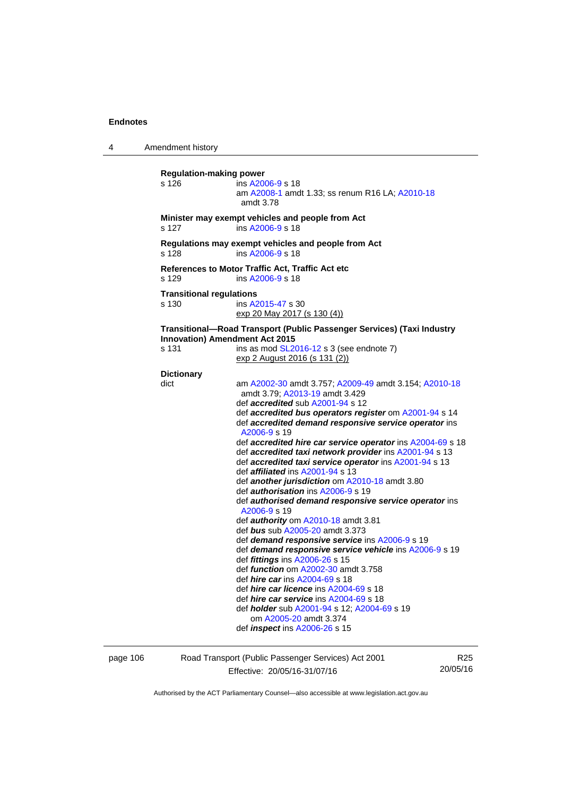4 Amendment history **Regulation-making power**  s 126 ins [A2006-9](http://www.legislation.act.gov.au/a/2006-9) s 18 am [A2008-1](http://www.legislation.act.gov.au/a/2008-1) amdt 1.33; ss renum R16 LA; [A2010-18](http://www.legislation.act.gov.au/a/2010-18) amdt 3.78 **Minister may exempt vehicles and people from Act**  s 127 ins [A2006-9](http://www.legislation.act.gov.au/a/2006-9) s 18 **Regulations may exempt vehicles and people from Act**  s 128 ins [A2006-9](http://www.legislation.act.gov.au/a/2006-9) s 18 **References to Motor Traffic Act, Traffic Act etc**  s 129 ins [A2006-9](http://www.legislation.act.gov.au/a/2006-9) s 18 **Transitional regulations**  s 130 ins [A2015-47](http://www.legislation.act.gov.au/a/2015-47) s 30 exp 20 May 2017 (s 130 (4)) **Transitional—Road Transport (Public Passenger Services) (Taxi Industry Innovation) Amendment Act 2015**  s 131 ins as mod [SL2016-12](http://www.legislation.act.gov.au/sl/2016-12/default.asp) s 3 (see endnote 7) exp 2 August 2016 (s 131 (2)) **Dictionary**  dict am [A2002-30](http://www.legislation.act.gov.au/a/2002-30) amdt 3.757; [A2009-49](http://www.legislation.act.gov.au/a/2009-49) amdt 3.154; [A2010-18](http://www.legislation.act.gov.au/a/2010-18) amdt 3.79; [A2013-19](http://www.legislation.act.gov.au/a/2013-19) amdt 3.429 def *accredited* sub [A2001-94](http://www.legislation.act.gov.au/a/2001-94) s 12 def *accredited bus operators register* om [A2001-94](http://www.legislation.act.gov.au/a/2001-94) s 14 def *accredited demand responsive service operator* ins [A2006-9](http://www.legislation.act.gov.au/a/2006-9) s 19 def *accredited hire car service operator* ins [A2004-69](http://www.legislation.act.gov.au/a/2004-69) s 18 def *accredited taxi network provider* ins [A2001-94](http://www.legislation.act.gov.au/a/2001-94) s 13 def *accredited taxi service operator* ins [A2001-94](http://www.legislation.act.gov.au/a/2001-94) s 13 def *affiliated* ins [A2001-94](http://www.legislation.act.gov.au/a/2001-94) s 13 def *another jurisdiction* om [A2010-18](http://www.legislation.act.gov.au/a/2010-18) amdt 3.80 def *authorisation* ins [A2006-9](http://www.legislation.act.gov.au/a/2006-9) s 19 def *authorised demand responsive service operator* ins [A2006-9](http://www.legislation.act.gov.au/a/2006-9) s 19 def *authority* om [A2010-18](http://www.legislation.act.gov.au/a/2010-18) amdt 3.81 def *bus* sub [A2005-20](http://www.legislation.act.gov.au/a/2005-20) amdt 3.373 def *demand responsive service* ins [A2006-9](http://www.legislation.act.gov.au/a/2006-9) s 19 def *demand responsive service vehicle* ins [A2006-9](http://www.legislation.act.gov.au/a/2006-9) s 19 def *fittings* ins [A2006-26](http://www.legislation.act.gov.au/a/2006-26) s 15 def *function* om [A2002-30](http://www.legislation.act.gov.au/a/2002-30) amdt 3.758 def *hire car* ins [A2004-69](http://www.legislation.act.gov.au/a/2004-69) s 18 def *hire car licence* ins [A2004-69](http://www.legislation.act.gov.au/a/2004-69) s 18 def *hire car service* ins [A2004-69](http://www.legislation.act.gov.au/a/2004-69) s 18 def *holder* sub [A2001-94](http://www.legislation.act.gov.au/a/2001-94) s 12; [A2004-69](http://www.legislation.act.gov.au/a/2004-69) s 19 om [A2005-20](http://www.legislation.act.gov.au/a/2005-20) amdt 3.374 def *inspect* ins [A2006-26](http://www.legislation.act.gov.au/a/2006-26) s 15

page 106 Road Transport (Public Passenger Services) Act 2001 Effective: 20/05/16-31/07/16

R25 20/05/16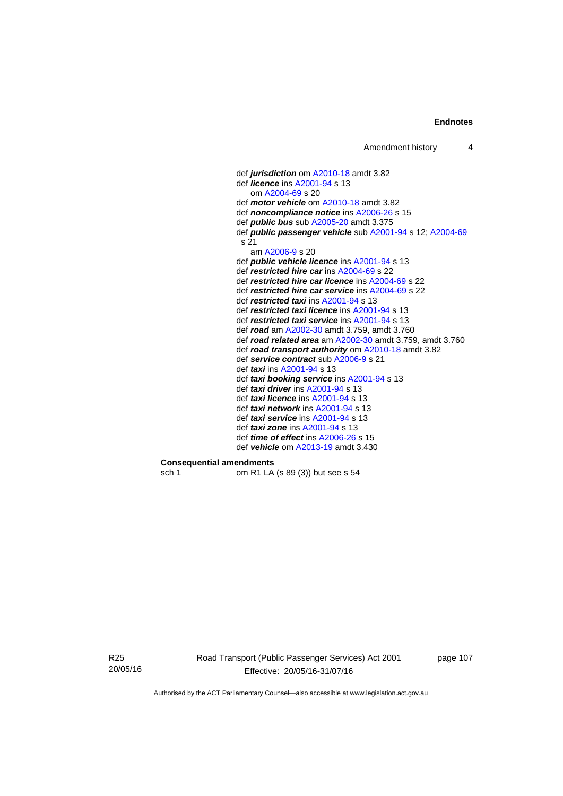```
 def jurisdiction om A2010-18 amdt 3.82
def licence ins A2001-94 s 13 
   om A2004-69 s 20 
def motor vehicle om A2010-18 amdt 3.82 
def noncompliance notice ins A2006-26 s 15 
def public bus sub A2005-20 amdt 3.375
def public passenger vehicle sub A2001-94 s 12; A2004-69
s 21 
   am A2006-9 s 20 
def public vehicle licence ins A2001-94 s 13 
def restricted hire car ins A2004-69 s 22 
def restricted hire car licence ins A2004-69 s 22 
def restricted hire car service ins A2004-69 s 22 
def restricted taxi ins A2001-94 s 13 
def restricted taxi licence ins A2001-94 s 13 
def restricted taxi service ins A2001-94 s 13 
def road am A2002-30 amdt 3.759, amdt 3.760 
def road related area am A2002-30 amdt 3.759, amdt 3.760 
def road transport authority om A2010-18 amdt 3.82
def service contract sub A2006-9 s 21 
def taxi ins A2001-94 s 13 
def taxi booking service ins A2001-94 s 13 
def taxi driver ins A2001-94 s 13 
def taxi licence ins A2001-94 s 13 
def taxi network ins A2001-94 s 13 
def taxi service ins A2001-94 s 13 
def taxi zone ins A2001-94 s 13 
def time of effect ins A2006-26 s 15 
def vehicle om A2013-19 amdt 3.430
```
**Consequential amendments**<br>sch 1 om R1 LA

om R1 LA (s 89 (3)) but see s 54

R25 20/05/16 Road Transport (Public Passenger Services) Act 2001 Effective: 20/05/16-31/07/16

page 107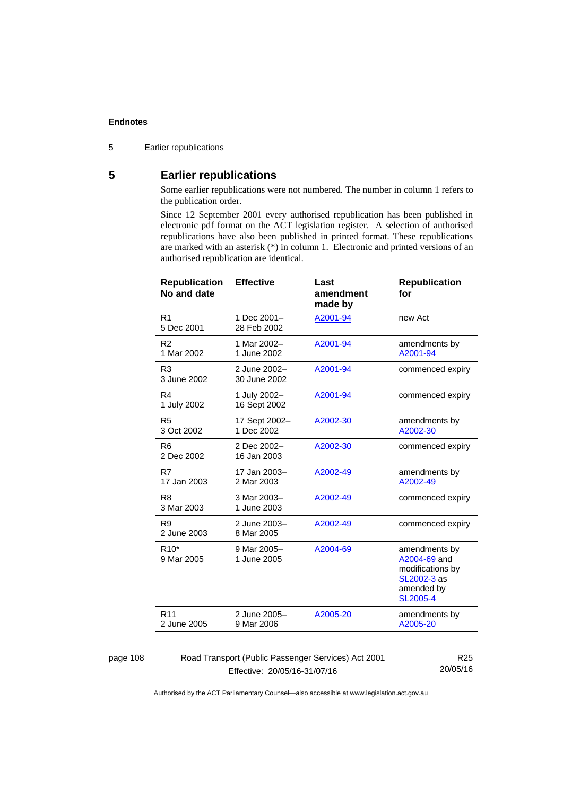page 108

5 Earlier republications

# **5 Earlier republications**

Some earlier republications were not numbered. The number in column 1 refers to the publication order.

Since 12 September 2001 every authorised republication has been published in electronic pdf format on the ACT legislation register. A selection of authorised republications have also been published in printed format. These republications are marked with an asterisk (\*) in column 1. Electronic and printed versions of an authorised republication are identical.

| <b>Republication</b><br>No and date                                    | <b>Effective</b>             | Last<br>amendment<br>made by | <b>Republication</b><br>for                                                                       |
|------------------------------------------------------------------------|------------------------------|------------------------------|---------------------------------------------------------------------------------------------------|
| R <sub>1</sub><br>5 Dec 2001                                           | 1 Dec 2001-<br>28 Feb 2002   | A2001-94                     | new Act                                                                                           |
| R <sub>2</sub><br>1 Mar 2002                                           | 1 Mar 2002-<br>1 June 2002   | A2001-94                     | amendments by<br>A2001-94                                                                         |
| R <sub>3</sub><br>3 June 2002                                          | 2 June 2002-<br>30 June 2002 | A2001-94                     | commenced expiry                                                                                  |
| R <sub>4</sub><br>1 July 2002                                          | 1 July 2002-<br>16 Sept 2002 | A2001-94                     | commenced expiry                                                                                  |
| R <sub>5</sub><br>3 Oct 2002                                           | 17 Sept 2002-<br>1 Dec 2002  | A2002-30                     | amendments by<br>A2002-30                                                                         |
| R <sub>6</sub><br>2 Dec 2002                                           | 2 Dec 2002-<br>16 Jan 2003   | A2002-30                     | commenced expiry                                                                                  |
| R7<br>17 Jan 2003                                                      | 17 Jan 2003-<br>2 Mar 2003   | A2002-49                     | amendments by<br>A2002-49                                                                         |
| R <sub>8</sub><br>3 Mar 2003                                           | 3 Mar 2003-<br>1 June 2003   | A2002-49                     | commenced expiry                                                                                  |
| R <sub>9</sub><br>2 June 2003                                          | 2 June 2003-<br>8 Mar 2005   | A2002-49                     | commenced expiry                                                                                  |
| $R10*$<br>9 Mar 2005                                                   | 9 Mar 2005-<br>1 June 2005   | A2004-69                     | amendments by<br>A2004-69 and<br>modifications by<br>SL2002-3 as<br>amended by<br><b>SL2005-4</b> |
| R <sub>11</sub><br>2 June 2005                                         | 2 June 2005-<br>9 Mar 2006   | A2005-20                     | amendments by<br>A2005-20                                                                         |
| R <sub>25</sub><br>Road Transport (Public Passenger Services) Act 2001 |                              |                              |                                                                                                   |

Effective: 20/05/16-31/07/16

20/05/16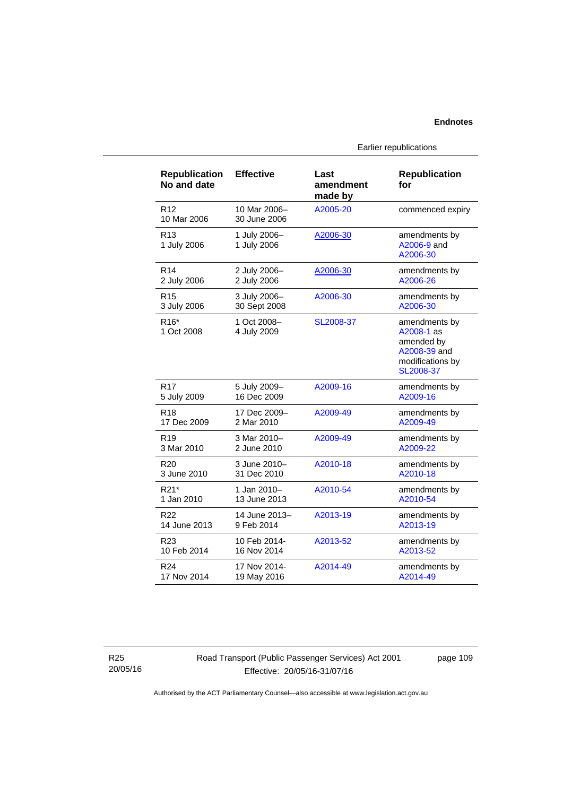| <b>Republication</b><br>No and date | <b>Effective</b>             | Last<br>amendment<br>made by | <b>Republication</b><br>for                                                                |
|-------------------------------------|------------------------------|------------------------------|--------------------------------------------------------------------------------------------|
| R <sub>12</sub><br>10 Mar 2006      | 10 Mar 2006-<br>30 June 2006 | A2005-20                     | commenced expiry                                                                           |
| R <sub>13</sub><br>1 July 2006      | 1 July 2006-<br>1 July 2006  | A2006-30                     | amendments by<br>A2006-9 and<br>A2006-30                                                   |
| R <sub>14</sub>                     | 2 July 2006-                 | A2006-30                     | amendments by                                                                              |
| 2 July 2006                         | 2 July 2006                  |                              | A2006-26                                                                                   |
| R <sub>15</sub>                     | 3 July 2006-                 | A2006-30                     | amendments by                                                                              |
| 3 July 2006                         | 30 Sept 2008                 |                              | A2006-30                                                                                   |
| R <sub>16</sub> *<br>1 Oct 2008     | 1 Oct 2008-<br>4 July 2009   | SL2008-37                    | amendments by<br>A2008-1 as<br>amended by<br>A2008-39 and<br>modifications by<br>SL2008-37 |
| R <sub>17</sub>                     | 5 July 2009-                 | A2009-16                     | amendments by                                                                              |
| 5 July 2009                         | 16 Dec 2009                  |                              | A2009-16                                                                                   |
| R <sub>18</sub>                     | 17 Dec 2009-                 | A2009-49                     | amendments by                                                                              |
| 17 Dec 2009                         | 2 Mar 2010                   |                              | A2009-49                                                                                   |
| R <sub>19</sub>                     | 3 Mar 2010-                  | A2009-49                     | amendments by                                                                              |
| 3 Mar 2010                          | 2 June 2010                  |                              | A2009-22                                                                                   |
| R <sub>20</sub>                     | 3 June 2010-                 | A2010-18                     | amendments by                                                                              |
| 3 June 2010                         | 31 Dec 2010                  |                              | A2010-18                                                                                   |
| R21*                                | 1 Jan 2010-                  | A2010-54                     | amendments by                                                                              |
| 1 Jan 2010                          | 13 June 2013                 |                              | A2010-54                                                                                   |
| R <sub>22</sub>                     | 14 June 2013-                | A2013-19                     | amendments by                                                                              |
| 14 June 2013                        | 9 Feb 2014                   |                              | A2013-19                                                                                   |
| R23                                 | 10 Feb 2014-                 | A2013-52                     | amendments by                                                                              |
| 10 Feb 2014                         | 16 Nov 2014                  |                              | A2013-52                                                                                   |
| R <sub>24</sub>                     | 17 Nov 2014-                 | A2014-49                     | amendments by                                                                              |
| 17 Nov 2014                         | 19 May 2016                  |                              | A2014-49                                                                                   |

Earlier republications

R25 20/05/16 Road Transport (Public Passenger Services) Act 2001 Effective: 20/05/16-31/07/16

page 109